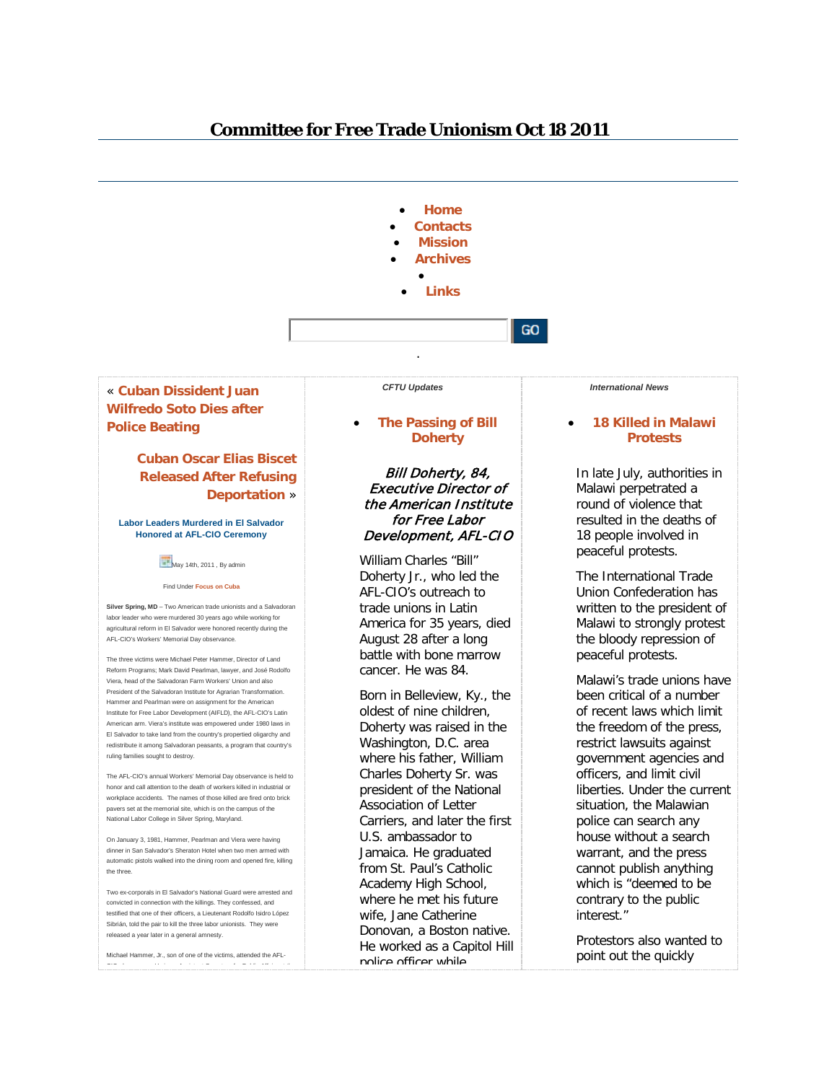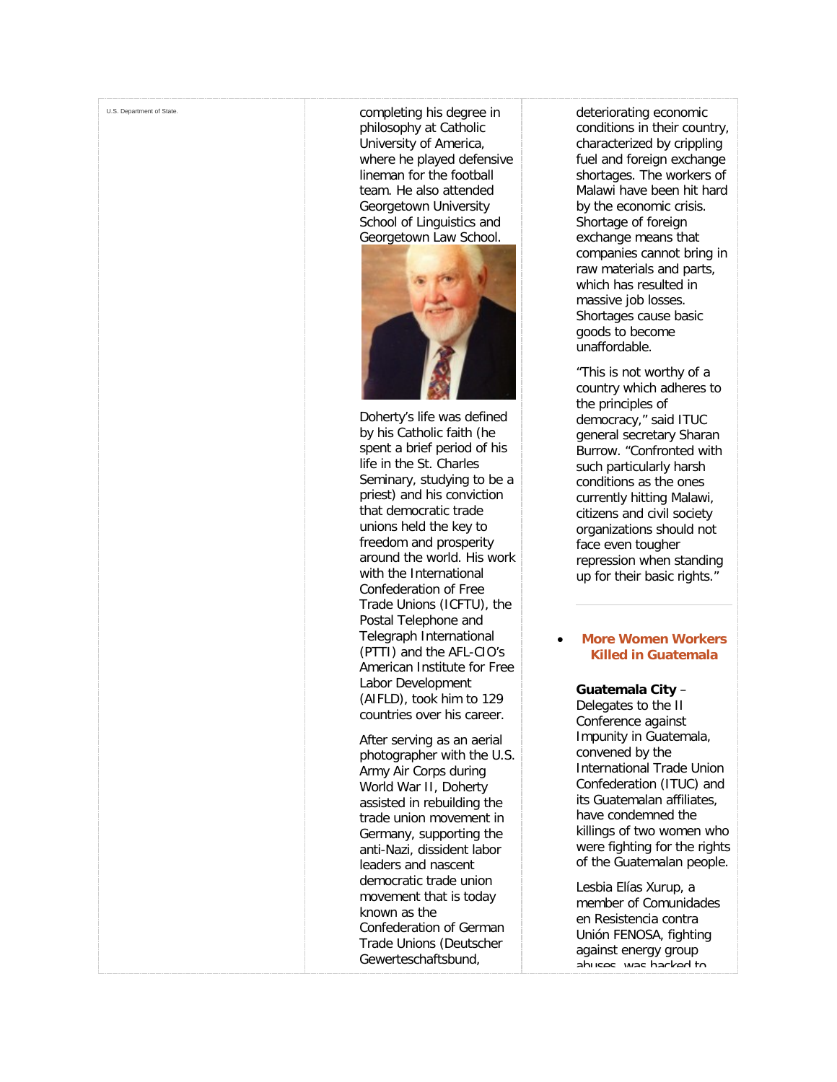[U.S. Department of State.](http://freetradeunionism.org/) Completing his degree in [philosophy at Catholic](http://freetradeunionism.org/)  [University of America,](http://freetradeunionism.org/)  [where he played defensive](http://freetradeunionism.org/)  [lineman for the football](http://freetradeunionism.org/)  [team. He also attended](http://freetradeunionism.org/)  [Georgetown University](http://freetradeunionism.org/)  [School of Linguistics and](http://freetradeunionism.org/)  [Georgetown Law School.](http://freetradeunionism.org/)



[Doherty's life was defined](http://freetradeunionism.org/)  [by his Catholic faith \(he](http://freetradeunionism.org/)  [spent a brief period of his](http://freetradeunionism.org/)  [life in the St. Charles](http://freetradeunionism.org/)  [Seminary, studying to be a](http://freetradeunionism.org/)  [priest\) and his conviction](http://freetradeunionism.org/)  [that democratic trade](http://freetradeunionism.org/)  [unions held the key to](http://freetradeunionism.org/)  [freedom and prosperity](http://freetradeunionism.org/)  [around the world. His work](http://freetradeunionism.org/)  [with the International](http://freetradeunionism.org/)  [Confederation of Free](http://freetradeunionism.org/)  [Trade Unions \(ICFTU\), the](http://freetradeunionism.org/)  [Postal Telephone and](http://freetradeunionism.org/)  [Telegraph International](http://freetradeunionism.org/)  [\(PTTI\) and the AFL](http://freetradeunionism.org/) -CIO's [American Institute for Free](http://freetradeunionism.org/)  [Labor Development](http://freetradeunionism.org/)  [\(AIFLD\), took him to 129](http://freetradeunionism.org/)  [countries over his career.](http://freetradeunionism.org/)

[After serving as an aerial](http://freetradeunionism.org/)  [photographer with the U.S.](http://freetradeunionism.org/)  [Army Air Corps during](http://freetradeunionism.org/)  [World War II, Doherty](http://freetradeunionism.org/)  [assisted in rebuilding the](http://freetradeunionism.org/)  [trade union movement in](http://freetradeunionism.org/)  [Germany, supporting the](http://freetradeunionism.org/)  anti [-Nazi, dissident labor](http://freetradeunionism.org/)  [leaders and nascent](http://freetradeunionism.org/)  [democratic trade union](http://freetradeunionism.org/)  [movement that is today](http://freetradeunionism.org/)  [known as the](http://freetradeunionism.org/)  [Confederation of German](http://freetradeunionism.org/)  [Trade Unions \(Deutscher](http://freetradeunionism.org/)  [Gewerteschaftsbund,](http://freetradeunionism.org/) 

[deteriorating economic](http://freetradeunionism.org/)  [conditions in their country,](http://freetradeunionism.org/)  [characterized by crippling](http://freetradeunionism.org/)  [fuel and foreign exchange](http://freetradeunionism.org/)  [shortages. The workers of](http://freetradeunionism.org/)  [Malawi have been hit hard](http://freetradeunionism.org/)  [by the economic crisis.](http://freetradeunionism.org/)  [Shortage of foreign](http://freetradeunionism.org/)  [exchange means that](http://freetradeunionism.org/)  [companies cannot bring in](http://freetradeunionism.org/)  [raw materials and parts,](http://freetradeunionism.org/)  [which has resulted in](http://freetradeunionism.org/)  [massive job losses.](http://freetradeunionism.org/)  [Shortages cause basic](http://freetradeunionism.org/)  [goods to become](http://freetradeunionism.org/)  [unaffordable.](http://freetradeunionism.org/)

["This is not worthy of a](http://freetradeunionism.org/)  [country which adheres to](http://freetradeunionism.org/)  [the principles of](http://freetradeunionism.org/)  [democracy," said ITUC](http://freetradeunionism.org/)  general [secretary Sharan](http://freetradeunionism.org/)  [Burrow. "Confronted with](http://freetradeunionism.org/)  [such particularly harsh](http://freetradeunionism.org/)  [conditions as the ones](http://freetradeunionism.org/)  [currently hitting Malawi,](http://freetradeunionism.org/)  [citizens and civil society](http://freetradeunionism.org/)  [organizations should not](http://freetradeunionism.org/)  [face even tougher](http://freetradeunionism.org/)  [repression when standing](http://freetradeunionism.org/)  [up for their basic rights."](http://freetradeunionism.org/)

### • **[More Women Workers](http://freetradeunionism.org/)  [Killed in Guatemala](http://freetradeunionism.org/2011/09/more-women-workers-killed-in-guatemala/)**

# **[Guatemala City](http://freetradeunionism.org/)** – [Delegates to the II](http://freetradeunionism.org/)

[Conference against](http://freetradeunionism.org/)  [Impunity in Guatemala,](http://freetradeunionism.org/)  [convened by the](http://freetradeunionism.org/)  [International Trade Union](http://freetradeunionism.org/)  [Confederation \(ITUC\) and](http://freetradeunionism.org/)  [its Guatemalan affiliates,](http://freetradeunionism.org/)  [have condemned the](http://freetradeunionism.org/)  [killings of two women who](http://freetradeunionism.org/)  [were fighting for the rights](http://freetradeunionism.org/)  [of the Guatemalan people.](http://freetradeunionism.org/)

[Lesbia Elías Xurup, a](http://freetradeunionism.org/)  [member of Comunidades](http://freetradeunionism.org/)  [en Resistencia contra](http://freetradeunionism.org/)  [Unión FENOSA, fighting](http://freetradeunionism.org/)  [against energy group](http://freetradeunionism.org/)  [abuses, was hacked to](http://freetradeunionism.org/)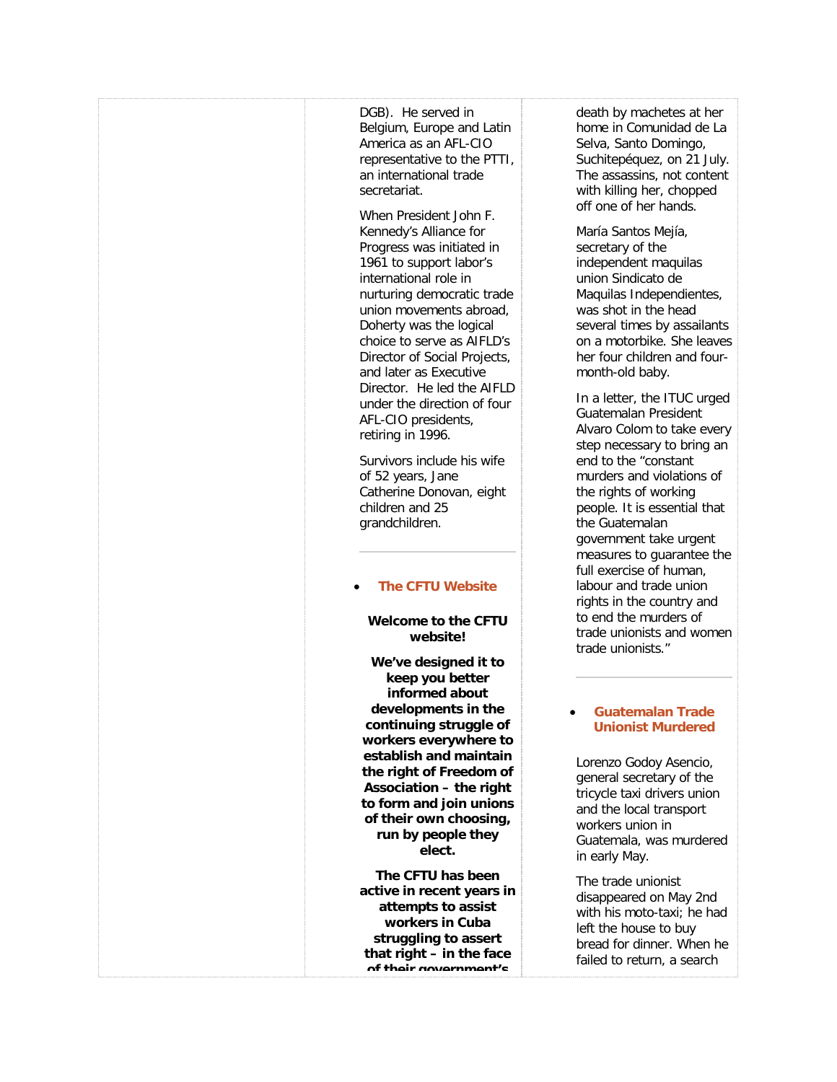| DGB). He served in<br>Belgium, Europe and Latin<br>America as an AFL-CIO<br>representative to the PTTI,<br>an international trade<br>secretariat.                                                                                                                                                                                                                          | death by machetes at her<br>home in Comunidad de La<br>Selva, Santo Domingo,<br>Suchitepéquez, on 21 July.<br>The assassins, not content<br>with killing her, chopped                                                                                                                                            |
|----------------------------------------------------------------------------------------------------------------------------------------------------------------------------------------------------------------------------------------------------------------------------------------------------------------------------------------------------------------------------|------------------------------------------------------------------------------------------------------------------------------------------------------------------------------------------------------------------------------------------------------------------------------------------------------------------|
| When President John F.<br>Kennedy's Alliance for<br>Progress was initiated in<br>1961 to support labor's<br>international role in<br>nurturing democratic trade<br>union movements abroad,<br>Doherty was the logical<br>choice to serve as AIFLD's<br>Director of Social Projects,<br>and later as Executive<br>Director. He led the AIFLD<br>under the direction of four | off one of her hands.<br>María Santos Mejía,<br>secretary of the<br>independent maquilas<br>union Sindicato de<br>Maquilas Independientes,<br>was shot in the head<br>several times by assailants<br>on a motorbike. She leaves<br>her four children and four-<br>month-old baby.<br>In a letter, the ITUC urged |
| AFL-CIO presidents,<br>retiring in 1996.<br>Survivors include his wife<br>of 52 years, Jane<br>Catherine Donovan, eight<br>children and 25<br>grandchildren.                                                                                                                                                                                                               | Guatemalan President<br>Alvaro Colom to take every<br>step necessary to bring an<br>end to the "constant<br>murders and violations of<br>the rights of working<br>people. It is essential that<br>the Guatemalan<br>government take urgent<br>measures to guarantee the                                          |
| <b>The CFTU Website</b><br>Welcome to the CFTU<br>website!                                                                                                                                                                                                                                                                                                                 | full exercise of human,<br>labour and trade union<br>rights in the country and<br>to end the murders of<br>trade unionists and women<br>trade unionists."                                                                                                                                                        |
| We've designed it to<br>keep you better<br>informed about<br>developments in the<br>continuing struggle of<br>workers everywhere to<br>establish and maintain<br>the right of Freedom of<br>Association - the right<br>to form and join unions<br>of their own choosing,<br>run by people they                                                                             | <b>Guatemalan Trade</b><br><b>Unionist Murdered</b><br>Lorenzo Godoy Asencio,<br>general secretary of the<br>tricycle taxi drivers union<br>and the local transport<br>workers union in<br>Guatemala, was murdered                                                                                               |
| elect.<br>The CFTU has been<br>active in recent years in<br>attempts to assist<br>workers in Cuba<br>struggling to assert<br>that right $-$ in the face<br>of their novernment's                                                                                                                                                                                           | in early May.<br>The trade unionist<br>disappeared on May 2nd<br>with his moto-taxi; he had<br>left the house to buy<br>bread for dinner. When he<br>failed to return, a search                                                                                                                                  |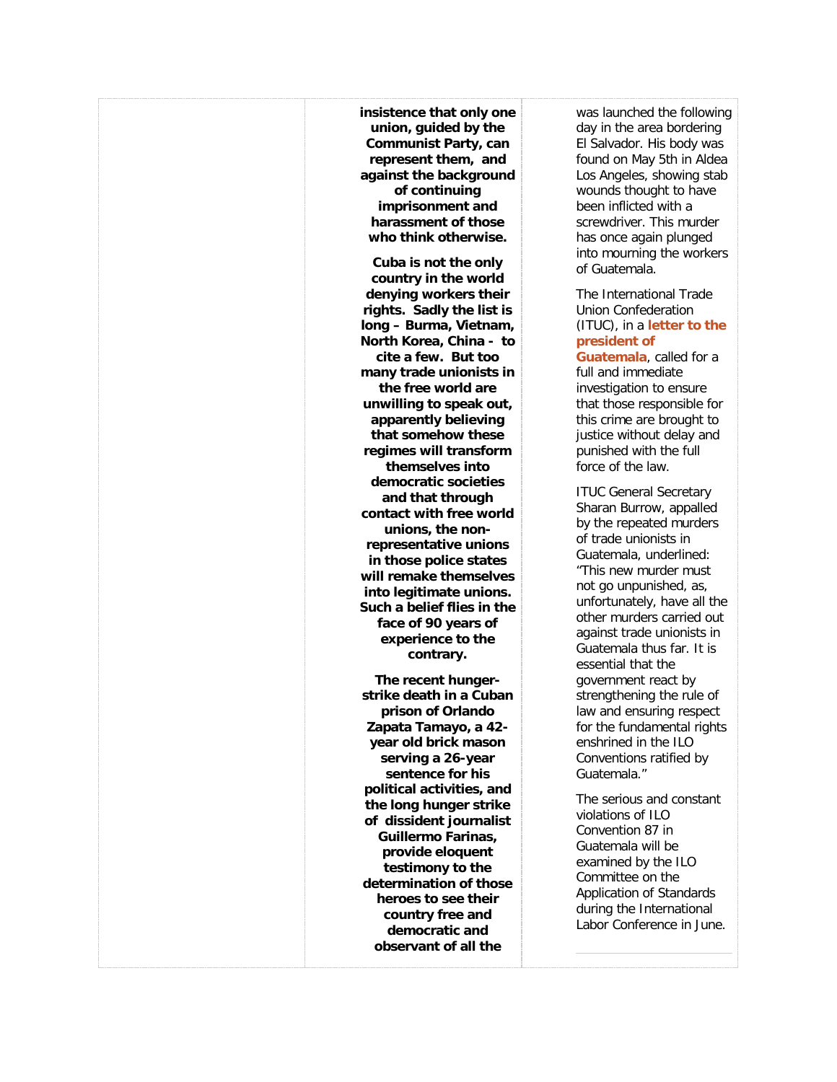**[insistence that only one](http://freetradeunionism.org/)  [union, guided by the](http://freetradeunionism.org/)  [Communist Party, can](http://freetradeunionism.org/)  [represent them, and](http://freetradeunionism.org/)  [against the background](http://freetradeunionism.org/)  [of continuing](http://freetradeunionism.org/)  [imprisonment and](http://freetradeunionism.org/)  [harassment of those](http://freetradeunionism.org/)  [who think otherwise.](http://freetradeunionism.org/) [Cuba is not the only](http://freetradeunionism.org/)  [country in the world](http://freetradeunionism.org/)  [denying workers their](http://freetradeunionism.org/)  [rights. Sadly the list is](http://freetradeunionism.org/)  long – [Burma, Vietnam,](http://freetradeunionism.org/)  [North Korea, China -](http://freetradeunionism.org/) to [cite a few.](http://freetradeunionism.org/) But too [many trade unionists in](http://freetradeunionism.org/)  [the free world are](http://freetradeunionism.org/)  [unwilling to speak out,](http://freetradeunionism.org/)  [apparently believing](http://freetradeunionism.org/)  [that somehow these](http://freetradeunionism.org/)  [regimes will transform](http://freetradeunionism.org/)  [themselves into](http://freetradeunionism.org/)  [democratic societies](http://freetradeunionism.org/)  [and that through](http://freetradeunionism.org/)  [contact with free world](http://freetradeunionism.org/)  [unions, the non](http://freetradeunionism.org/)[representative unions](http://freetradeunionism.org/)  [in those police states](http://freetradeunionism.org/)  [will remake themselves](http://freetradeunionism.org/)  [into legitimate unions.](http://freetradeunionism.org/)  [Such a belief flies in the](http://freetradeunionism.org/)  [face of 90 years of](http://freetradeunionism.org/)  [experience to the](http://freetradeunionism.org/)  [contrary.](http://freetradeunionism.org/) [The recent hunger](http://freetradeunionism.org/)[strike death in a Cuban](http://freetradeunionism.org/)  [prison of Orlando](http://freetradeunionism.org/)  [Zapata Tamayo, a 42](http://freetradeunionism.org/) [year old brick mason](http://freetradeunionism.org/)  [serving a 26-year](http://freetradeunionism.org/)  [sentence for his](http://freetradeunionism.org/)  [political activities, and](http://freetradeunionism.org/)  [the long hunger strike](http://freetradeunionism.org/)  of [dissident journalist](http://freetradeunionism.org/)  [Guillermo Farinas,](http://freetradeunionism.org/)  [provide eloquent](http://freetradeunionism.org/)  [testimony to the](http://freetradeunionism.org/)  [determination of those](http://freetradeunionism.org/)  [heroes to see their](http://freetradeunionism.org/)  [country free and](http://freetradeunionism.org/)  [democratic and](http://freetradeunionism.org/)  [observant of all the](http://freetradeunionism.org/)** 

[was launched the following](http://freetradeunionism.org/)  [day in the area bordering](http://freetradeunionism.org/)  [El Salvador. His body was](http://freetradeunionism.org/)  [found on May 5th in Aldea](http://freetradeunionism.org/)  [Los Angeles, showing stab](http://freetradeunionism.org/)  [wounds thought to have](http://freetradeunionism.org/)  [been inflicted with a](http://freetradeunionism.org/)  [screwdriver. This murder](http://freetradeunionism.org/)  [has once again plunged](http://freetradeunionism.org/)  [into mourning the workers](http://freetradeunionism.org/)  [of Guatemala.](http://freetradeunionism.org/)

### [The International Trade](http://freetradeunionism.org/)  [Union Confederation](http://freetradeunionism.org/)  (ITUC), in a **[letter to the](http://freetradeunionism.org/)  [president of](http://www.ituc-csi.org/IMG/pdf/Protesta_asesinato_de_Lorenzo_Godoy_mayo.pdf)**

**[Guatemala](http://www.ituc-csi.org/IMG/pdf/Protesta_asesinato_de_Lorenzo_Godoy_mayo.pdf)**, called for a [full and immediate](http://freetradeunionism.org/)  [investigation to ensure](http://freetradeunionism.org/)  [that those responsible for](http://freetradeunionism.org/)  [this crime are brought to](http://freetradeunionism.org/)  [justice without delay and](http://freetradeunionism.org/)  [punished with the full](http://freetradeunionism.org/)  [force of the law.](http://freetradeunionism.org/)

[ITUC General Secretary](http://freetradeunionism.org/)  [Sharan Burrow, appalled](http://freetradeunionism.org/)  [by the repeated murders](http://freetradeunionism.org/)  [of trade unionists in](http://freetradeunionism.org/)  [Guatemala, underlined:](http://freetradeunionism.org/)  ["This new murder must](http://freetradeunionism.org/)  [not go unpunished, as,](http://freetradeunionism.org/)  [unfortunately, have all the](http://freetradeunionism.org/)  [other murders carried out](http://freetradeunionism.org/)  [against trade unionists in](http://freetradeunionism.org/)  [Guatemala thus far. It is](http://freetradeunionism.org/)  [essential that the](http://freetradeunionism.org/)  [government react by](http://freetradeunionism.org/)  [strengthening the rule of](http://freetradeunionism.org/)  [law and ensuring respect](http://freetradeunionism.org/)  [for the fundamental rights](http://freetradeunionism.org/)  [enshrined in the ILO](http://freetradeunionism.org/)  [Conventions ratified by](http://freetradeunionism.org/)  [Guatemala."](http://freetradeunionism.org/)

[The serious and constant](http://freetradeunionism.org/)  [violations of ILO](http://freetradeunionism.org/)  [Convention 87 in](http://freetradeunionism.org/)  [Guatemala will be](http://freetradeunionism.org/)  [examined by the ILO](http://freetradeunionism.org/)  [Committee on the](http://freetradeunionism.org/)  Application [of Standards](http://freetradeunionism.org/)  [during the International](http://freetradeunionism.org/)  [Labor Conference in June.](http://freetradeunionism.org/)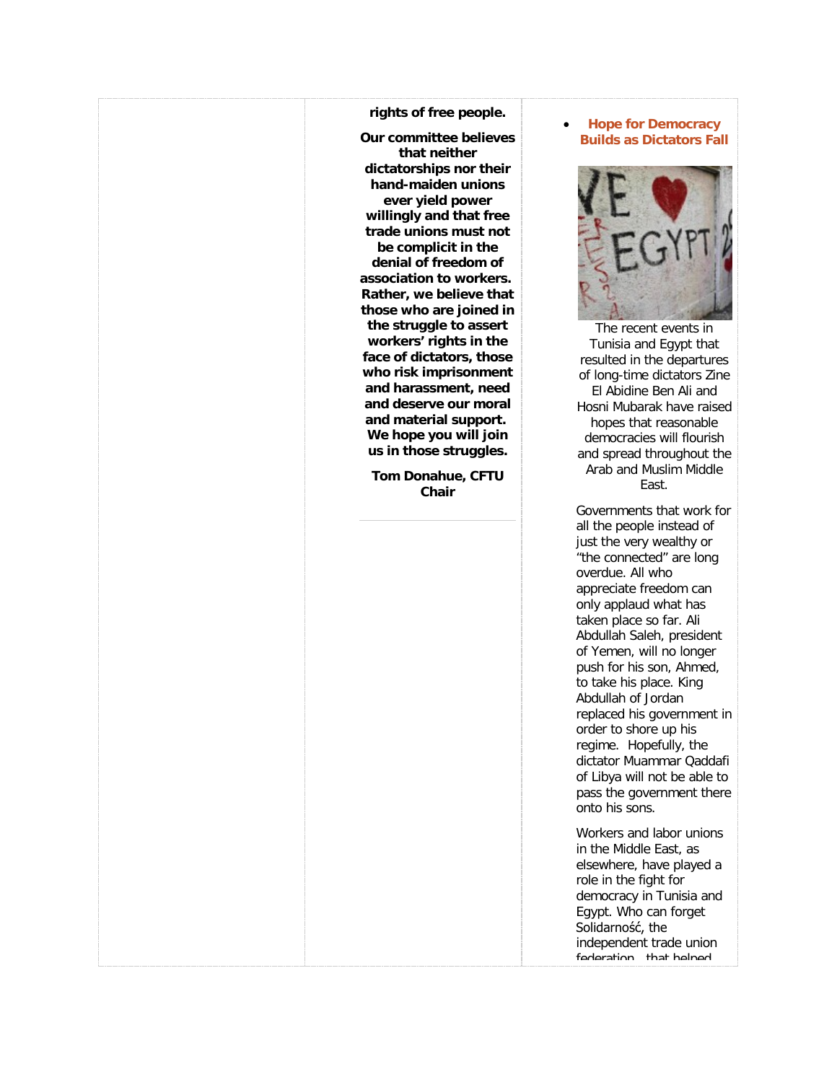### **[rights of free people.](http://freetradeunionism.org/)**

**[Our committee believes](http://freetradeunionism.org/)  [that neither](http://freetradeunionism.org/)  [dictatorships nor their](http://freetradeunionism.org/)  [hand-maiden unions](http://freetradeunionism.org/)  [ever yield power](http://freetradeunionism.org/)  [willingly and that free](http://freetradeunionism.org/)  [trade unions must not](http://freetradeunionism.org/)  [be complicit in the](http://freetradeunionism.org/)  [denial of freedom of](http://freetradeunionism.org/)  [association to workers.](http://freetradeunionism.org/) [Rather, we believe that](http://freetradeunionism.org/)  [those who are joined in](http://freetradeunionism.org/)  [the struggle to assert](http://freetradeunionism.org/)  [workers' rights in the](http://freetradeunionism.org/)  [face of dictators, those](http://freetradeunionism.org/)  [who risk imprisonment](http://freetradeunionism.org/)  [and harassment, need](http://freetradeunionism.org/)  [and deserve our moral](http://freetradeunionism.org/)  [and material support.](http://freetradeunionism.org/) [We hope you will join](http://freetradeunionism.org/)  [us in those struggles.](http://freetradeunionism.org/)**

**[Tom Donahue, CFTU](http://freetradeunionism.org/)  [Chair](http://freetradeunionism.org/)**

### • **[Hope for Democracy](http://freetradeunionism.org/2011/02/hope-for-democracy-builds-as-dictators-fall/)  [Builds as Dictators Fall](http://freetradeunionism.org/2011/02/hope-for-democracy-builds-as-dictators-fall/)**



[The recent events in](http://freetradeunionism.org/)  [Tunisia and Egypt that](http://freetradeunionism.org/)  [resulted in the departures](http://freetradeunionism.org/)  [of long-time dictators Zine](http://freetradeunionism.org/)  [El Abidine Ben Ali and](http://freetradeunionism.org/)  [Hosni Mubarak have raised](http://freetradeunionism.org/)  [hopes that reasonable](http://freetradeunionism.org/)  [democracies will flourish](http://freetradeunionism.org/)  [and spread throughout the](http://freetradeunionism.org/)  [Arab and Muslim Middle](http://freetradeunionism.org/)  [East.](http://freetradeunionism.org/)

[Governments that work for](http://freetradeunionism.org/)  [all the people instead of](http://freetradeunionism.org/)  [just the very wealthy or](http://freetradeunionism.org/)  ["the connected" are long](http://freetradeunionism.org/)  [overdue. All who](http://freetradeunionism.org/)  [appreciate freedom can](http://freetradeunionism.org/)  [only applaud what has](http://freetradeunionism.org/)  [taken place so far. Ali](http://freetradeunionism.org/)  [Abdullah Saleh, president](http://freetradeunionism.org/)  [of Yemen, will no longer](http://freetradeunionism.org/)  [push for his son, Ahmed,](http://freetradeunionism.org/)  [to take his place. King](http://freetradeunionism.org/)  [Abdullah of Jordan](http://freetradeunionism.org/)  [replaced his government in](http://freetradeunionism.org/)  [order to shore up his](http://freetradeunionism.org/)  [regime. Hopefully, the](http://freetradeunionism.org/)  [dictator Muammar Qaddafi](http://freetradeunionism.org/)  [of Libya will not be able to](http://freetradeunionism.org/)  [pass the government there](http://freetradeunionism.org/)  [onto his sons.](http://freetradeunionism.org/)

[Workers and labor unions](http://freetradeunionism.org/)  [in the Middle East, as](http://freetradeunionism.org/)  [elsewhere, have played a](http://freetradeunionism.org/)  [role in the fight for](http://freetradeunionism.org/)  [democracy in Tunisia and](http://freetradeunionism.org/)  [Egypt. Who can forget](http://freetradeunionism.org/)  [Solidarność, the](http://freetradeunionism.org/)  [independent trade union](http://freetradeunionism.org/)  foderation that helped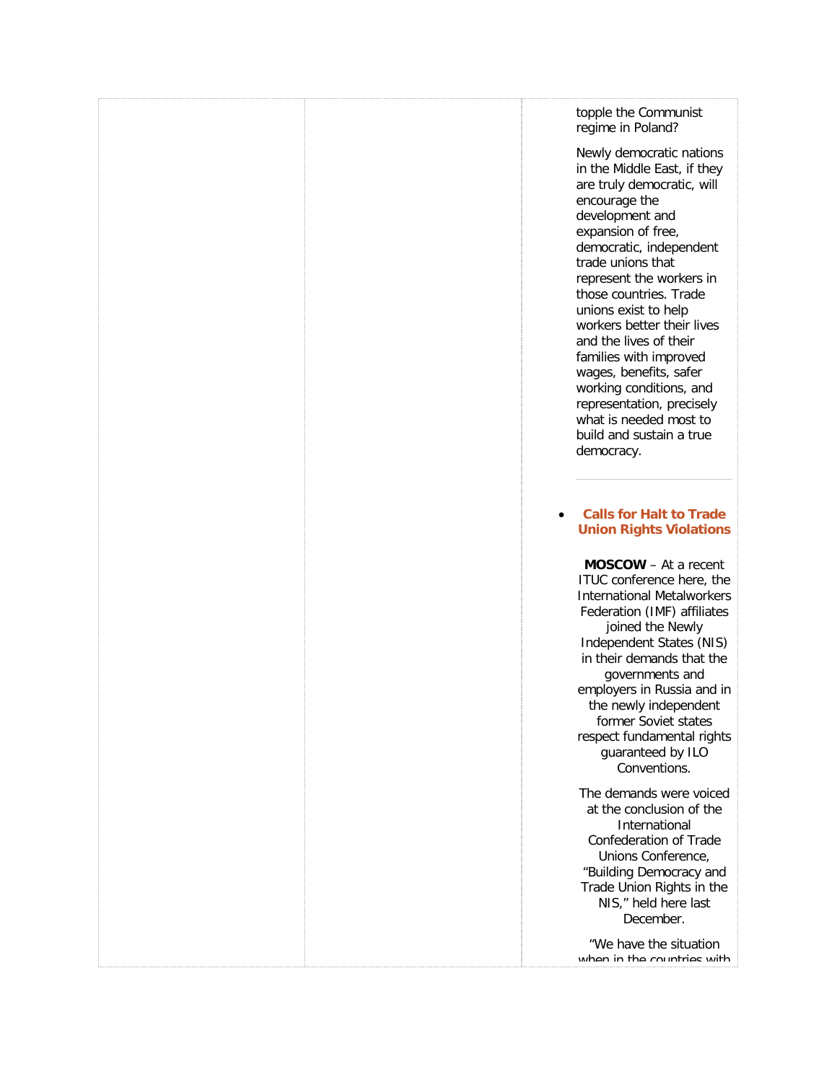### [topple the Communist](http://freetradeunionism.org/)  [regime in Poland?](http://freetradeunionism.org/)

[Newly democratic nations](http://freetradeunionism.org/)  [in the Middle East, if they](http://freetradeunionism.org/)  [are truly democratic, will](http://freetradeunionism.org/)  [encourage the](http://freetradeunionism.org/)  [development and](http://freetradeunionism.org/)  [expansion of free,](http://freetradeunionism.org/)  [democratic, independent](http://freetradeunionism.org/)  [trade unions that](http://freetradeunionism.org/)  [represent the workers in](http://freetradeunionism.org/)  [those countries. Trade](http://freetradeunionism.org/)  [unions exist to help](http://freetradeunionism.org/)  [workers better their lives](http://freetradeunionism.org/)  [and the lives of their](http://freetradeunionism.org/)  [families with improved](http://freetradeunionism.org/)  [wages, benefits, safer](http://freetradeunionism.org/)  [working conditions, and](http://freetradeunionism.org/)  [representation, precisely](http://freetradeunionism.org/)  [what is needed most to](http://freetradeunionism.org/)  [build and sustain a true](http://freetradeunionism.org/)  [democracy.](http://freetradeunionism.org/) 

### • **[Calls for Halt to Trade](http://freetradeunionism.org/)  [Union Rights Violations](http://freetradeunionism.org/2011/02/calls-for-halt-to-trade-union-rights-violations/)**

**MOSCOW** – [At a recent](http://freetradeunionism.org/)  [ITUC conference here, the](http://freetradeunionism.org/)  [International Metalworkers](http://freetradeunionism.org/)  [Federation \(IMF\) affiliates](http://freetradeunionism.org/)  [joined the Newly](http://freetradeunionism.org/)  [Independent States \(NIS\)](http://freetradeunionism.org/)  [in their demands that the](http://freetradeunionism.org/)  [governments and](http://freetradeunionism.org/)  [employers in Russia and in](http://freetradeunionism.org/)  [the newly independent](http://freetradeunionism.org/)  [former Soviet states](http://freetradeunionism.org/)  [respect fundamental rights](http://freetradeunionism.org/)  [guaranteed by ILO](http://freetradeunionism.org/)  [Conventions.](http://freetradeunionism.org/)

[The demands were voiced](http://freetradeunionism.org/)  [at the conclusion of the](http://freetradeunionism.org/)  [International](http://freetradeunionism.org/)  [Confederation of Trade](http://freetradeunionism.org/)  [Unions Conference,](http://freetradeunionism.org/)  ["Building Democracy and](http://freetradeunionism.org/)  [Trade Union Rights in the](http://freetradeunionism.org/)  [NIS," held here last](http://freetradeunionism.org/)  [December.](http://freetradeunionism.org/)

["We have the situation](http://freetradeunionism.org/)  when in the countries with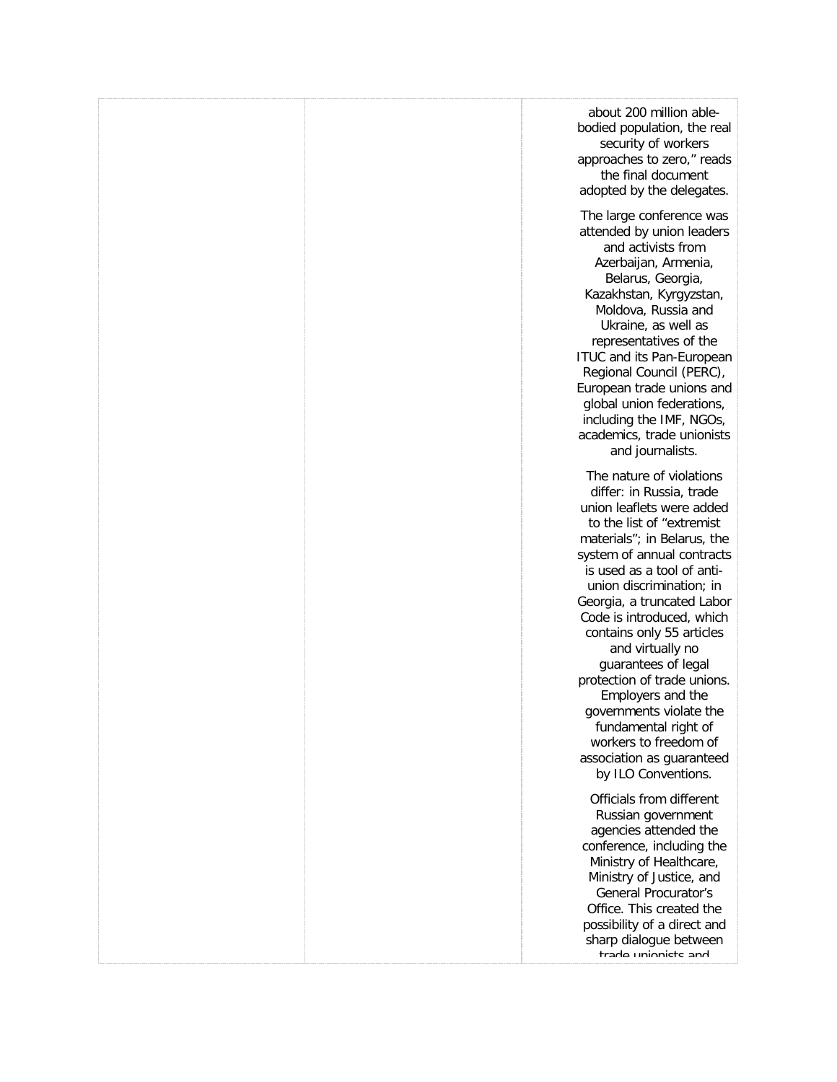|  | about 200 million able-<br>bodied population, the real<br>security of workers<br>approaches to zero," reads<br>the final document<br>adopted by the delegates.                                                                                                                                                                                                                                                                                                                                                                                                |
|--|---------------------------------------------------------------------------------------------------------------------------------------------------------------------------------------------------------------------------------------------------------------------------------------------------------------------------------------------------------------------------------------------------------------------------------------------------------------------------------------------------------------------------------------------------------------|
|  | The large conference was<br>attended by union leaders<br>and activists from<br>Azerbaijan, Armenia,<br>Belarus, Georgia,<br>Kazakhstan, Kyrgyzstan,<br>Moldova, Russia and<br>Ukraine, as well as<br>representatives of the<br>ITUC and its Pan-European<br>Regional Council (PERC),<br>European trade unions and<br>global union federations,<br>including the IMF, NGOs,<br>academics, trade unionists<br>and journalists.                                                                                                                                  |
|  | The nature of violations<br>differ: in Russia, trade<br>union leaflets were added<br>to the list of "extremist"<br>materials"; in Belarus, the<br>system of annual contracts<br>is used as a tool of anti-<br>union discrimination; in<br>Georgia, a truncated Labor<br>Code is introduced, which<br>contains only 55 articles<br>and virtually no<br>guarantees of legal<br>protection of trade unions.<br>Employers and the<br>governments violate the<br>fundamental right of<br>workers to freedom of<br>association as guaranteed<br>by ILO Conventions. |
|  | Officials from different<br>Russian government<br>agencies attended the<br>conference, including the<br>Ministry of Healthcare,<br>Ministry of Justice, and<br><b>General Procurator's</b><br>Office. This created the<br>possibility of a direct and<br>sharp dialogue between<br>trade unionists and                                                                                                                                                                                                                                                        |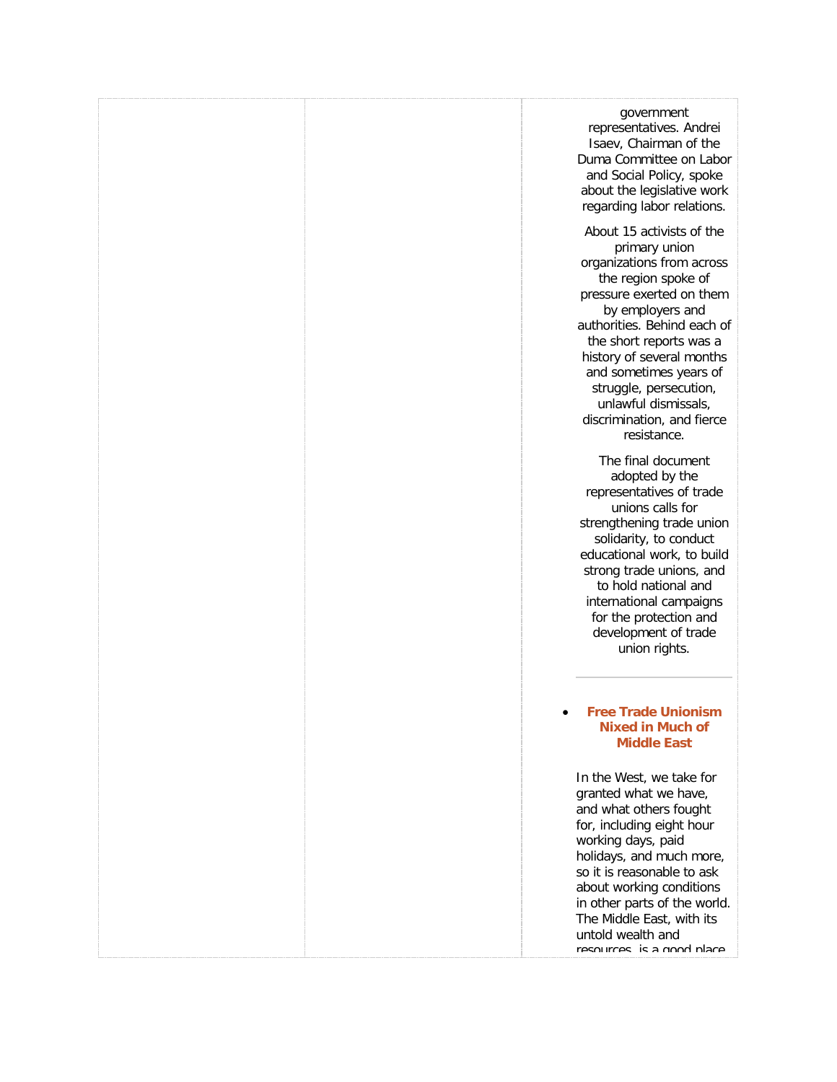| government<br>representatives. Andrei<br>Isaev, Chairman of the<br>Duma Committee on Labor<br>and Social Policy, spoke<br>about the legislative work<br>regarding labor relations.                                                                                                                                                                             |
|----------------------------------------------------------------------------------------------------------------------------------------------------------------------------------------------------------------------------------------------------------------------------------------------------------------------------------------------------------------|
| About 15 activists of the<br>primary union<br>organizations from across<br>the region spoke of<br>pressure exerted on them<br>by employers and<br>authorities. Behind each of<br>the short reports was a<br>history of several months<br>and sometimes years of<br>struggle, persecution,<br>unlawful dismissals,<br>discrimination, and fierce<br>resistance. |
| The final document<br>adopted by the<br>representatives of trade<br>unions calls for<br>strengthening trade union<br>solidarity, to conduct<br>educational work, to build<br>strong trade unions, and<br>to hold national and<br>international campaigns<br>for the protection and<br>development of trade<br>union rights.                                    |
| <b>Free Trade Unionism</b><br><b>Nixed in Much of</b><br><b>Middle East</b>                                                                                                                                                                                                                                                                                    |
| In the West, we take for<br>granted what we have,<br>and what others fought<br>for, including eight hour<br>working days, paid<br>holidays, and much more,<br>so it is reasonable to ask<br>about working conditions<br>in other parts of the world.<br>The Middle East, with its                                                                              |

[untold wealth and](http://freetradeunionism.org/)  resources, is a good place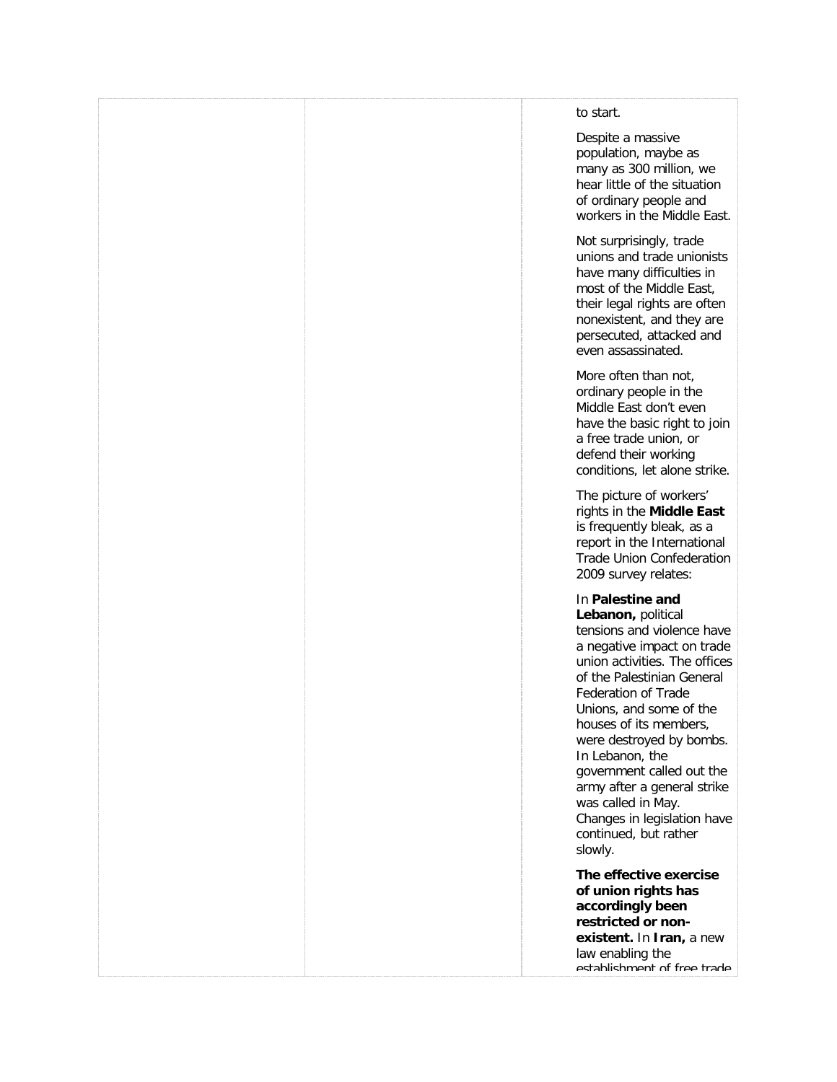| to start.                                                                                                                                                                                                                                                                                                                                                                                                                                                |
|----------------------------------------------------------------------------------------------------------------------------------------------------------------------------------------------------------------------------------------------------------------------------------------------------------------------------------------------------------------------------------------------------------------------------------------------------------|
| Despite a massive<br>population, maybe as<br>many as 300 million, we<br>hear little of the situation<br>of ordinary people and<br>workers in the Middle East.                                                                                                                                                                                                                                                                                            |
| Not surprisingly, trade<br>unions and trade unionists<br>have many difficulties in<br>most of the Middle East,<br>their legal rights are often<br>nonexistent, and they are<br>persecuted, attacked and<br>even assassinated.                                                                                                                                                                                                                            |
| More often than not,<br>ordinary people in the<br>Middle East don't even<br>have the basic right to join<br>a free trade union, or<br>defend their working<br>conditions, let alone strike.                                                                                                                                                                                                                                                              |
| The picture of workers'<br>rights in the Middle East<br>is frequently bleak, as a<br>report in the International<br><b>Trade Union Confederation</b><br>2009 survey relates:                                                                                                                                                                                                                                                                             |
| In Palestine and<br>Lebanon, political<br>tensions and violence have<br>a negative impact on trade<br>union activities. The offices<br>of the Palestinian General<br><b>Federation of Trade</b><br>Unions, and some of the<br>houses of its members,<br>were destroyed by bombs.<br>In Lebanon, the<br>government called out the<br>army after a general strike<br>was called in May.<br>Changes in legislation have<br>continued, but rather<br>slowly. |
| The effective exercise<br>of union rights has<br>accordingly been<br>restricted or non-<br>existent. In Iran, a new<br>law enabling the<br>actahlichmant of fraa trada                                                                                                                                                                                                                                                                                   |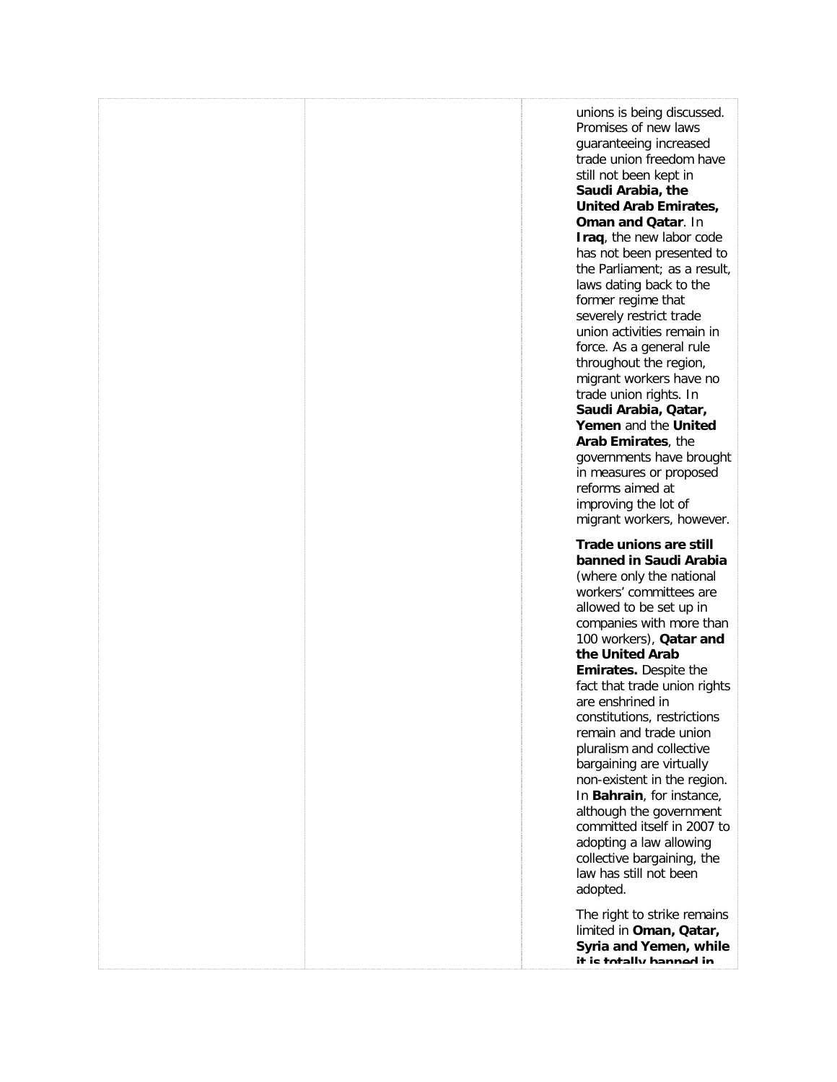[unions is being discussed.](http://freetradeunionism.org/)  [Promises of new laws](http://freetradeunionism.org/)  [guaranteeing increased](http://freetradeunionism.org/)  [trade union freedom have](http://freetradeunionism.org/)  [still not been kept in](http://freetradeunionism.org/)  **[Saudi Arabia, the](http://freetradeunionism.org/)  [United Arab Emirates,](http://freetradeunionism.org/)  [Oman and Qatar](http://freetradeunionism.org/)**. In **Iraq**[, the new labor code](http://freetradeunionism.org/)  [has not been presented to](http://freetradeunionism.org/)  [the Parliament; as a result,](http://freetradeunionism.org/)  [laws dating back to the](http://freetradeunionism.org/)  [former regime that](http://freetradeunionism.org/)  [severely restrict trade](http://freetradeunionism.org/)  [union activities remain in](http://freetradeunionism.org/)  [force. As a general rule](http://freetradeunionism.org/)  [throughout the region,](http://freetradeunionism.org/)  [migrant workers have no](http://freetradeunionism.org/)  [trade union rights. In](http://freetradeunionism.org/)  **[Saudi Arabia, Qatar,](http://freetradeunionism.org/)  Yemen** [and the](http://freetradeunionism.org/) **United [Arab Emirates](http://freetradeunionism.org/)**, the [governments have brought](http://freetradeunionism.org/)  [in measures or proposed](http://freetradeunionism.org/)  [reforms aimed at](http://freetradeunionism.org/)  [improving the lot of](http://freetradeunionism.org/)  [migrant workers, however.](http://freetradeunionism.org/) **[Trade unions are still](http://freetradeunionism.org/)** 

**[banned in Saudi Arabia](http://freetradeunionism.org/)** [\(where only the national](http://freetradeunionism.org/)  [workers' committees are](http://freetradeunionism.org/)  [allowed to be set up in](http://freetradeunionism.org/)  [companies with more than](http://freetradeunionism.org/)  [100 workers\),](http://freetradeunionism.org/) **Qatar and [the United Arab](http://freetradeunionism.org/)  Emirates.** [Despite the](http://freetradeunionism.org/)  [fact that trade union rights](http://freetradeunionism.org/)  [are enshrined in](http://freetradeunionism.org/)  [constitutions, restrictions](http://freetradeunionism.org/)  [remain and trade union](http://freetradeunionism.org/)  [pluralism and collective](http://freetradeunionism.org/)  [bargaining are virtually](http://freetradeunionism.org/)  [non-existent in the region.](http://freetradeunionism.org/)  In **Bahrain**[, for instance,](http://freetradeunionism.org/)  [although the government](http://freetradeunionism.org/)  [committed itself in 2007 to](http://freetradeunionism.org/)  [adopting a law allowing](http://freetradeunionism.org/)  [collective bargaining, the](http://freetradeunionism.org/)  [law has still not been](http://freetradeunionism.org/)  [adopted.](http://freetradeunionism.org/)

[The right to strike remains](http://freetradeunionism.org/)  limited in **[Oman, Qatar,](http://freetradeunionism.org/)  [Syria and Yemen,](http://freetradeunionism.org/) while [it is totally banned in](http://freetradeunionism.org/)**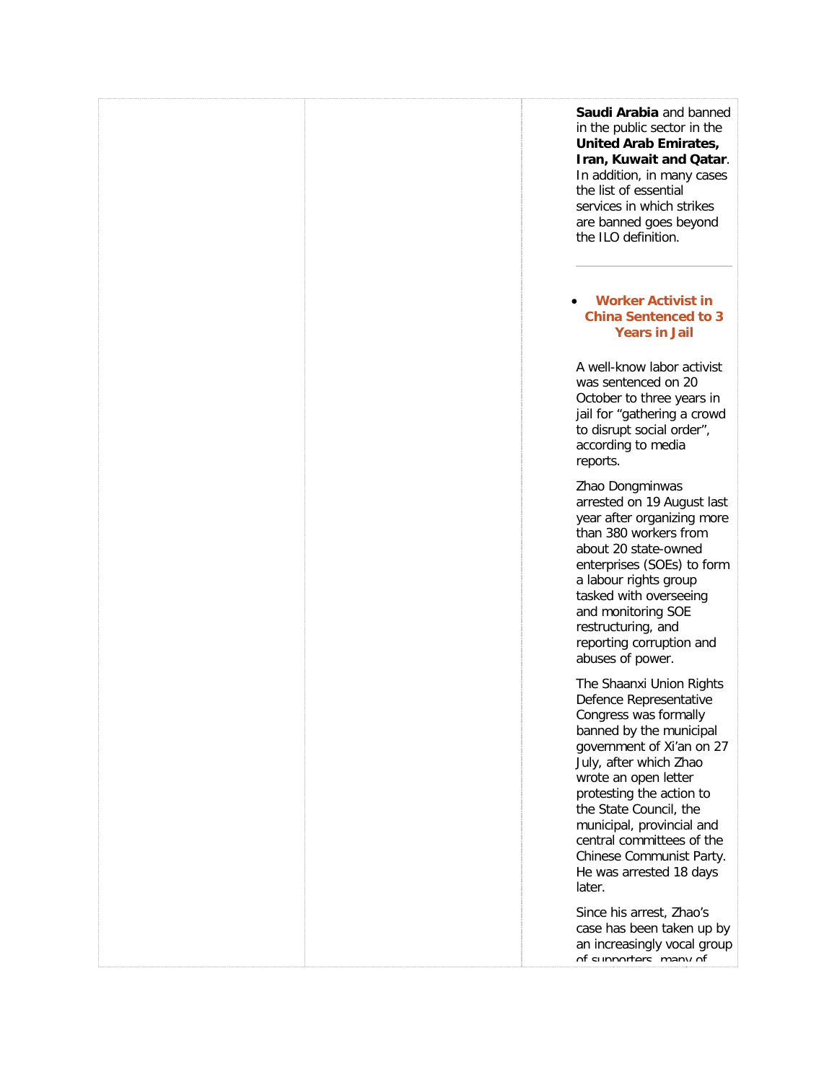**[Saudi Arabia](http://freetradeunionism.org/)** and banned [in the public sector in the](http://freetradeunionism.org/)  **[United Arab](http://freetradeunionism.org/) Emirates, [Iran, Kuwait and Qatar](http://freetradeunionism.org/)**. [In addition, in many cases](http://freetradeunionism.org/)  [the list of essential](http://freetradeunionism.org/)  [services in which strikes](http://freetradeunionism.org/)  [are banned goes beyond](http://freetradeunionism.org/)  [the ILO definition.](http://freetradeunionism.org/)

### • **[Worker Activist in](http://freetradeunionism.org/2010/10/worker-activist-in-china-sentenced-to-3-years-in-jail/)  [China Sentenced to 3](http://freetradeunionism.org/2010/10/worker-activist-in-china-sentenced-to-3-years-in-jail/)  [Years in Jail](http://freetradeunionism.org/2010/10/worker-activist-in-china-sentenced-to-3-years-in-jail/)**

[A well-know labor activist](http://freetradeunionism.org/)  [was sentenced on 20](http://freetradeunionism.org/)  [October to three years in](http://freetradeunionism.org/)  [jail for "gathering a crowd](http://freetradeunionism.org/)  [to disrupt social order",](http://freetradeunionism.org/)  [according to media](http://freetradeunionism.org/)  [reports.](http://freetradeunionism.org/)

[Zhao Dongminwas](http://freetradeunionism.org/)  [arrested on 19 August last](http://freetradeunionism.org/)  [year after organizing more](http://freetradeunionism.org/)  [than 380 workers from](http://freetradeunionism.org/)  [about 20 state-owned](http://freetradeunionism.org/)  [enterprises \(SOEs\) to form](http://freetradeunionism.org/)  [a labour rights group](http://freetradeunionism.org/)  [tasked with overseeing](http://freetradeunionism.org/)  [and monitoring SOE](http://freetradeunionism.org/)  [restructuring, and](http://freetradeunionism.org/)  [reporting corruption and](http://freetradeunionism.org/)  [abuses of power.](http://freetradeunionism.org/)

[The Shaanxi Union Rights](http://freetradeunionism.org/)  [Defence Representative](http://freetradeunionism.org/)  [Congress was](http://freetradeunionism.org/) [f](http://www.clb.org.hk/en/node/100560)ormally [banned by the municipal](http://freetradeunionism.org/)  [government of Xi'an on 27](http://freetradeunionism.org/)  [July, after which Zhao](http://freetradeunionism.org/)  [wrote an open letter](http://freetradeunionism.org/)  [protesting the action to](http://freetradeunionism.org/)  [the State Council, the](http://freetradeunionism.org/)  [municipal, provincial and](http://freetradeunionism.org/)  [central committees of the](http://freetradeunionism.org/)  [Chinese Communist Party.](http://freetradeunionism.org/)  [He was arrested 18 days](http://freetradeunionism.org/)  [later.](http://freetradeunionism.org/) 

[Since his arrest, Zhao's](http://freetradeunionism.org/)  [case has been taken up by](http://freetradeunionism.org/)  [an increasingly vocal group](http://freetradeunionism.org/)  of supporters, many of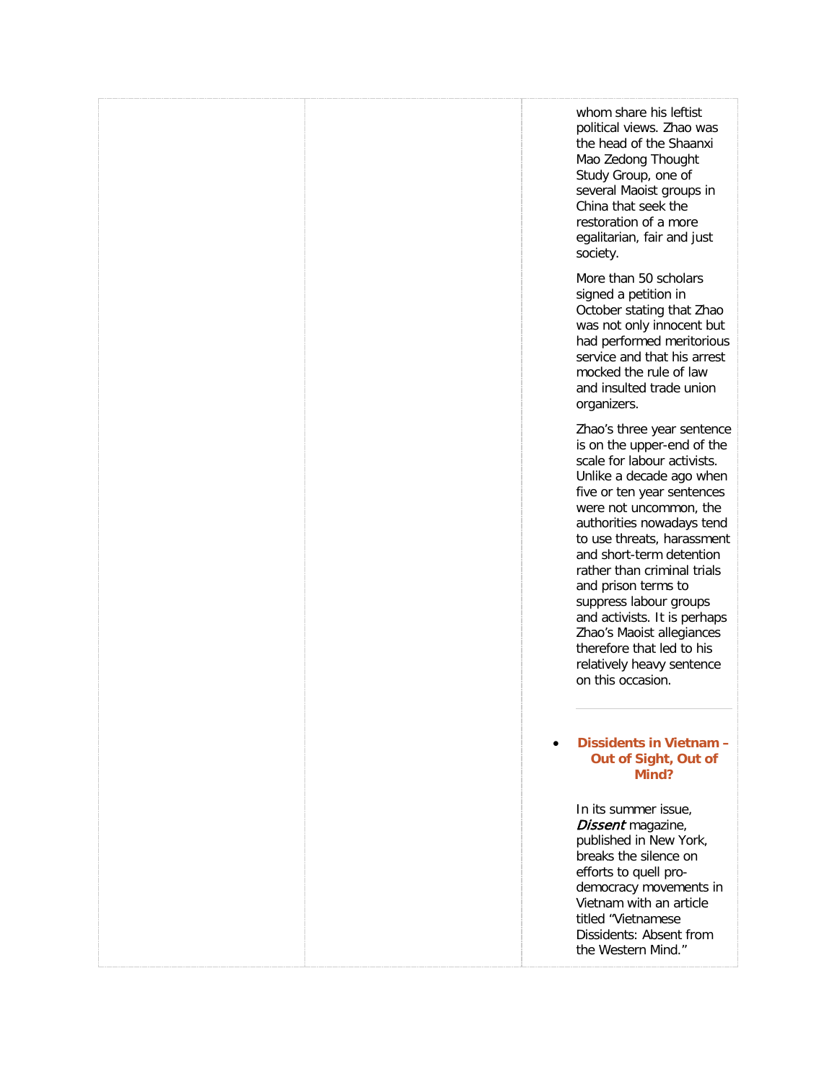| whom share his leftist<br>political views. Zhao was<br>the head of the Shaanxi<br>Mao Zedong Thought<br>Study Group, one of<br>several Maoist groups in<br>China that seek the<br>restoration of a more<br>egalitarian, fair and just<br>society.                                                                                                                                                                                                                                              |
|------------------------------------------------------------------------------------------------------------------------------------------------------------------------------------------------------------------------------------------------------------------------------------------------------------------------------------------------------------------------------------------------------------------------------------------------------------------------------------------------|
| More than 50 scholars<br>signed a petition in<br>October stating that Zhao<br>was not only innocent but<br>had performed meritorious<br>service and that his arrest<br>mocked the rule of law<br>and insulted trade union<br>organizers.                                                                                                                                                                                                                                                       |
| Zhao's three year sentence<br>is on the upper-end of the<br>scale for labour activists.<br>Unlike a decade ago when<br>five or ten year sentences<br>were not uncommon, the<br>authorities nowadays tend<br>to use threats, harassment<br>and short-term detention<br>rather than criminal trials<br>and prison terms to<br>suppress labour groups<br>and activists. It is perhaps<br>Zhao's Maoist allegiances<br>therefore that led to his<br>relatively heavy sentence<br>on this occasion. |
| Dissidents in Vietnam -<br>Out of Sight, Out of<br>Mind?                                                                                                                                                                                                                                                                                                                                                                                                                                       |
| In its summer issue,<br>Dissent magazine,<br>published in New York,<br>breaks the silence on<br>efforts to quell pro-<br>democracy movements in<br>Vietnam with an article<br>titled "Vietnamese<br>Dissidents: Absent from<br>the Western Mind."                                                                                                                                                                                                                                              |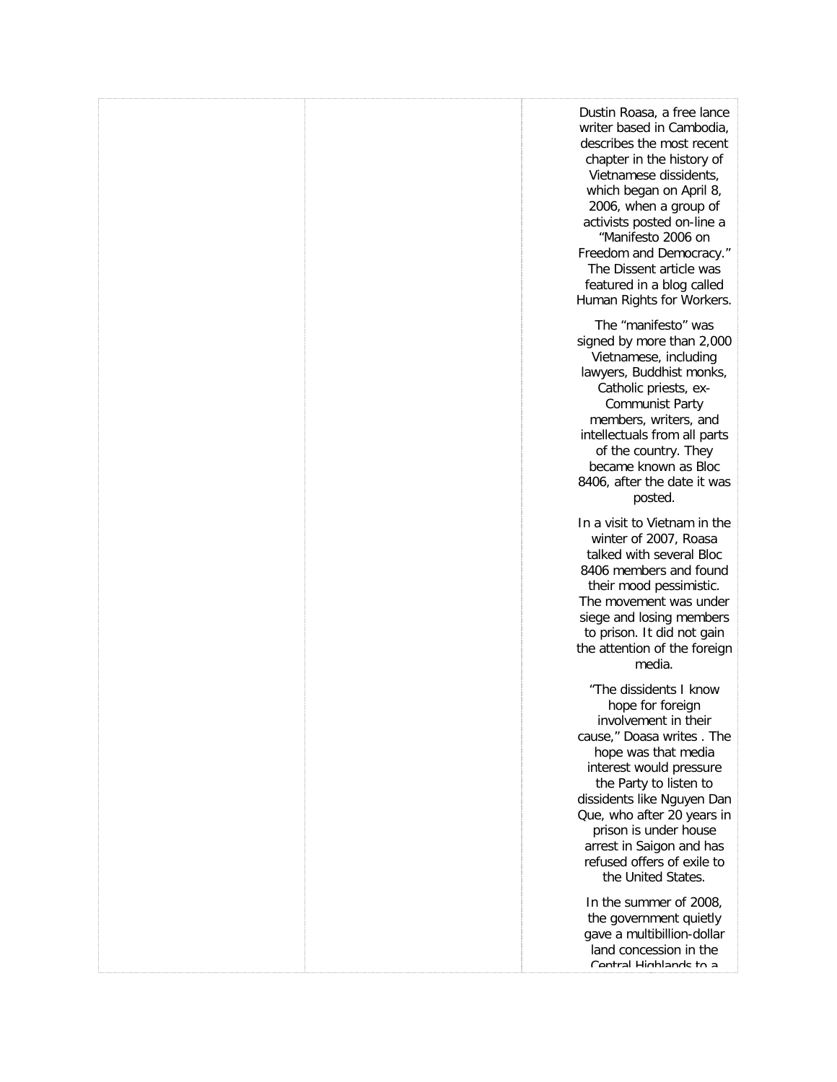| Dustin Roasa, a free lance<br>writer based in Cambodia,<br>describes the most recent<br>chapter in the history of<br>Vietnamese dissidents,<br>which began on April 8,<br>2006, when a group of<br>activists posted on-line a<br>"Manifesto 2006 on<br>Freedom and Democracy."<br>The Dissent article was<br>featured in a blog called<br>Human Rights for Workers. |
|---------------------------------------------------------------------------------------------------------------------------------------------------------------------------------------------------------------------------------------------------------------------------------------------------------------------------------------------------------------------|
| The "manifesto" was<br>signed by more than 2,000<br>Vietnamese, including<br>lawyers, Buddhist monks,<br>Catholic priests, ex-<br><b>Communist Party</b><br>members, writers, and<br>intellectuals from all parts<br>of the country. They<br>became known as Bloc<br>8406, after the date it was<br>posted.                                                         |
| In a visit to Vietnam in the<br>winter of 2007, Roasa<br>talked with several Bloc<br>8406 members and found<br>their mood pessimistic.<br>The movement was under<br>siege and losing members<br>to prison. It did not gain<br>the attention of the foreign<br>media.                                                                                                |
| "The dissidents I know<br>hope for foreign<br>involvement in their<br>cause," Doasa writes. The<br>hope was that media<br>interest would pressure<br>the Party to listen to<br>dissidents like Nguyen Dan<br>Que, who after 20 years in<br>prison is under house<br>arrest in Saigon and has<br>refused offers of exile to<br>the United States.                    |
| In the summer of 2008,<br>the government quietly<br>gave a multibillion-dollar<br>land concession in the<br>Cantral Hinhlande to a                                                                                                                                                                                                                                  |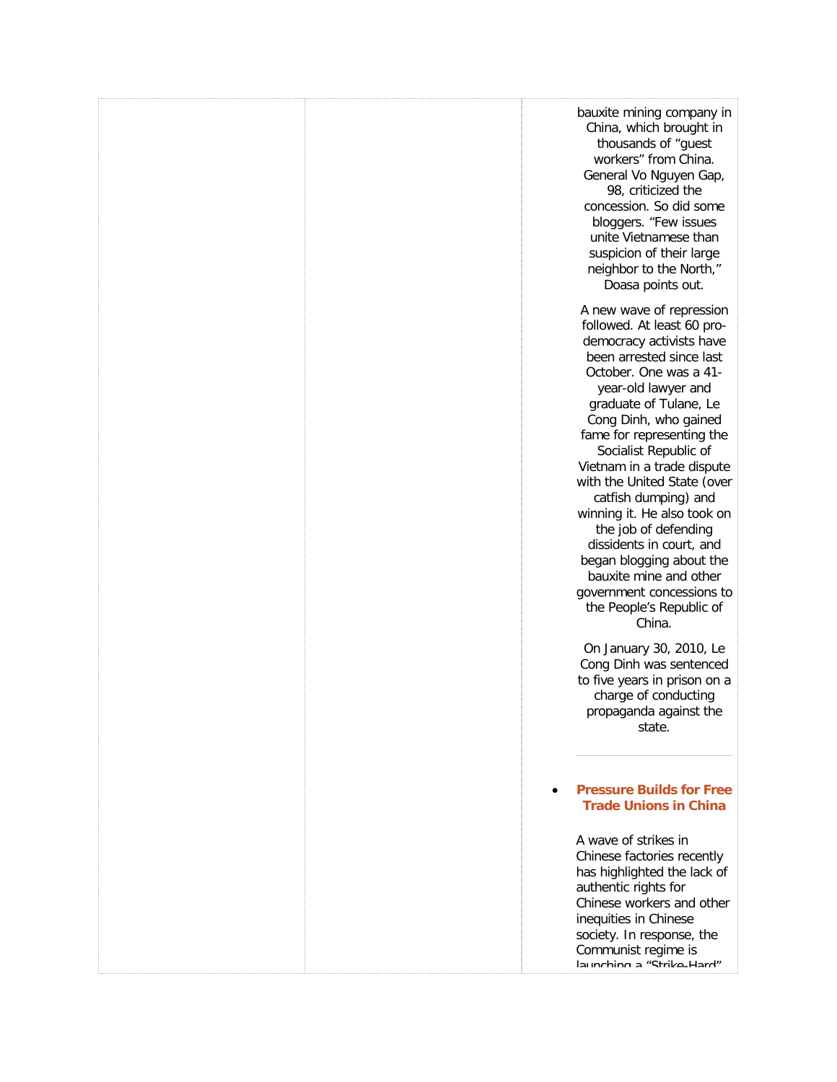| bauxite mining company in<br>China, which brought in<br>thousands of "guest<br>workers" from China.<br>General Vo Nguyen Gap,<br>98, criticized the<br>concession. So did some<br>bloggers. "Few issues<br>unite Vietnamese than<br>suspicion of their large<br>neighbor to the North,"<br>Doasa points out.                                                                                                                                                                                                                                                                                                                                                                                                      |
|-------------------------------------------------------------------------------------------------------------------------------------------------------------------------------------------------------------------------------------------------------------------------------------------------------------------------------------------------------------------------------------------------------------------------------------------------------------------------------------------------------------------------------------------------------------------------------------------------------------------------------------------------------------------------------------------------------------------|
| A new wave of repression<br>followed. At least 60 pro-<br>democracy activists have<br>been arrested since last<br>October. One was a 41-<br>year-old lawyer and<br>graduate of Tulane, Le<br>Cong Dinh, who gained<br>fame for representing the<br>Socialist Republic of<br>Vietnam in a trade dispute<br>with the United State (over<br>catfish dumping) and<br>winning it. He also took on<br>the job of defending<br>dissidents in court, and<br>began blogging about the<br>bauxite mine and other<br>government concessions to<br>the People's Republic of<br>China.<br>On January 30, 2010, Le<br>Cong Dinh was sentenced<br>to five years in prison on a<br>charge of conducting<br>propaganda against the |
| state.<br><b>Pressure Builds for Free</b><br><b>Trade Unions in China</b><br>A wave of strikes in<br>Chinese factories recently<br>has highlighted the lack of<br>authentic rights for<br>Chinese workers and other<br>inequities in Chinese<br>society. In response, the<br>Communist regime is<br>launching a "Strike-Hard"                                                                                                                                                                                                                                                                                                                                                                                     |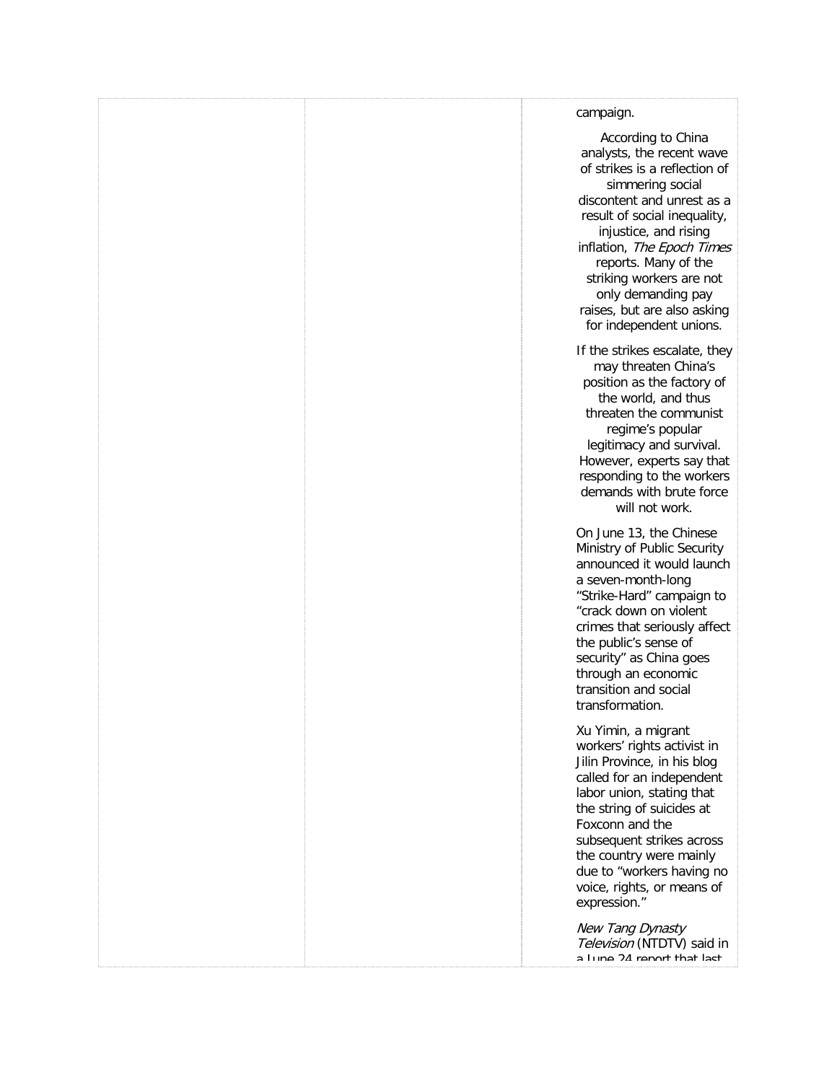### [campaign.](http://freetradeunionism.org/) [According to China](http://freetradeunionism.org/)  [analysts, the recent wave](http://freetradeunionism.org/)  [of strikes is a reflection of](http://freetradeunionism.org/)  [simmering social](http://freetradeunionism.org/)  [discontent and unrest as a](http://freetradeunionism.org/)  [result of social inequality,](http://freetradeunionism.org/)  [injustice, and rising](http://freetradeunionism.org/)  inflation, [The Epoch Times](http://freetradeunionism.org/) [reports. Many of the](http://freetradeunionism.org/)  [striking workers are not](http://freetradeunionism.org/)  [only demanding pay](http://freetradeunionism.org/)  [raises, but are also asking](http://freetradeunionism.org/)  [for independent unions.](http://freetradeunionism.org/) [If the strikes escalate, they](http://freetradeunionism.org/)  [may threaten China's](http://freetradeunionism.org/)  [position as the factory of](http://freetradeunionism.org/)  [the world, and thus](http://freetradeunionism.org/)  [threaten the communist](http://freetradeunionism.org/)  [regime's popular](http://freetradeunionism.org/)  [legitimacy and survival.](http://freetradeunionism.org/)  [However, experts say that](http://freetradeunionism.org/)  [responding to the workers](http://freetradeunionism.org/)  [demands with](http://freetradeunionism.org/) brute force [will not work.](http://freetradeunionism.org/)  [On June 13, the Chinese](http://freetradeunionism.org/)  [Ministry of Public Security](http://freetradeunionism.org/)  [announced it would launch](http://freetradeunionism.org/)  [a seven-month-long](http://freetradeunionism.org/)  ["Strike-Hard" campaign to](http://freetradeunionism.org/)  ["crack down on violent](http://freetradeunionism.org/)  [crimes that seriously affect](http://freetradeunionism.org/)  [the public's sense of](http://freetradeunionism.org/)  [security" as China goes](http://freetradeunionism.org/)  [through an economic](http://freetradeunionism.org/)  [transition and social](http://freetradeunionism.org/)  [transformation.](http://freetradeunionism.org/) [Xu Yimin, a migrant](http://freetradeunionism.org/)  workers' rights activist in [Jilin Province, in his blog](http://freetradeunionism.org/)  [called for an independent](http://freetradeunionism.org/)  [labor union, stating that](http://freetradeunionism.org/)  [the string of suicides at](http://freetradeunionism.org/)  [Foxconn and the](http://freetradeunionism.org/)  [subsequent strikes across](http://freetradeunionism.org/)  [the country were mainly](http://freetradeunionism.org/)  [due to "workers having no](http://freetradeunionism.org/)

[New Tang Dynasty](http://freetradeunionism.org/)  Television [\(NTDTV\) said in](http://freetradeunionism.org/)  a lung 24 report that last

[voice, rights, or means of](http://freetradeunionism.org/) 

[expression."](http://freetradeunionism.org/)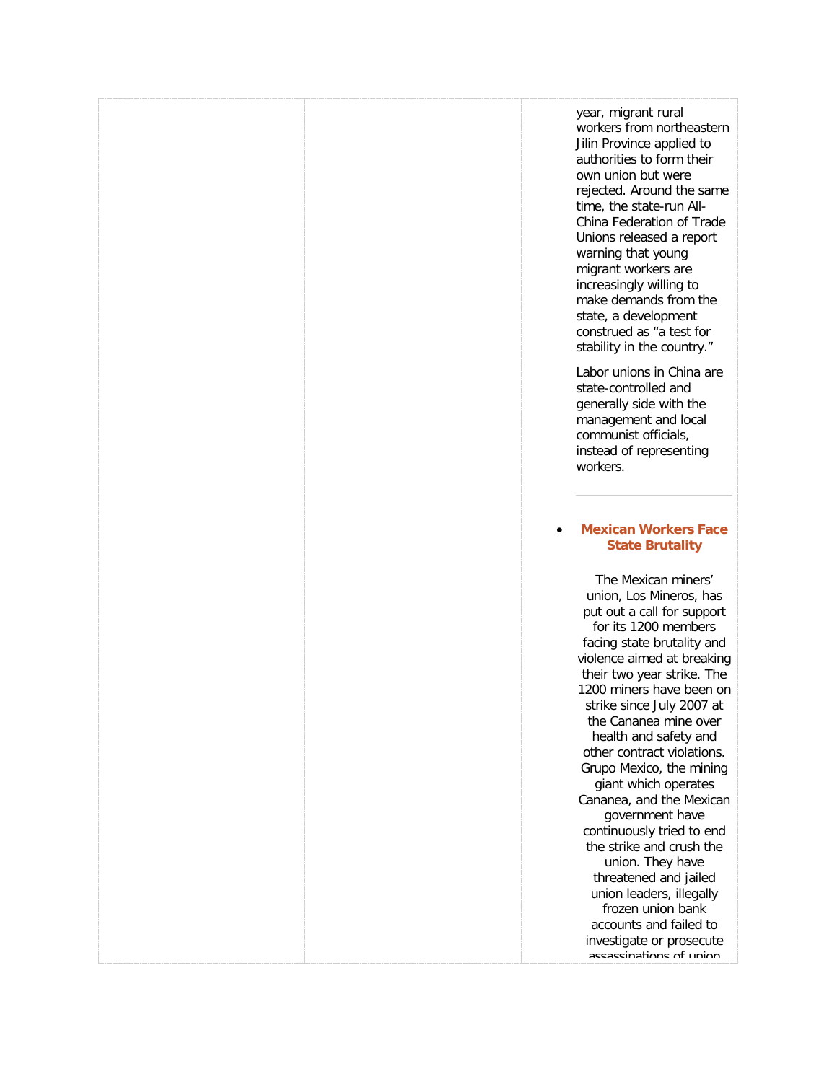[year, migrant rural](http://freetradeunionism.org/)  [workers from northeastern](http://freetradeunionism.org/)  [Jilin Province applied to](http://freetradeunionism.org/)  [authorities to form their](http://freetradeunionism.org/)  [own union but were](http://freetradeunionism.org/)  [rejected. Around the same](http://freetradeunionism.org/)  [time, the state-run All-](http://freetradeunionism.org/)[China Federation of Trade](http://freetradeunionism.org/)  [Unions released a report](http://freetradeunionism.org/)  [warning that young](http://freetradeunionism.org/)  [migrant workers are](http://freetradeunionism.org/)  [increasingly willing to](http://freetradeunionism.org/)  [make demands from the](http://freetradeunionism.org/)  [state, a development](http://freetradeunionism.org/)  [construed as "a test for](http://freetradeunionism.org/)  [stability in the country."](http://freetradeunionism.org/)

[Labor unions in China are](http://freetradeunionism.org/)  [state-controlled and](http://freetradeunionism.org/)  [generally side with the](http://freetradeunionism.org/)  [management and local](http://freetradeunionism.org/)  [communist officials,](http://freetradeunionism.org/)  [instead of representing](http://freetradeunionism.org/)  [workers.](http://freetradeunionism.org/)

### • **[Mexican Workers Face](http://freetradeunionism.org/2010/04/mexican-workers-face-state-brutality/)  [State Brutality](http://freetradeunionism.org/2010/04/mexican-workers-face-state-brutality/)**

[The Mexican miners'](http://freetradeunionism.org/)  [union, Los Mineros, has](http://freetradeunionism.org/)  [put out a call for support](http://freetradeunionism.org/)  [for its 1200 members](http://freetradeunionism.org/)  [facing state brutality and](http://freetradeunionism.org/)  [violence aimed at breaking](http://freetradeunionism.org/)  [their two year strike. The](http://freetradeunionism.org/)  [1200 miners have been on](http://freetradeunionism.org/)  [strike since July 2007 at](http://freetradeunionism.org/)  [the Cananea mine over](http://freetradeunionism.org/)  [health and safety and](http://freetradeunionism.org/)  [other contract violations.](http://freetradeunionism.org/)  [Grupo Mexico, the mining](http://freetradeunionism.org/)  [giant which operates](http://freetradeunionism.org/)  [Cananea, and the Mexican](http://freetradeunionism.org/)  [government have](http://freetradeunionism.org/)  [continuously tried to end](http://freetradeunionism.org/)  [the strike and crush the](http://freetradeunionism.org/)  [union. They have](http://freetradeunionism.org/)  [threatened and jailed](http://freetradeunionism.org/)  [union leaders, illegally](http://freetradeunionism.org/)  [frozen union bank](http://freetradeunionism.org/)  [accounts and failed to](http://freetradeunionism.org/)  [investigate or prosecute](http://freetradeunionism.org/)  accaccinations of union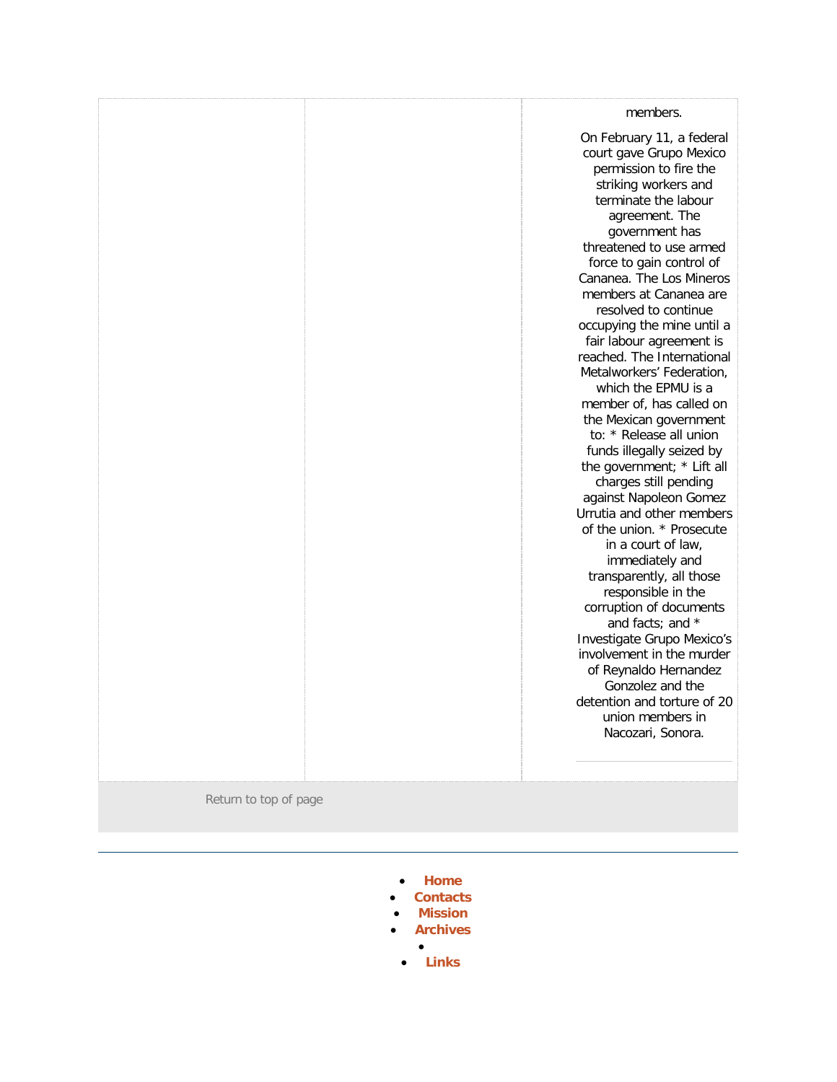|                       | members.<br>On February 11, a federal<br>court gave Grupo Mexico<br>permission to fire the<br>striking workers and<br>terminate the labour<br>agreement. The<br>government has<br>threatened to use armed<br>force to gain control of<br>Cananea. The Los Mineros<br>members at Cananea are<br>resolved to continue<br>occupying the mine until a<br>fair labour agreement is<br>reached. The International<br>Metalworkers' Federation,<br>which the EPMU is a<br>member of, has called on<br>the Mexican government<br>to: * Release all union<br>funds illegally seized by<br>the government; * Lift all<br>charges still pending<br>against Napoleon Gomez<br>Urrutia and other members<br>of the union. * Prosecute<br>in a court of law,<br>immediately and<br>transparently, all those |
|-----------------------|-----------------------------------------------------------------------------------------------------------------------------------------------------------------------------------------------------------------------------------------------------------------------------------------------------------------------------------------------------------------------------------------------------------------------------------------------------------------------------------------------------------------------------------------------------------------------------------------------------------------------------------------------------------------------------------------------------------------------------------------------------------------------------------------------|
|                       | responsible in the<br>corruption of documents<br>and facts; and *<br>Investigate Grupo Mexico's<br>involvement in the murder                                                                                                                                                                                                                                                                                                                                                                                                                                                                                                                                                                                                                                                                  |
|                       | of Reynaldo Hernandez<br>Gonzolez and the<br>detention and torture of 20<br>union members in<br>Nacozari, Sonora.                                                                                                                                                                                                                                                                                                                                                                                                                                                                                                                                                                                                                                                                             |
| Return to top of page |                                                                                                                                                                                                                                                                                                                                                                                                                                                                                                                                                                                                                                                                                                                                                                                               |

• **[Home](http://freetradeunionism.org/)**

[mmittee for Free Trade Unionism](http://freetradeunionism.org/)

- **[Contacts](http://freetradeunionism.org/contact-us/)**
- **[Mission](http://freetradeunionism.org/our-mission/)**
- **[Archives](http://freetradeunionism.org/archives/)**
	- • **[Links](http://freetradeunionism.org/links/)**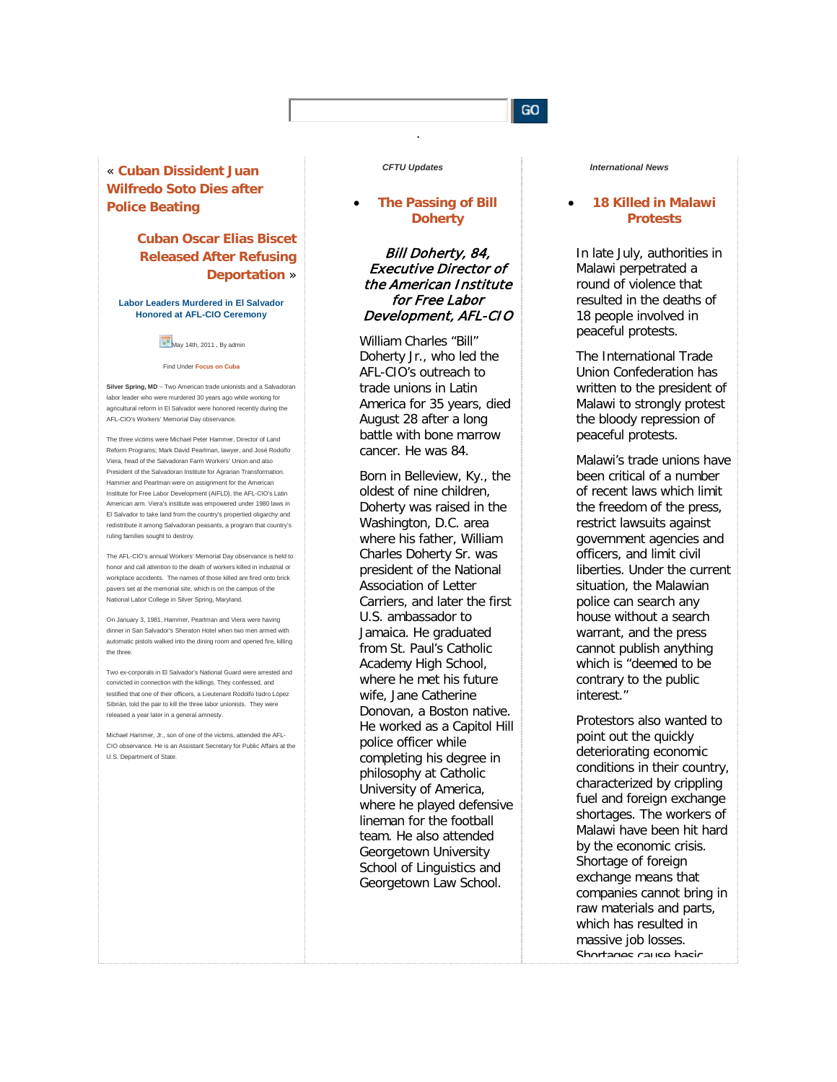### GO.

« **[Cuban Dissident Juan](http://freetradeunionism.org/2011/05/cuban-dissident-juan-wilfredo-soto-dies-after-police-beating/)  [Wilfredo Soto Dies after](http://freetradeunionism.org/2011/05/cuban-dissident-juan-wilfredo-soto-dies-after-police-beating/)  [Police Beating](http://freetradeunionism.org/2011/05/cuban-dissident-juan-wilfredo-soto-dies-after-police-beating/)**

## **[Cuban Oscar Elias Biscet](http://freetradeunionism.org/2011/03/cuban-oscar-elias-biscet-released-after-refusing-deportation-to-spain/)  [Released After Refusing](http://freetradeunionism.org/2011/03/cuban-oscar-elias-biscet-released-after-refusing-deportation-to-spain/)  [Deportation](http://freetradeunionism.org/2011/03/cuban-oscar-elias-biscet-released-after-refusing-deportation-to-spain/)** »

#### **Labor Leaders Murdered in El Salvador Honored at AFL-CIO Ceremony**

May 14th, 2011, By admin

#### Find Under **[Focus on Cuba](http://freetradeunionism.org/category/focus-on-cuba/)**

**Silver Spring, MD** – Two American trade unionists and a Salvadoran labor leader who were murdered 30 years ago while working for agricultural reform in El Salvador were honored recently during the AFL-CIO's Workers' Memorial Day observance.

The three victims were Michael Peter Hammer, Director of Land Reform Programs; Mark David Pearlman, lawyer, and José Rodolfo Viera, head of the Salvadoran Farm Workers' Union and also President of the Salvadoran Institute for Agrarian Transformation. Hammer and Pearlman were on assignment for the American Institute for Free Labor Development (AIFLD), the AFL-CIO's Latin American arm. Viera's institute was empowered under 1980 laws in El Salvador to take land from the country's propertied oligarchy and redistribute it among Salvadoran peasants, a program that country's ruling families sought to destroy.

The AFL-CIO's annual Workers' Memorial Day observance is held to honor and call attention to the death of workers killed in industrial or workplace accidents. The names of those killed are fired onto brick pavers set at the memorial site, which is on the campus of the National Labor College in Silver Spring, Maryland.

On January 3, 1981, Hammer, Pearlman and Viera were having dinner in San Salvador's Sheraton Hotel when two men armed with automatic pistols walked into the dining room and opened fire, killing the three.

Two ex-corporals in El Salvador's National Guard were arrested and convicted in connection with the killings. They confessed, and testified that one of their officers, a Lieutenant Rodolfo Isidro López Sibrián, told the pair to kill the three labor unionists. They were released a year later in a general amnesty.

Michael Hammer, Jr., son of one of the victims, attended the AFL-CIO observance. He is an Assistant Secretary for Public Affairs at the U.S. Department of State.

### *CFTU Updates*

.

### • **[The Passing of Bill](http://freetradeunionism.org/2011/09/the-passing-of-bill-doherty/)  [Doherty](http://freetradeunionism.org/2011/09/the-passing-of-bill-doherty/)**

### Bill Doherty, 84, Executive Director of the American Institute for Free Labor Development, AFL-CIO

William Charles "Bill" Doherty Jr., who led the AFL-CIO's outreach to trade unions in Latin America for 35 years, died August 28 after a long battle with bone marrow cancer. He was 84.

Born in Belleview, Ky., the oldest of nine children, Doherty was raised in the Washington, D.C. area where his father, William Charles Doherty Sr. was president of the National Association of Letter Carriers, and later the first U.S. ambassador to Jamaica. He graduated from St. Paul's Catholic Academy High School, where he met his future wife, Jane Catherine Donovan, a Boston native. He worked as a Capitol Hill police officer while completing his degree in philosophy at Catholic University of America, where he played defensive lineman for the football team. He also attended Georgetown University School of Linguistics and Georgetown Law School.

#### *International News*

### • **[18 Killed in Malawi](http://freetradeunionism.org/2011/09/18-killed-in-malawi-protests/)  [Protests](http://freetradeunionism.org/2011/09/18-killed-in-malawi-protests/)**

In late July, authorities in Malawi perpetrated a round of violence that resulted in the deaths of 18 people involved in peaceful protests.

The International Trade Union Confederation has written to the president of Malawi to strongly protest the bloody repression of peaceful protests.

Malawi's trade unions have been critical of a number of recent laws which limit the freedom of the press, restrict lawsuits against government agencies and officers, and limit civil liberties. Under the current situation, the Malawian police can search any house without a search warrant, and the press cannot publish anything which is "deemed to be contrary to the public interest."

Protestors also wanted to point out the quickly deteriorating economic conditions in their country, characterized by crippling fuel and foreign exchange shortages. The workers of Malawi have been hit hard by the economic crisis. Shortage of foreign exchange means that companies cannot bring in raw materials and parts, which has resulted in massive job losses. Shortages cause basic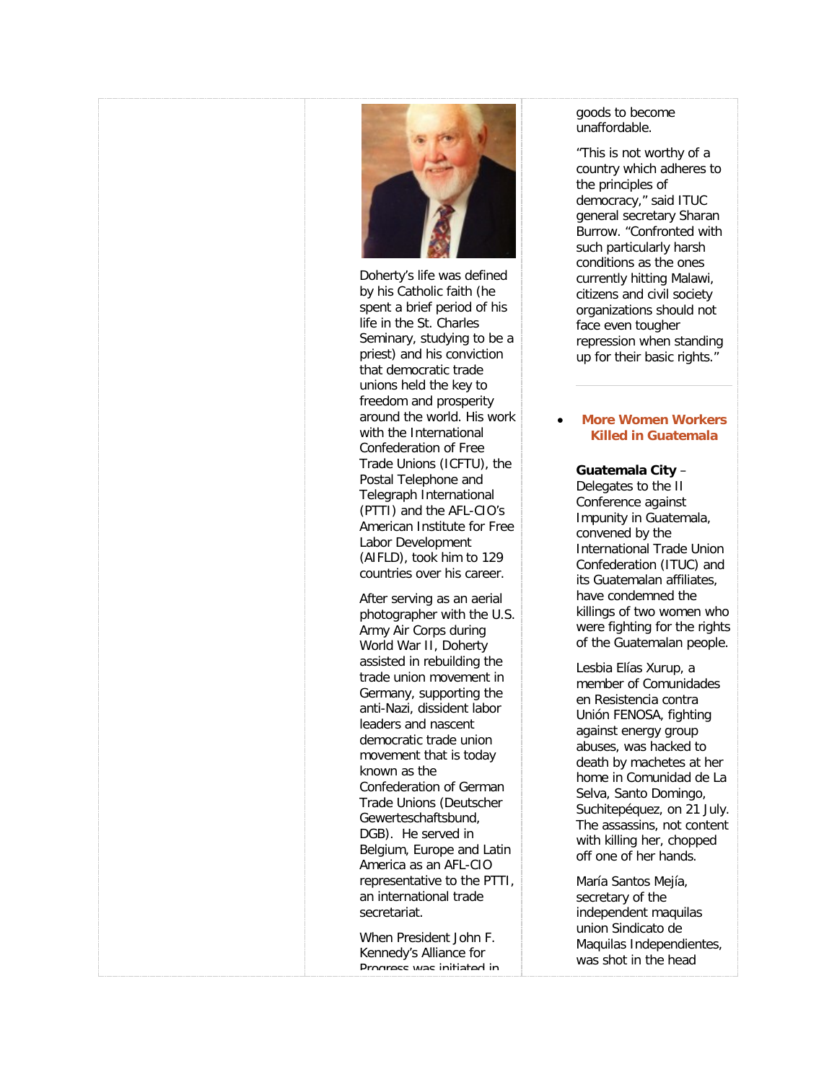

Doherty's life was defined by his Catholic faith (he spent a brief period of his life in the St. Charles Seminary, studying to be a priest) and his conviction that democratic trade unions held the key to freedom and prosperity around the world. His work with the International Confederation of Free Trade Unions (ICFTU), the Postal Telephone and Telegraph International (PTTI) and the AFL-CIO's American Institute for Free Labor Development (AIFLD), took him to 129 countries over his career.

After serving as an aerial photographer with the U.S. Army Air Corps during World War II, Doherty assisted in rebuilding the trade union movement in Germany, supporting the anti-Nazi, dissident labor leaders and nascent democratic trade union movement that is today known as the Confederation of German Trade Unions (Deutscher Gewerteschaftsbund, DGB). He served in Belgium, Europe and Latin America as an AFL-CIO representative to the PTTI, an international trade secretariat.

When President John F. Kennedy's Alliance for Prograce was initiated in

### goods to become unaffordable.

"This is not worthy of a country which adheres to the principles of democracy," said ITUC general secretary Sharan Burrow. "Confronted with such particularly harsh conditions as the ones currently hitting Malawi, citizens and civil society organizations should not face even tougher repression when standing up for their basic rights."

### • **[More Women Workers](http://freetradeunionism.org/2011/09/more-women-workers-killed-in-guatemala/)  [Killed in Guatemala](http://freetradeunionism.org/2011/09/more-women-workers-killed-in-guatemala/)**

### **Guatemala City** –

Delegates to the II Conference against Impunity in Guatemala, convened by the International Trade Union Confederation (ITUC) and its Guatemalan affiliates, have condemned the killings of two women who were fighting for the rights of the Guatemalan people.

Lesbia Elías Xurup, a member of Comunidades en Resistencia contra Unión FENOSA, fighting against energy group abuses, was hacked to death by machetes at her home in Comunidad de La Selva, Santo Domingo, Suchitepéquez, on 21 July. The assassins, not content with killing her, chopped off one of her hands.

María Santos Mejía, secretary of the independent maquilas union Sindicato de Maquilas Independientes, was shot in the head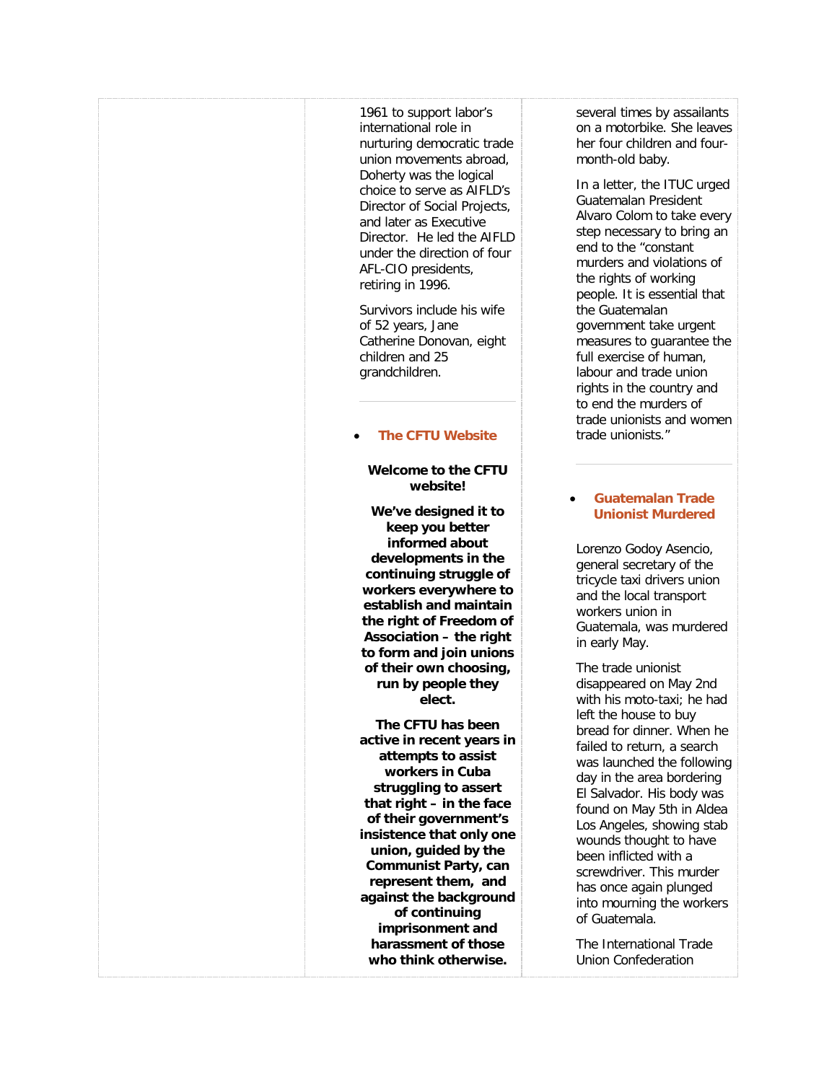1961 to support labor's international role in nurturing democratic trade union movements abroad, Doherty was the logical choice to serve as AIFLD's Director of Social Projects, and later as Executive Director. He led the AIFLD under the direction of four AFL-CIO presidents, retiring in 1996.

Survivors include his wife of 52 years, Jane Catherine Donovan, eight children and 25 grandchildren.

### • **[The CFTU Website](http://freetradeunionism.org/2010/04/the-new-cftu-website/)**

### **Welcome to the CFTU website!**

**We've designed it to keep you better informed about developments in the continuing struggle of workers everywhere to establish and maintain the right of Freedom of Association – the right to form and join unions of their own choosing, run by people they elect.**

**The CFTU has been active in recent years in attempts to assist workers in Cuba struggling to assert that right – in the face of their government's insistence that only one union, guided by the Communist Party, can represent them, and against the background of continuing imprisonment and harassment of those who think otherwise.**

several times by assailants on a motorbike. She leaves her four children and fourmonth-old baby.

In a letter, the ITUC urged Guatemalan President Alvaro Colom to take every step necessary to bring an end to the "constant murders and violations of the rights of working people. It is essential that the Guatemalan government take urgent measures to guarantee the full exercise of human, labour and trade union rights in the country and to end the murders of trade unionists and women trade unionists."

### • **[Guatemalan Trade](http://freetradeunionism.org/2011/05/guatemalan-trade-unionist-murdered/)  [Unionist Murdered](http://freetradeunionism.org/2011/05/guatemalan-trade-unionist-murdered/)**

Lorenzo Godoy Asencio, general secretary of the tricycle taxi drivers union and the local transport workers union in Guatemala, was murdered in early May.

The trade unionist disappeared on May 2nd with his moto-taxi; he had left the house to buy bread for dinner. When he failed to return, a search was launched the following day in the area bordering El Salvador. His body was found on May 5th in Aldea Los Angeles, showing stab wounds thought to have been inflicted with a screwdriver. This murder has once again plunged into mourning the workers of Guatemala.

The International Trade Union Confederation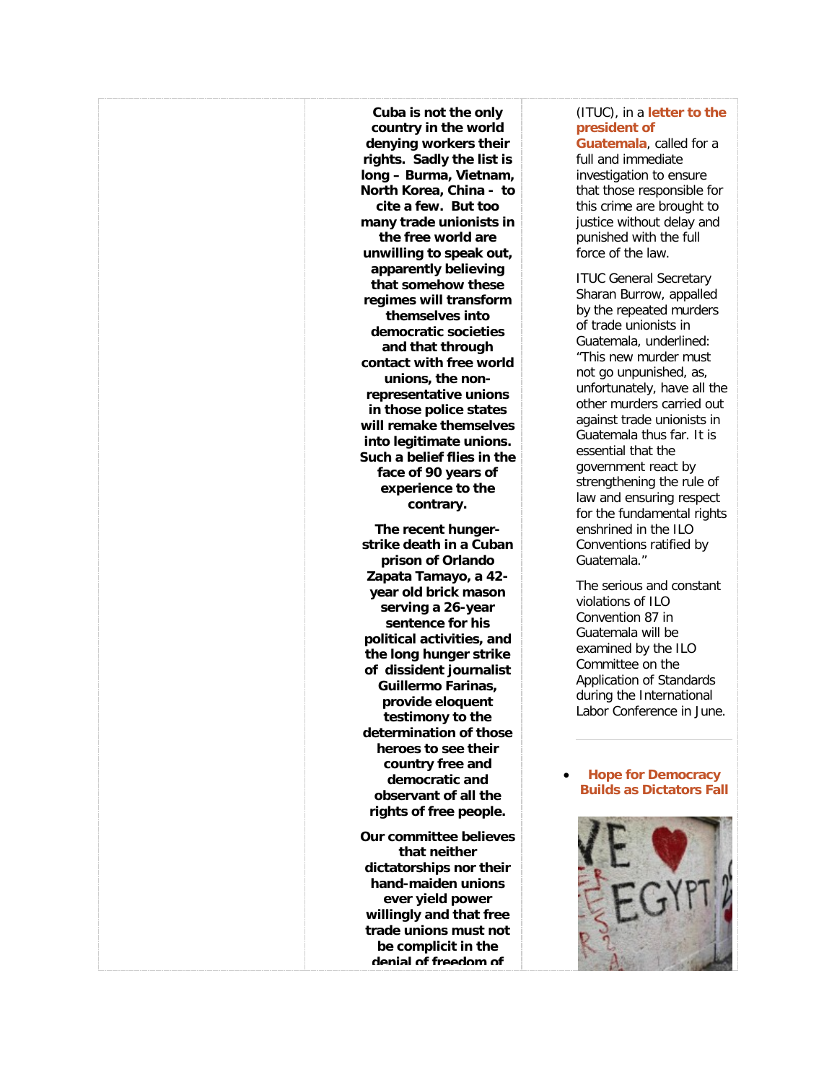**Cuba is not the only country in the world denying workers their rights. Sadly the list is long – Burma, Vietnam, North Korea, China - to cite a few. But too many trade unionists in the free world are unwilling to speak out, apparently believing that somehow these regimes will transform themselves into democratic societies and that through contact with free world unions, the nonrepresentative unions in those police states will remake themselves into legitimate unions. Such a belief flies in the face of 90 years of experience to the contrary.**

**The recent hungerstrike death in a Cuban prison of Orlando Zapata Tamayo, a 42 year old brick mason serving a 26-year sentence for his political activities, and the long hunger strike of dissident journalist Guillermo Farinas, provide eloquent testimony to the determination of those heroes to see their country free and democratic and observant of all the rights of free people.**

**Our committee believes that neither dictatorships nor their hand-maiden unions ever yield power willingly and that free trade unions must not be complicit in the denial of freedom of** 

### (ITUC), in a **[letter to the](http://www.ituc-csi.org/IMG/pdf/Protesta_asesinato_de_Lorenzo_Godoy_mayo.pdf)  [president of](http://www.ituc-csi.org/IMG/pdf/Protesta_asesinato_de_Lorenzo_Godoy_mayo.pdf)**

**[Guatemala](http://www.ituc-csi.org/IMG/pdf/Protesta_asesinato_de_Lorenzo_Godoy_mayo.pdf)**, called for a full and immediate investigation to ensure that those responsible for this crime are brought to justice without delay and punished with the full force of the law.

ITUC General Secretary Sharan Burrow, appalled by the repeated murders of trade unionists in Guatemala, underlined: "This new murder must not go unpunished, as, unfortunately, have all the other murders carried out against trade unionists in Guatemala thus far. It is essential that the government react by strengthening the rule of law and ensuring respect for the fundamental rights enshrined in the ILO Conventions ratified by Guatemala."

The serious and constant violations of ILO Convention 87 in Guatemala will be examined by the ILO Committee on the Application of Standards during the International Labor Conference in June.

### • **[Hope for Democracy](http://freetradeunionism.org/2011/02/hope-for-democracy-builds-as-dictators-fall/)  [Builds as Dictators Fall](http://freetradeunionism.org/2011/02/hope-for-democracy-builds-as-dictators-fall/)**

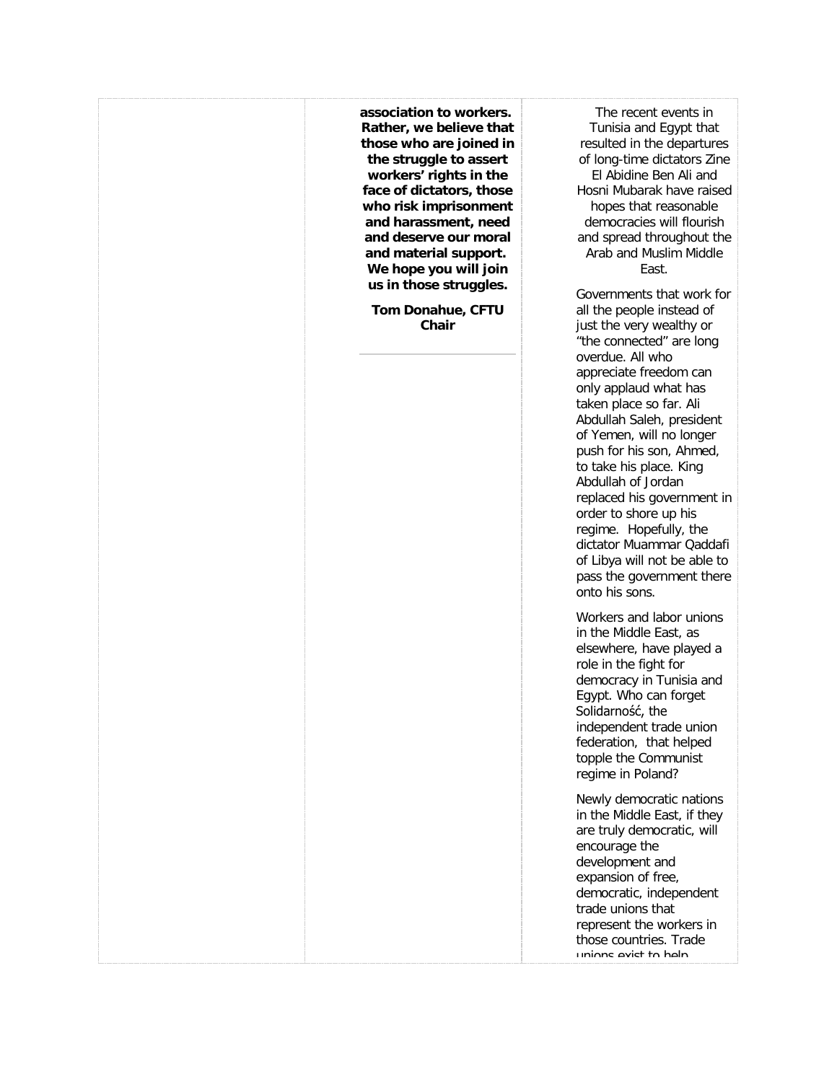**association to workers. Rather, we believe that those who are joined in the struggle to assert workers' rights in the face of dictators, those who risk imprisonment and harassment, need and deserve our moral and material support. We hope you will join us in those struggles. Tom Donahue, CFTU Chair** The recent events in Tunisia and Egypt that resulted in the departures of long-time dictators Zine El Abidine Ben Ali and Hosni Mubarak have raised hopes that reasonable democracies will flourish and spread throughout the Arab and Muslim Middle East. Governments that work for all the people instead of just the very wealthy or "the connected" are long overdue. All who appreciate freedom can only applaud what has taken place so far. Ali Abdullah Saleh, president of Yemen, will no longer push for his son, Ahmed, to take his place. King Abdullah of Jordan replaced his government in order to shore up his regime. Hopefully, the dictator Muammar Qaddafi of Libya will not be able to pass the government there onto his sons. Workers and labor unions in the Middle East, as elsewhere, have played a role in the fight for democracy in Tunisia and Egypt. Who can forget Solidarność, the independent trade union federation, that helped topple the Communist regime in Poland? Newly democratic nations in the Middle East, if they are truly democratic, will encourage the development and expansion of free, democratic, independent trade unions that represent the workers in those countries. Trade unions evist to help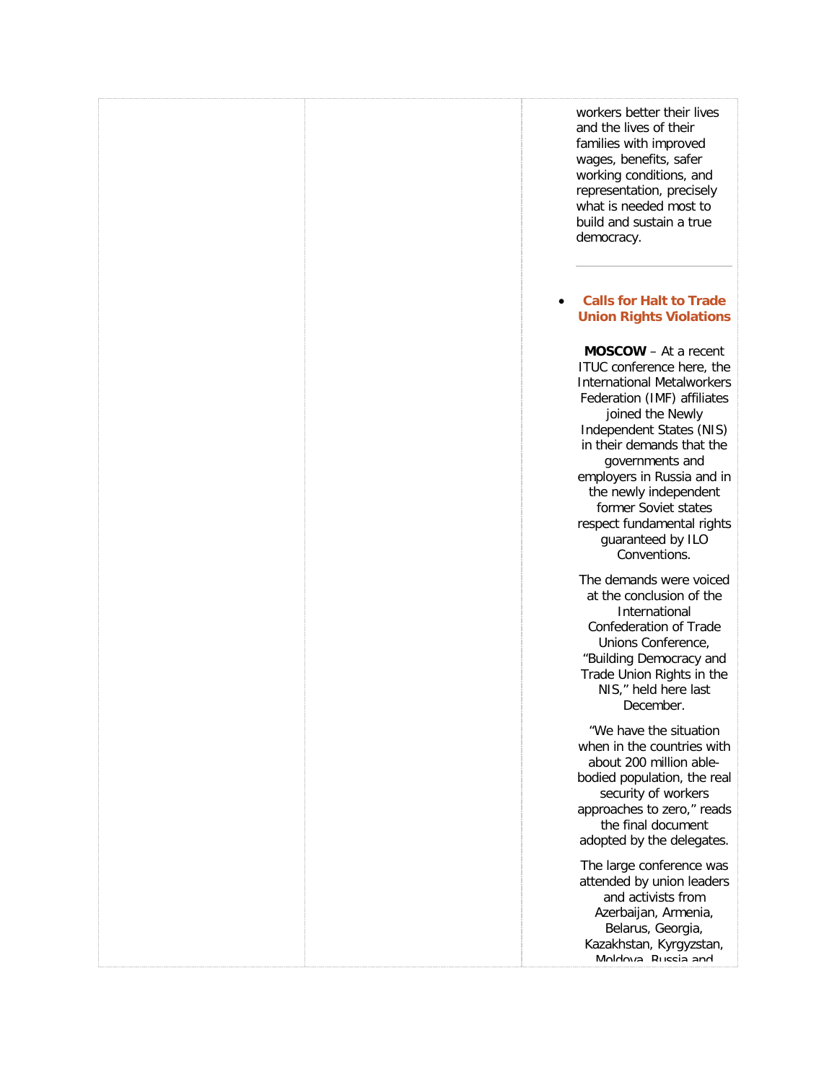workers better their lives and the lives of their families with improved wages, benefits, safer working conditions, and representation, precisely what is needed most to build and sustain a true democracy.

### • **[Calls for Halt to Trade](http://freetradeunionism.org/2011/02/calls-for-halt-to-trade-union-rights-violations/)  [Union Rights Violations](http://freetradeunionism.org/2011/02/calls-for-halt-to-trade-union-rights-violations/)**

**MOSCOW** – At a recent ITUC conference here, the International Metalworkers Federation (IMF) affiliates joined the Newly Independent States (NIS) in their demands that the governments and employers in Russia and in the newly independent former Soviet states respect fundamental rights guaranteed by ILO Conventions.

The demands were voiced at the conclusion of the International Confederation of Trade Unions Conference, "Building Democracy and Trade Union Rights in the NIS," held here last December.

"We have the situation when in the countries with about 200 million ablebodied population, the real security of workers approaches to zero," reads the final document adopted by the delegates.

The large conference was attended by union leaders and activists from Azerbaijan, Armenia, Belarus, Georgia, Kazakhstan, Kyrgyzstan, Moldova, Russia and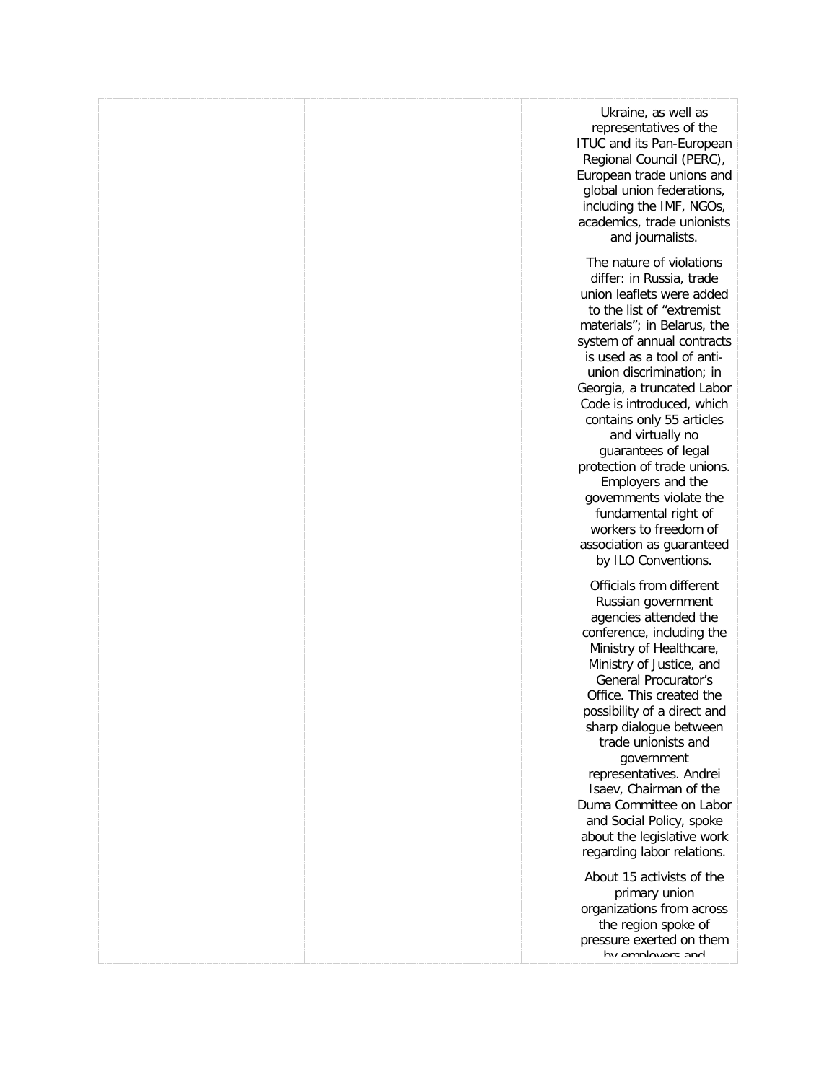|  | Ukraine, as well as<br>representatives of the<br><b>ITUC and its Pan-European</b><br>Regional Council (PERC),<br>European trade unions and<br>global union federations,<br>including the IMF, NGOs,<br>academics, trade unionists<br>and journalists.                                                                                                                                                                                                                                                                                                        |
|--|--------------------------------------------------------------------------------------------------------------------------------------------------------------------------------------------------------------------------------------------------------------------------------------------------------------------------------------------------------------------------------------------------------------------------------------------------------------------------------------------------------------------------------------------------------------|
|  | The nature of violations<br>differ: in Russia, trade<br>union leaflets were added<br>to the list of "extremist<br>materials"; in Belarus, the<br>system of annual contracts<br>is used as a tool of anti-<br>union discrimination; in<br>Georgia, a truncated Labor<br>Code is introduced, which<br>contains only 55 articles<br>and virtually no<br>guarantees of legal<br>protection of trade unions.<br>Employers and the<br>governments violate the<br>fundamental right of<br>workers to freedom of<br>association as guaranteed<br>by ILO Conventions. |
|  | Officials from different<br>Russian government<br>agencies attended the<br>conference, including the<br>Ministry of Healthcare,<br>Ministry of Justice, and<br><b>General Procurator's</b><br>Office. This created the<br>possibility of a direct and<br>sharp dialogue between<br>trade unionists and<br>government<br>representatives. Andrei<br>Isaev, Chairman of the<br>Duma Committee on Labor<br>and Social Policy, spoke<br>about the legislative work<br>regarding labor relations.                                                                 |
|  | About 15 activists of the<br>primary union<br>organizations from across<br>the region spoke of<br>pressure exerted on them<br>hy amnloyare and                                                                                                                                                                                                                                                                                                                                                                                                               |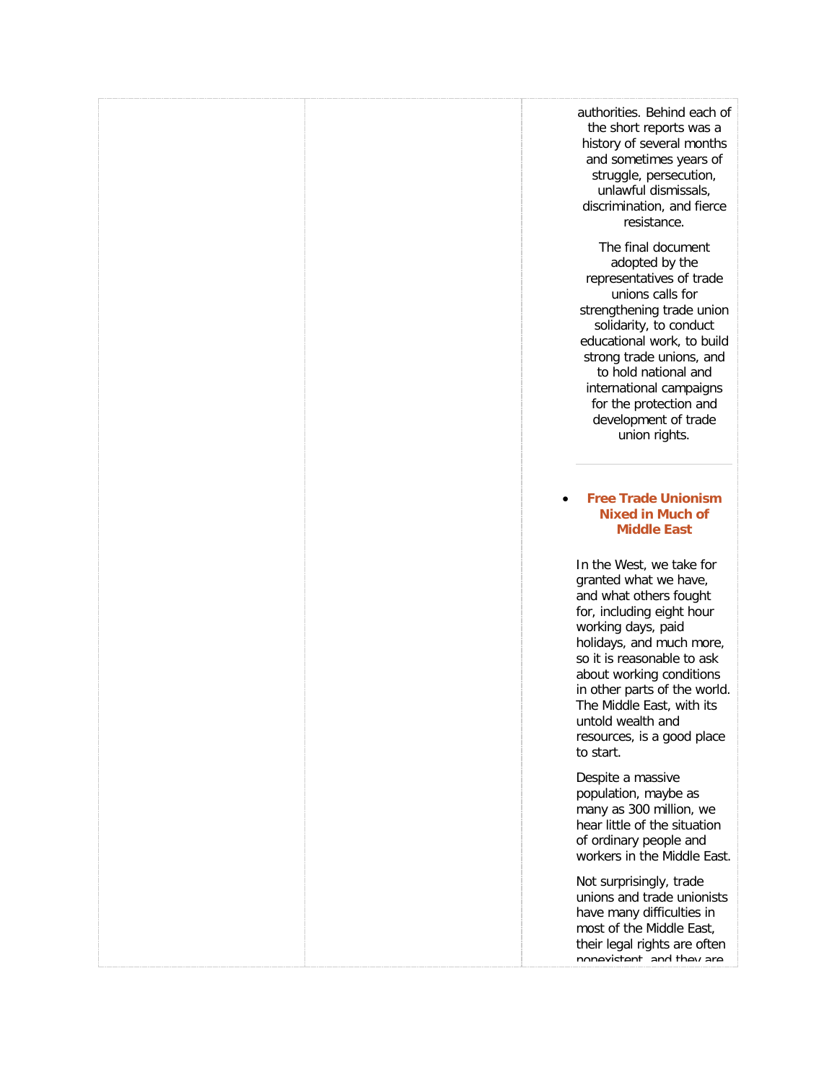|  | authorities. Behind each of<br>the short reports was a<br>history of several months<br>and sometimes years of<br>struggle, persecution,<br>unlawful dismissals,<br>discrimination, and fierce<br>resistance.                                                                                                                                      |
|--|---------------------------------------------------------------------------------------------------------------------------------------------------------------------------------------------------------------------------------------------------------------------------------------------------------------------------------------------------|
|  | The final document<br>adopted by the<br>representatives of trade<br>unions calls for<br>strengthening trade union<br>solidarity, to conduct<br>educational work, to build<br>strong trade unions, and<br>to hold national and<br>international campaigns<br>for the protection and<br>development of trade<br>union rights.                       |
|  | <b>Free Trade Unionism</b><br><b>Nixed in Much of</b><br><b>Middle East</b>                                                                                                                                                                                                                                                                       |
|  | In the West, we take for<br>granted what we have,<br>and what others fought<br>for, including eight hour<br>working days, paid<br>holidays, and much more,<br>so it is reasonable to ask<br>about working conditions<br>in other parts of the world.<br>The Middle East, with its<br>untold wealth and<br>resources, is a good place<br>to start. |
|  | Despite a massive<br>population, maybe as<br>many as 300 million, we<br>hear little of the situation<br>of ordinary people and<br>workers in the Middle East.                                                                                                                                                                                     |
|  | Not surprisingly, trade<br>unions and trade unionists<br>have many difficulties in<br>most of the Middle East,<br>their legal rights are often<br>nonavictant and thay ara                                                                                                                                                                        |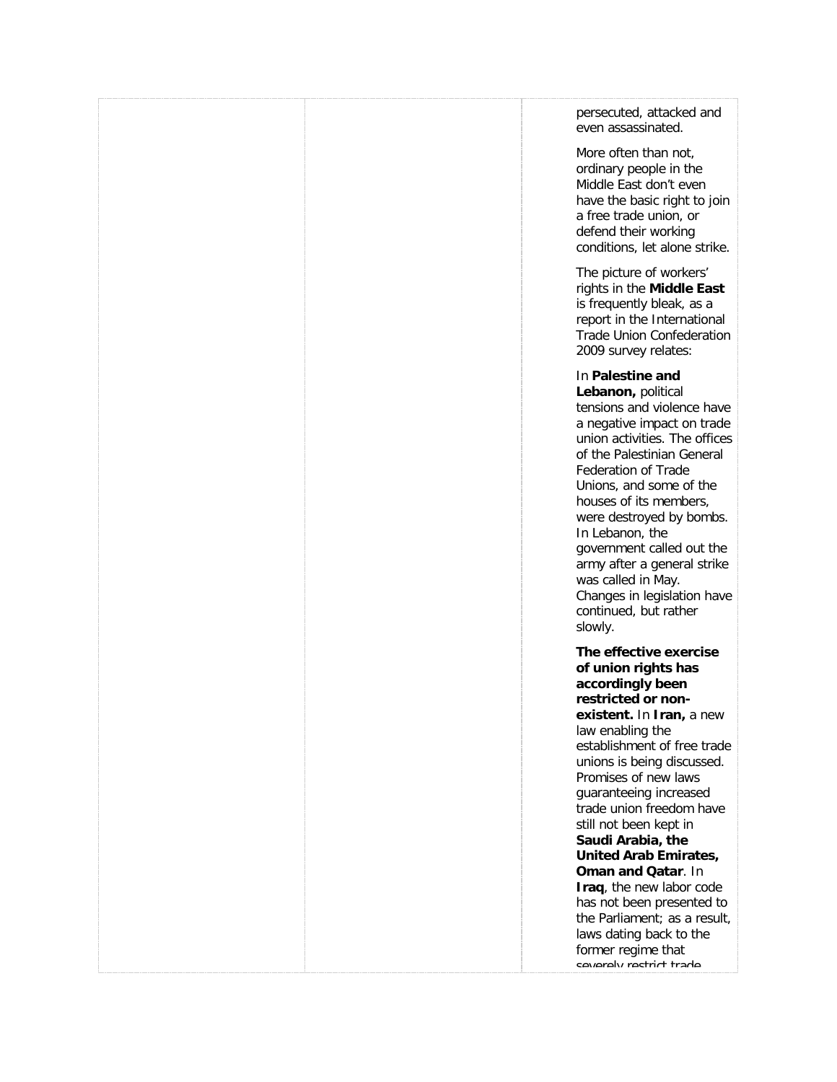|  | persecuted, attacked and<br>even assassinated.                                                                                                                                                                                                                                                                                                                                                                                                                                                                                                               |
|--|--------------------------------------------------------------------------------------------------------------------------------------------------------------------------------------------------------------------------------------------------------------------------------------------------------------------------------------------------------------------------------------------------------------------------------------------------------------------------------------------------------------------------------------------------------------|
|  | More often than not,<br>ordinary people in the<br>Middle East don't even<br>have the basic right to join<br>a free trade union, or<br>defend their working<br>conditions, let alone strike.                                                                                                                                                                                                                                                                                                                                                                  |
|  | The picture of workers'<br>rights in the Middle East<br>is frequently bleak, as a<br>report in the International<br><b>Trade Union Confederation</b><br>2009 survey relates:                                                                                                                                                                                                                                                                                                                                                                                 |
|  | In Palestine and<br>Lebanon, political<br>tensions and violence have<br>a negative impact on trade<br>union activities. The offices<br>of the Palestinian General<br><b>Federation of Trade</b><br>Unions, and some of the<br>houses of its members,<br>were destroyed by bombs.<br>In Lebanon, the<br>government called out the<br>army after a general strike<br>was called in May.<br>Changes in legislation have<br>continued, but rather<br>slowly.                                                                                                     |
|  | The effective exercise<br>of union rights has<br>accordingly been<br>restricted or non-<br>existent. In Iran, a new<br>law enabling the<br>establishment of free trade<br>unions is being discussed.<br>Promises of new laws<br>guaranteeing increased<br>trade union freedom have<br>still not been kept in<br>Saudi Arabia, the<br>United Arab Emirates,<br><b>Oman and Qatar. In</b><br>Iraq, the new labor code<br>has not been presented to<br>the Parliament; as a result,<br>laws dating back to the<br>former regime that<br>cavaraly ractrict trada |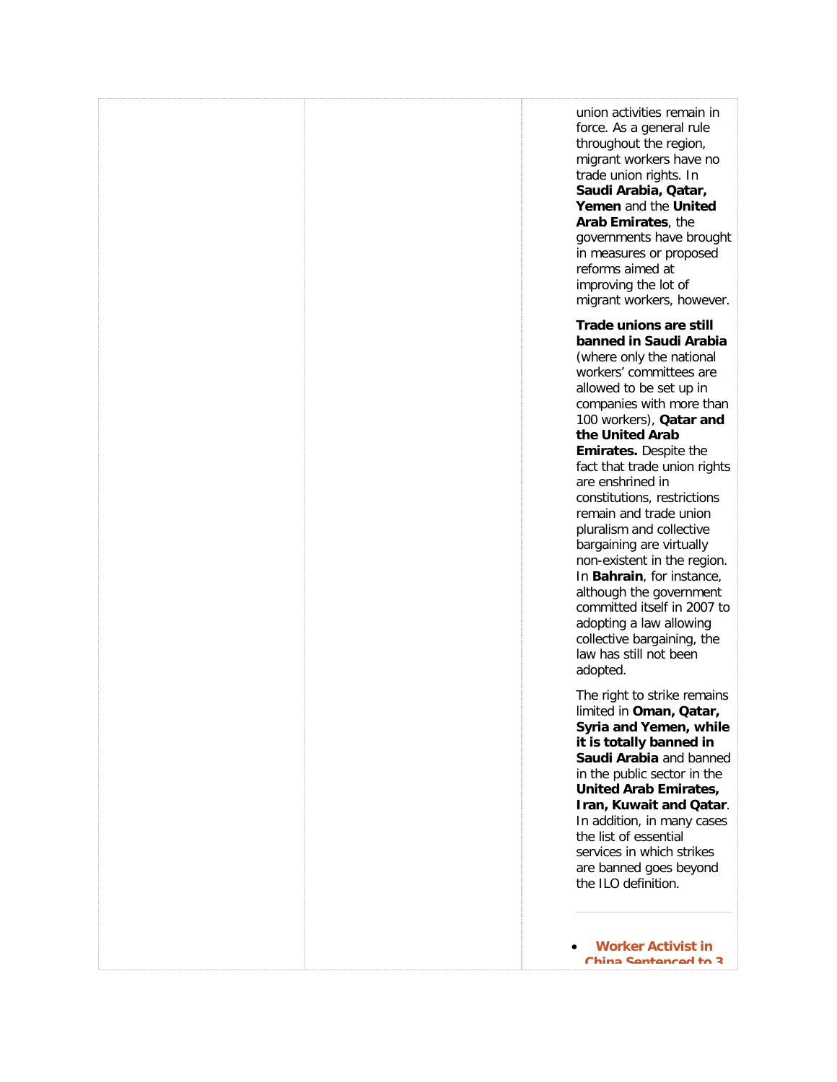union activities remain in force. As a general rule throughout the region, migrant workers have no trade union rights. In **Saudi Arabia, Qatar, Yemen** and the **United Arab Emirates**, the governments have brought in measures or proposed reforms aimed at improving the lot of migrant workers, however. **Trade unions are still banned in Saudi Arabia** (where only the national workers' committees are allowed to be set up in companies with more than 100 workers), **Qatar and the United Arab Emirates.** Despite the fact that trade union rights are enshrined in constitutions, restrictions remain and trade union pluralism and collective bargaining are virtually non-existent in the region. In **Bahrain**, for instance, although the government committed itself in 2007 to adopting a law allowing collective bargaining, the law has still not been adopted. The right to strike remains limited in **Oman, Qatar, Syria and Yemen, while it is totally banned in Saudi Arabia** and banned in the public sector in the **United Arab Emirates, Iran, Kuwait and Qatar**. In addition, in many cases the list of essential services in which strikes are banned goes beyond the ILO definition. • **[Worker Activist in](http://freetradeunionism.org/2010/10/worker-activist-in-china-sentenced-to-3-years-in-jail/)  [China Sentenced to 3](http://freetradeunionism.org/2010/10/worker-activist-in-china-sentenced-to-3-years-in-jail/)**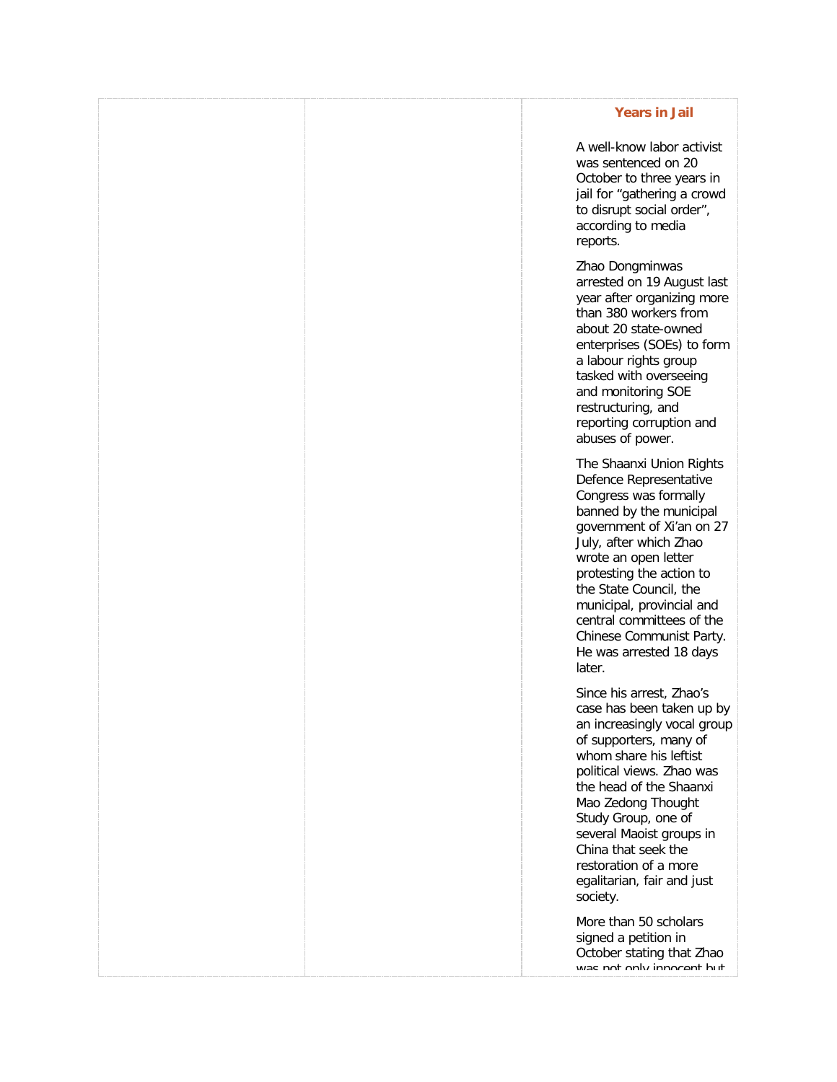### **[Years in Jail](http://freetradeunionism.org/2010/10/worker-activist-in-china-sentenced-to-3-years-in-jail/)**

A well-know labor activist was sentenced on 20 October to three years in jail for "gathering a crowd to disrupt social order", according to media reports.

Zhao Dongminwas arrested on 19 August last year after organizing more than 380 workers from about 20 state-owned enterprises (SOEs) to form a labour rights group tasked with overseeing and monitoring SOE restructuring, and reporting corruption and abuses of power.

The Shaanxi Union Rights Defence Representative Congress was [f](http://www.clb.org.hk/en/node/100560)ormally banned by the municipal government of Xi'an on 27 July, after which Zhao wrote an open letter protesting the action to the State Council, the municipal, provincial and central committees of the Chinese Communist Party. He was arrested 18 days later.

Since his arrest, Zhao's case has been taken up by an increasingly vocal group of supporters, many of whom share his leftist political views. Zhao was the head of the Shaanxi Mao Zedong Thought Study Group, one of several Maoist groups in China that seek the restoration of a more egalitarian, fair and just society.

More than 50 scholars signed a petition in October stating that Zhao was not only innocent but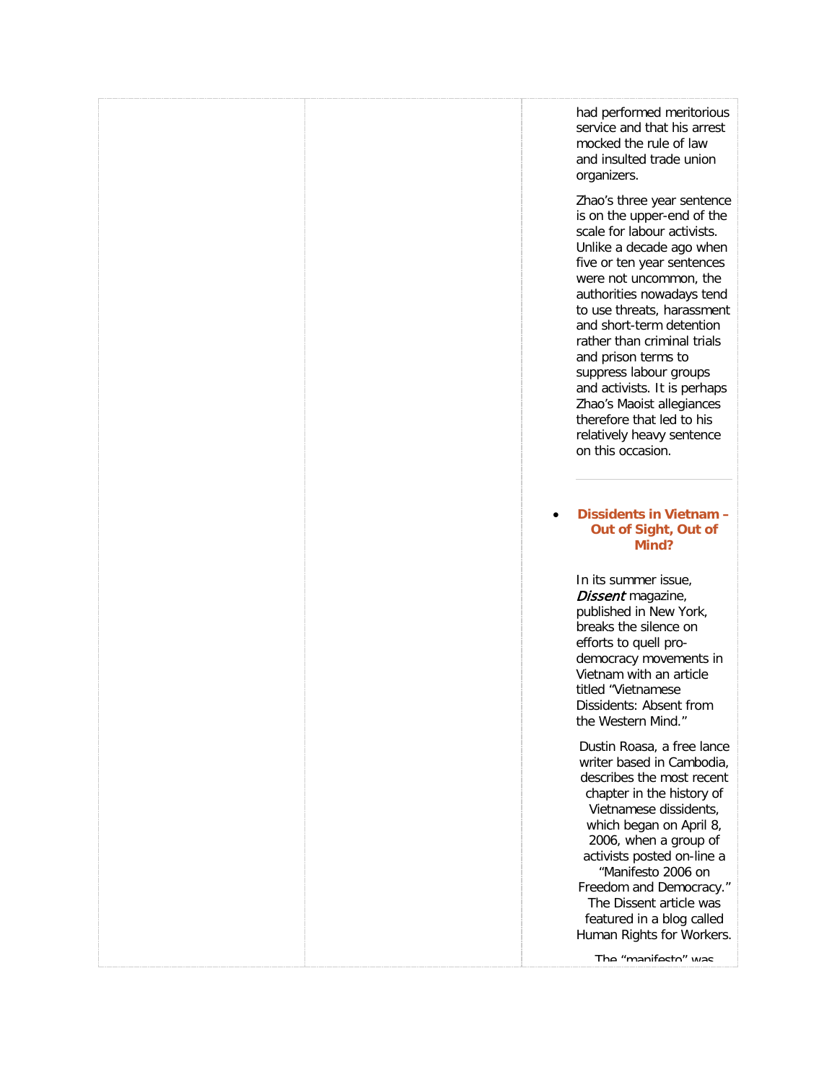had performed meritorious service and that his arrest mocked the rule of law and insulted trade union organizers.

Zhao's three year sentence is on the upper-end of the scale for labour activists. Unlike a decade ago when five or ten year sentences were not uncommon, the authorities nowadays tend to use threats, harassment and short-term detention rather than criminal trials and prison terms to suppress labour groups and activists. It is perhaps Zhao's Maoist allegiances therefore that led to his relatively heavy sentence on this occasion.

### • **[Dissidents in Vietnam –](http://freetradeunionism.org/2010/07/dissidents-in-vietnam-out-of-sight-out-of-mind/) [Out of Sight, Out of](http://freetradeunionism.org/2010/07/dissidents-in-vietnam-out-of-sight-out-of-mind/)  [Mind?](http://freetradeunionism.org/2010/07/dissidents-in-vietnam-out-of-sight-out-of-mind/)**

In its summer issue, Dissent magazine, published in New York, breaks the silence on efforts to quell prodemocracy movements in Vietnam with an article titled "Vietnamese Dissidents: Absent from the Western Mind."

Dustin Roasa, a free lance writer based in Cambodia, describes the most recent chapter in the history of Vietnamese dissidents, which began on April 8, 2006, when a group of activists posted on-line a "Manifesto 2006 on Freedom and Democracy." The Dissent article was featured in a blog called Human Rights for Workers.

The "manifesto" was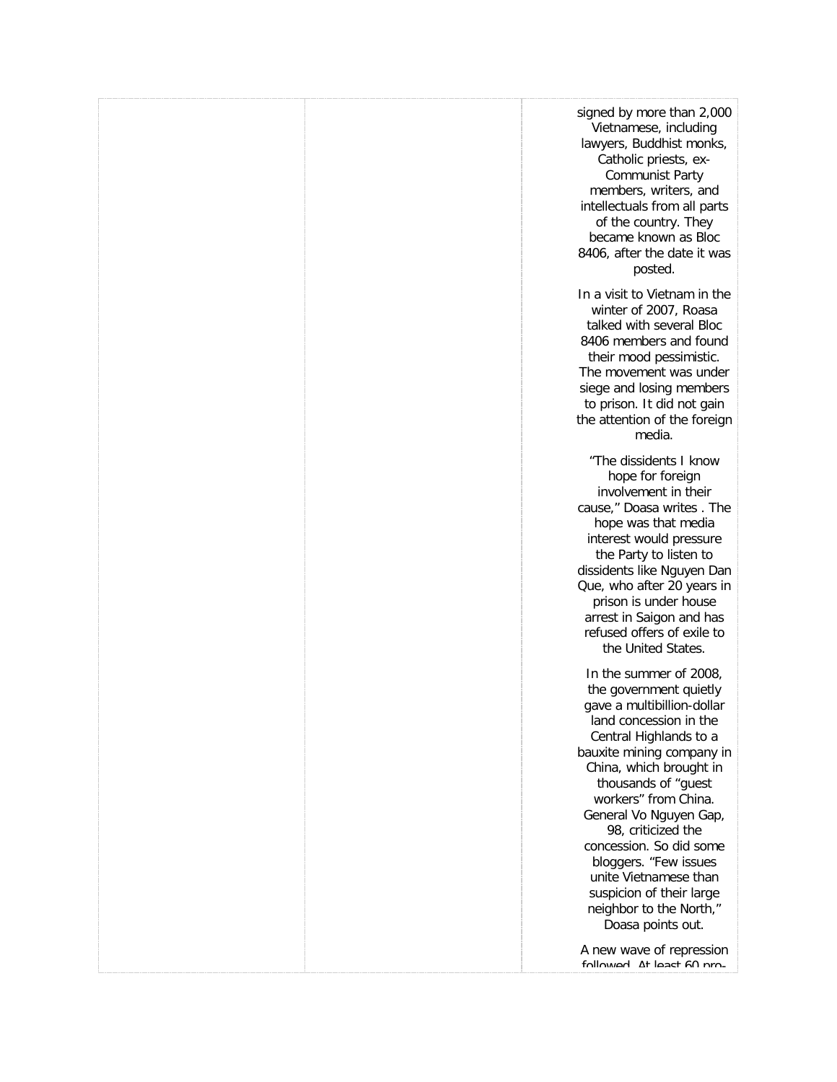|  | signed by more than 2,000<br>Vietnamese, including<br>lawyers, Buddhist monks,<br>Catholic priests, ex-<br><b>Communist Party</b><br>members, writers, and<br>intellectuals from all parts<br>of the country. They<br>became known as Bloc<br>8406, after the date it was<br>posted.                                                                                                                                                               |
|--|----------------------------------------------------------------------------------------------------------------------------------------------------------------------------------------------------------------------------------------------------------------------------------------------------------------------------------------------------------------------------------------------------------------------------------------------------|
|  | In a visit to Vietnam in the<br>winter of 2007, Roasa<br>talked with several Bloc<br>8406 members and found<br>their mood pessimistic.<br>The movement was under<br>siege and losing members<br>to prison. It did not gain<br>the attention of the foreign<br>media.                                                                                                                                                                               |
|  | "The dissidents I know<br>hope for foreign<br>involvement in their<br>cause," Doasa writes. The<br>hope was that media<br>interest would pressure<br>the Party to listen to<br>dissidents like Nguyen Dan<br>Que, who after 20 years in<br>prison is under house<br>arrest in Saigon and has<br>refused offers of exile to<br>the United States.                                                                                                   |
|  | In the summer of 2008,<br>the government quietly<br>gave a multibillion-dollar<br>land concession in the<br>Central Highlands to a<br>bauxite mining company in<br>China, which brought in<br>thousands of "guest<br>workers" from China.<br>General Vo Nguyen Gap,<br>98, criticized the<br>concession. So did some<br>bloggers. "Few issues<br>unite Vietnamese than<br>suspicion of their large<br>neighbor to the North,"<br>Doasa points out. |
|  | A new wave of repression<br>followed At least 60 pm                                                                                                                                                                                                                                                                                                                                                                                                |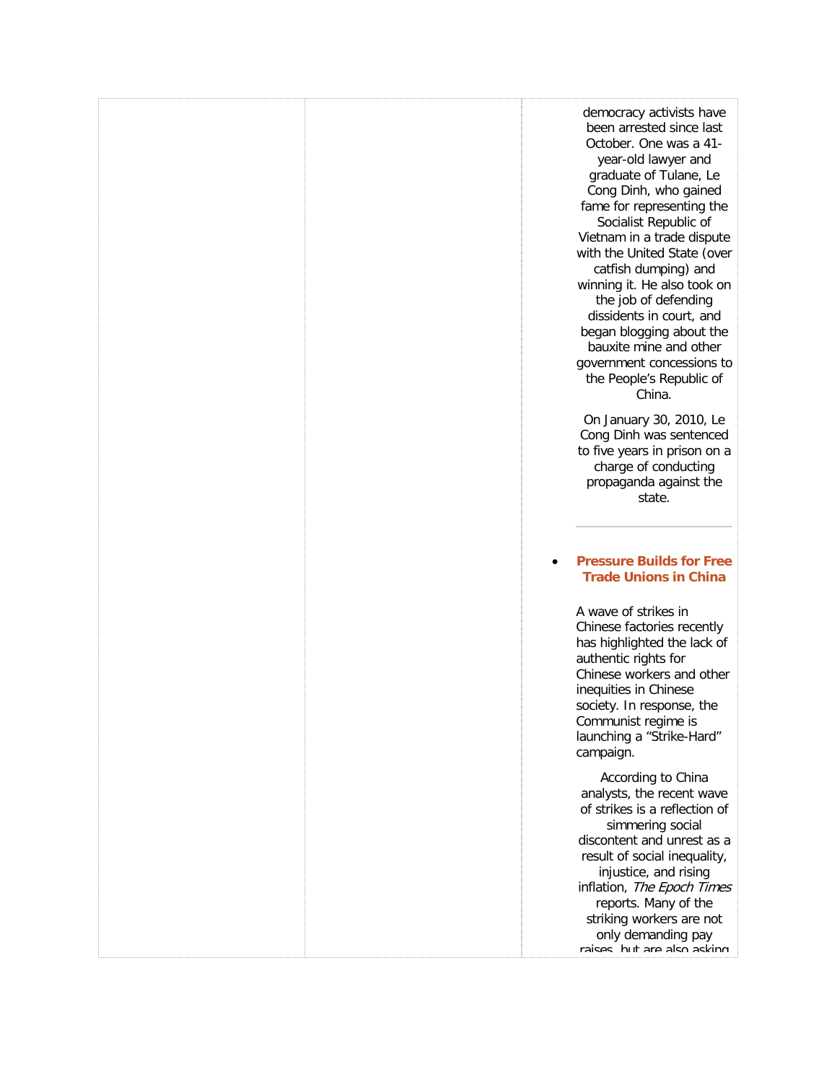democracy activists have been arrested since last October. One was a 41 year-old lawyer and graduate of Tulane, Le Cong Dinh, who gained fame for representing the Socialist Republic of Vietnam in a trade dispute with the United State (over catfish dumping) and winning it. He also took on the job of defending dissidents in court, and began blogging about the bauxite mine and other government concessions to the People's Republic of China.

On January 30, 2010, Le Cong Dinh was sentenced to five years in prison on a charge of conducting propaganda against the state.

### • **[Pressure Builds for Free](http://freetradeunionism.org/2010/06/pressure-builds-for-free-trade-unions-in-china/)  [Trade Unions in China](http://freetradeunionism.org/2010/06/pressure-builds-for-free-trade-unions-in-china/)**

A wave of strikes in Chinese factories recently has highlighted the lack of authentic rights for Chinese workers and other inequities in Chinese society. In response, the Communist regime is launching a "Strike-Hard" campaign.

According to China analysts, the recent wave of strikes is a reflection of simmering social discontent and unrest as a result of social inequality, injustice, and rising inflation, The Epoch Times reports. Many of the striking workers are not only demanding pay raises, but are also asking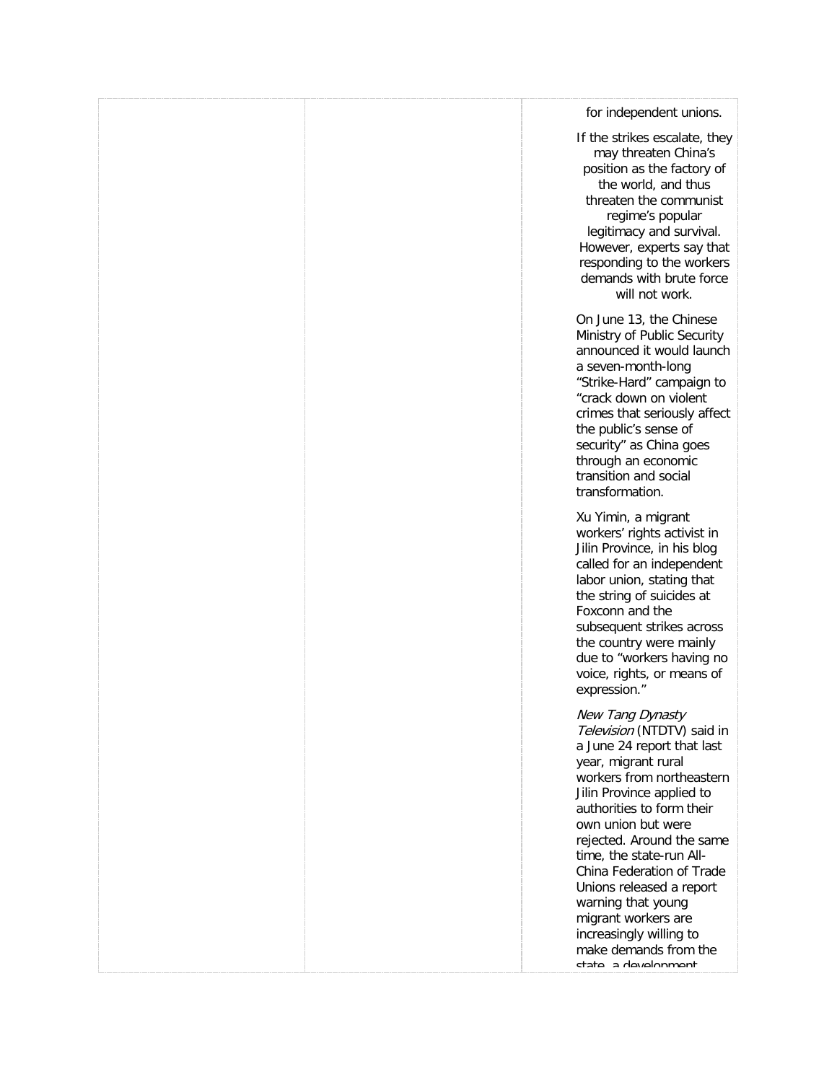|  | for independent unions.                                                                                                                                                                                                                                                                                                                                                                                                                                   |
|--|-----------------------------------------------------------------------------------------------------------------------------------------------------------------------------------------------------------------------------------------------------------------------------------------------------------------------------------------------------------------------------------------------------------------------------------------------------------|
|  | If the strikes escalate, they<br>may threaten China's<br>position as the factory of<br>the world, and thus<br>threaten the communist<br>regime's popular<br>legitimacy and survival.<br>However, experts say that<br>responding to the workers<br>demands with brute force<br>will not work.                                                                                                                                                              |
|  | On June 13, the Chinese<br>Ministry of Public Security<br>announced it would launch<br>a seven-month-long<br>"Strike-Hard" campaign to<br>"crack down on violent<br>crimes that seriously affect<br>the public's sense of<br>security" as China goes<br>through an economic<br>transition and social<br>transformation.                                                                                                                                   |
|  | Xu Yimin, a migrant<br>workers' rights activist in<br>Jilin Province, in his blog<br>called for an independent<br>labor union, stating that<br>the string of suicides at<br>Foxconn and the<br>subsequent strikes across<br>the country were mainly<br>due to "workers having no<br>voice, rights, or means of<br>expression."                                                                                                                            |
|  | New Tang Dynasty<br>Television (NTDTV) said in<br>a June 24 report that last<br>year, migrant rural<br>workers from northeastern<br>Jilin Province applied to<br>authorities to form their<br>own union but were<br>rejected. Around the same<br>time, the state-run All-<br>China Federation of Trade<br>Unions released a report<br>warning that young<br>migrant workers are<br>increasingly willing to<br>make demands from the<br>tata a davalonmant |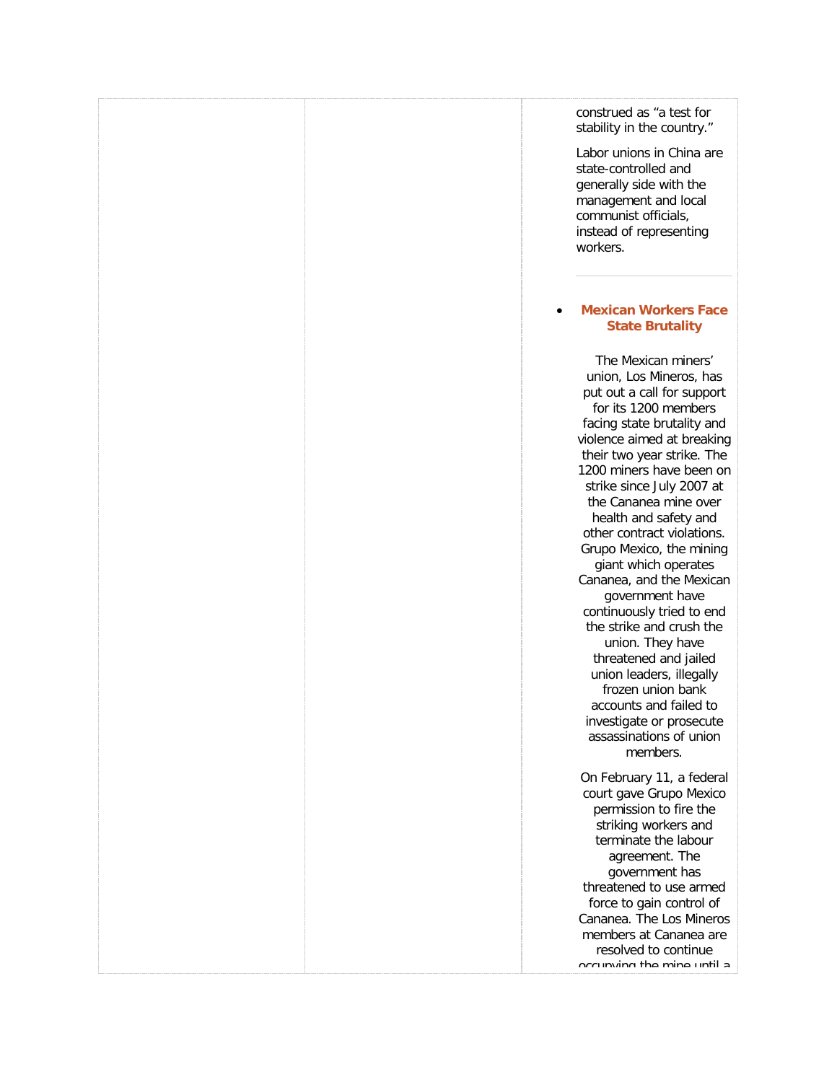construed as "a test for stability in the country."

Labor unions in China are state-controlled and generally side with the management and local communist officials, instead of representing workers.

### • **[Mexican Workers Face](http://freetradeunionism.org/2010/04/mexican-workers-face-state-brutality/)  [State Brutality](http://freetradeunionism.org/2010/04/mexican-workers-face-state-brutality/)**

The Mexican miners' union, Los Mineros, has put out a call for support for its 1200 members facing state brutality and violence aimed at breaking their two year strike. The 1200 miners have been on strike since July 2007 at the Cananea mine over health and safety and other contract violations. Grupo Mexico, the mining giant which operates Cananea, and the Mexican government have continuously tried to end the strike and crush the union. They have threatened and jailed union leaders, illegally frozen union bank accounts and failed to investigate or prosecute assassinations of union members. On February 11, a federal

court gave Grupo Mexico permission to fire the striking workers and terminate the labour agreement. The government has threatened to use armed force to gain control of Cananea. The Los Mineros members at Cananea are resolved to continue occupying the mine until a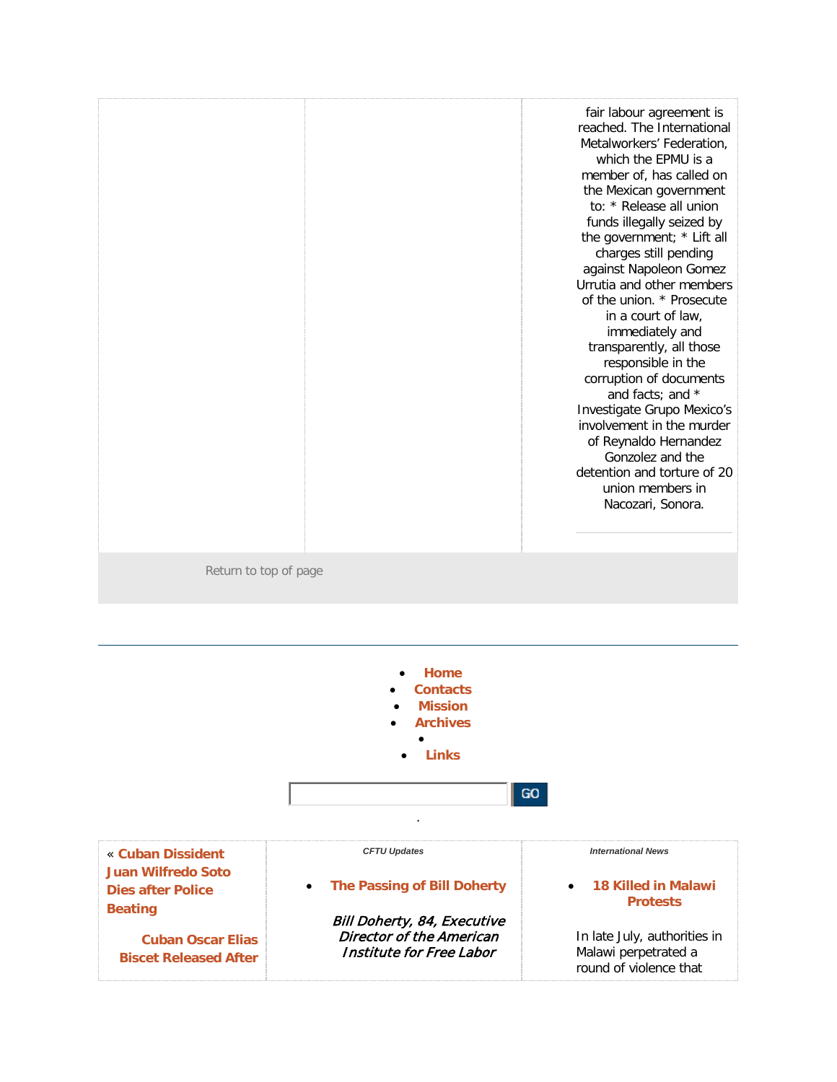|                       | fair labour agreement is<br>reached. The International<br>Metalworkers' Federation,<br>which the EPMU is a<br>member of, has called on<br>the Mexican government<br>to: * Release all union<br>funds illegally seized by<br>the government; * Lift all<br>charges still pending<br>against Napoleon Gomez<br>Urrutia and other members<br>of the union. * Prosecute<br>in a court of law,<br>immediately and<br>transparently, all those<br>responsible in the<br>corruption of documents<br>and facts; and *<br>Investigate Grupo Mexico's<br>involvement in the murder<br>of Reynaldo Hernandez<br>Gonzolez and the<br>detention and torture of 20<br>union members in<br>Nacozari, Sonora. |
|-----------------------|-----------------------------------------------------------------------------------------------------------------------------------------------------------------------------------------------------------------------------------------------------------------------------------------------------------------------------------------------------------------------------------------------------------------------------------------------------------------------------------------------------------------------------------------------------------------------------------------------------------------------------------------------------------------------------------------------|
| Return to top of page |                                                                                                                                                                                                                                                                                                                                                                                                                                                                                                                                                                                                                                                                                               |
|                       |                                                                                                                                                                                                                                                                                                                                                                                                                                                                                                                                                                                                                                                                                               |
|                       | $L_{\rm D}$                                                                                                                                                                                                                                                                                                                                                                                                                                                                                                                                                                                                                                                                                   |

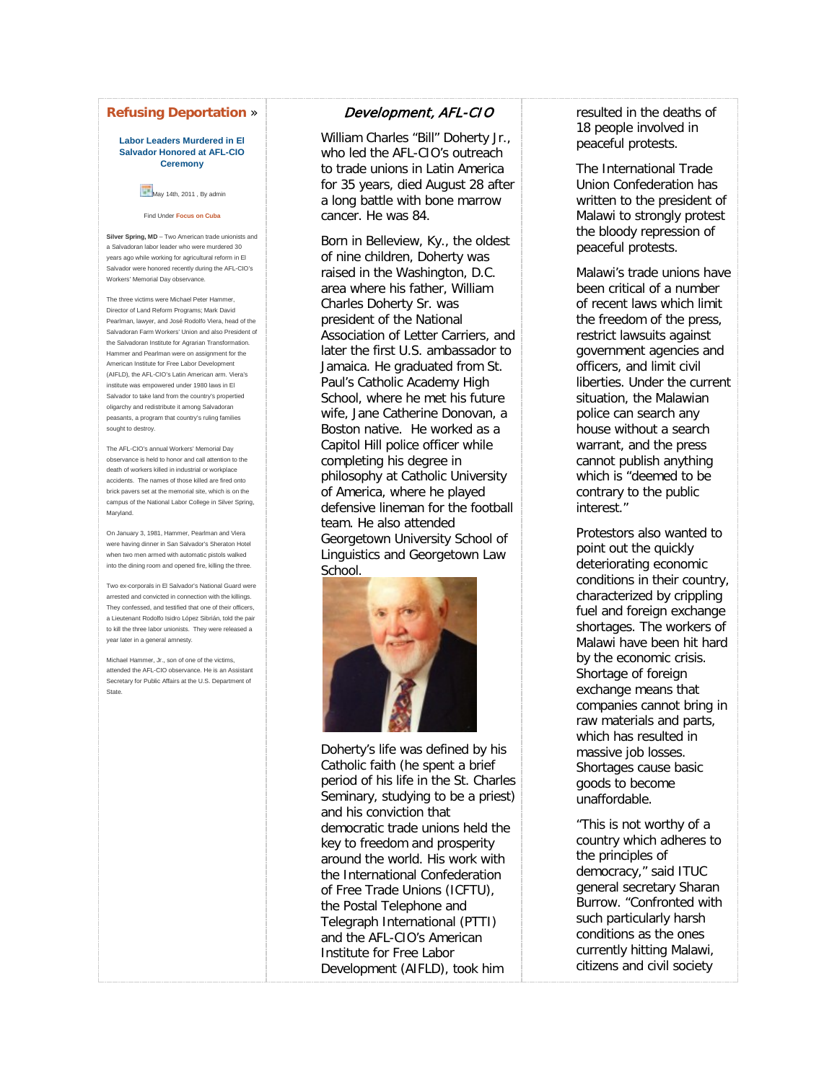### **[Refusing Deportation](http://freetradeunionism.org/2011/03/cuban-oscar-elias-biscet-released-after-refusing-deportation-to-spain/)** »

#### **Labor Leaders Murdered in El Salvador Honored at AFL-CIO Ceremony**

### May 14th, 2011, By admin

#### Find Under **[Focus on Cuba](http://freetradeunionism.org/category/focus-on-cuba/)**

**Silver Spring, MD** – Two American trade unionists and a Salvadoran labor leader who were murdered 30 years ago while working for agricultural reform in El Salvador were honored recently during the AFL-CIO's Workers' Memorial Day observance.

The three victims were Michael Peter Hammer, Director of Land Reform Programs; Mark David Pearlman, lawyer, and José Rodolfo Viera, head of the Salvadoran Farm Workers' Union and also President of the Salvadoran Institute for Agrarian Transform Hammer and Pearlman were on assignment for the American Institute for Free Labor Development (AIFLD), the AFL-CIO's Latin American arm. Viera's institute was empowered under 1980 laws in El Salvador to take land from the country's propertied oligarchy and redistribute it among Salvadoran peasants, a program that country's ruling families sought to destroy.

The AFL-CIO's annual Workers' Memorial Day observance is held to honor and call attention to the death of workers killed in industrial or workplace accidents. The names of those killed are fired onto brick pavers set at the memorial site, which is on the campus of the National Labor College in Silver Spring, Maryland.

On January 3, 1981, Hammer, Pearlman and Viera were having dinner in San Salvador's Sheraton Hotel when two men armed with automatic pistols walked into the dining room and opened fire, killing the three.

Two ex-corporals in El Salvador's National Guard were arrested and convicted in connection with the killings. They confessed, and testified that one of their officers, a Lieutenant Rodolfo Isidro López Sibrián, told the pair to kill the three labor unionists. They were released a year later in a general amnesty.

Michael Hammer, Jr., son of one of the victims, attended the AFL-CIO observance. He is an Assistant Secretary for Public Affairs at the U.S. Department of State.

### Development, AFL-CIO

William Charles "Bill" Doherty Jr., who led the AFL-CIO's outreach to trade unions in Latin America for 35 years, died August 28 after a long battle with bone marrow cancer. He was 84.

Born in Belleview, Ky., the oldest of nine children, Doherty was raised in the Washington, D.C. area where his father, William Charles Doherty Sr. was president of the National Association of Letter Carriers, and later the first U.S. ambassador to Jamaica. He graduated from St. Paul's Catholic Academy High School, where he met his future wife, Jane Catherine Donovan, a Boston native. He worked as a Capitol Hill police officer while completing his degree in philosophy at Catholic University of America, where he played defensive lineman for the football team. He also attended Georgetown University School of Linguistics and Georgetown Law School.

![](_page_34_Picture_13.jpeg)

Doherty's life was defined by his Catholic faith (he spent a brief period of his life in the St. Charles Seminary, studying to be a priest) and his conviction that democratic trade unions held the key to freedom and prosperity around the world. His work with the International Confederation of Free Trade Unions (ICFTU), the Postal Telephone and Telegraph International (PTTI) and the AFL-CIO's American Institute for Free Labor Development (AIFLD), took him

resulted in the deaths of 18 people involved in peaceful protests.

The International Trade Union Confederation has written to the president of Malawi to strongly protest the bloody repression of peaceful protests.

Malawi's trade unions have been critical of a number of recent laws which limit the freedom of the press, restrict lawsuits against government agencies and officers, and limit civil liberties. Under the current situation, the Malawian police can search any house without a search warrant, and the press cannot publish anything which is "deemed to be contrary to the public interest."

Protestors also wanted to point out the quickly deteriorating economic conditions in their country, characterized by crippling fuel and foreign exchange shortages. The workers of Malawi have been hit hard by the economic crisis. Shortage of foreign exchange means that companies cannot bring in raw materials and parts, which has resulted in massive job losses. Shortages cause basic goods to become unaffordable.

"This is not worthy of a country which adheres to the principles of democracy," said ITUC general secretary Sharan Burrow. "Confronted with such particularly harsh conditions as the ones currently hitting Malawi, citizens and civil society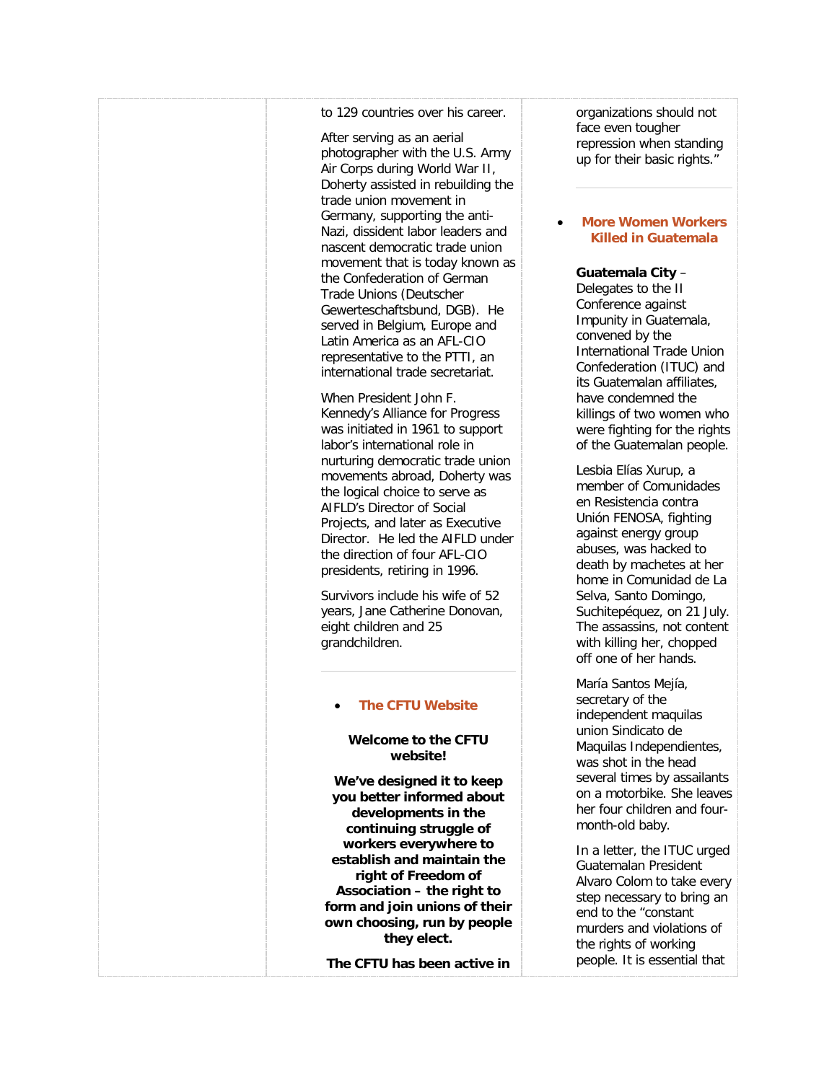### to 129 countries over his career.

After serving as an aerial photographer with the U.S. Army Air Corps during World War II, Doherty assisted in rebuilding the trade union movement in Germany, supporting the anti-Nazi, dissident labor leaders and nascent democratic trade union movement that is today known as the Confederation of German Trade Unions (Deutscher Gewerteschaftsbund, DGB). He served in Belgium, Europe and Latin America as an AFL-CIO representative to the PTTI, an international trade secretariat.

When President John F. Kennedy's Alliance for Progress was initiated in 1961 to support labor's international role in nurturing democratic trade union movements abroad, Doherty was the logical choice to serve as AIFLD's Director of Social Projects, and later as Executive Director. He led the AIFLD under the direction of four AFL-CIO presidents, retiring in 1996.

Survivors include his wife of 52 years, Jane Catherine Donovan, eight children and 25 grandchildren.

### • **[The CFTU Website](http://freetradeunionism.org/2010/04/the-new-cftu-website/)**

### **Welcome to the CFTU website!**

**We've designed it to keep you better informed about developments in the continuing struggle of workers everywhere to establish and maintain the right of Freedom of Association – the right to form and join unions of their own choosing, run by people they elect.**

**The CFTU has been active in** 

organizations should not face even tougher repression when standing up for their basic rights."

### • **[More Women Workers](http://freetradeunionism.org/2011/09/more-women-workers-killed-in-guatemala/)  [Killed in Guatemala](http://freetradeunionism.org/2011/09/more-women-workers-killed-in-guatemala/)**

### **Guatemala City** –

Delegates to the II Conference against Impunity in Guatemala, convened by the International Trade Union Confederation (ITUC) and its Guatemalan affiliates, have condemned the killings of two women who were fighting for the rights of the Guatemalan people.

Lesbia Elías Xurup, a member of Comunidades en Resistencia contra Unión FENOSA, fighting against energy group abuses, was hacked to death by machetes at her home in Comunidad de La Selva, Santo Domingo, Suchitepéquez, on 21 July. The assassins, not content with killing her, chopped off one of her hands.

María Santos Mejía, secretary of the independent maquilas union Sindicato de Maquilas Independientes, was shot in the head several times by assailants on a motorbike. She leaves her four children and fourmonth-old baby.

In a letter, the ITUC urged Guatemalan President Alvaro Colom to take every step necessary to bring an end to the "constant murders and violations of the rights of working people. It is essential that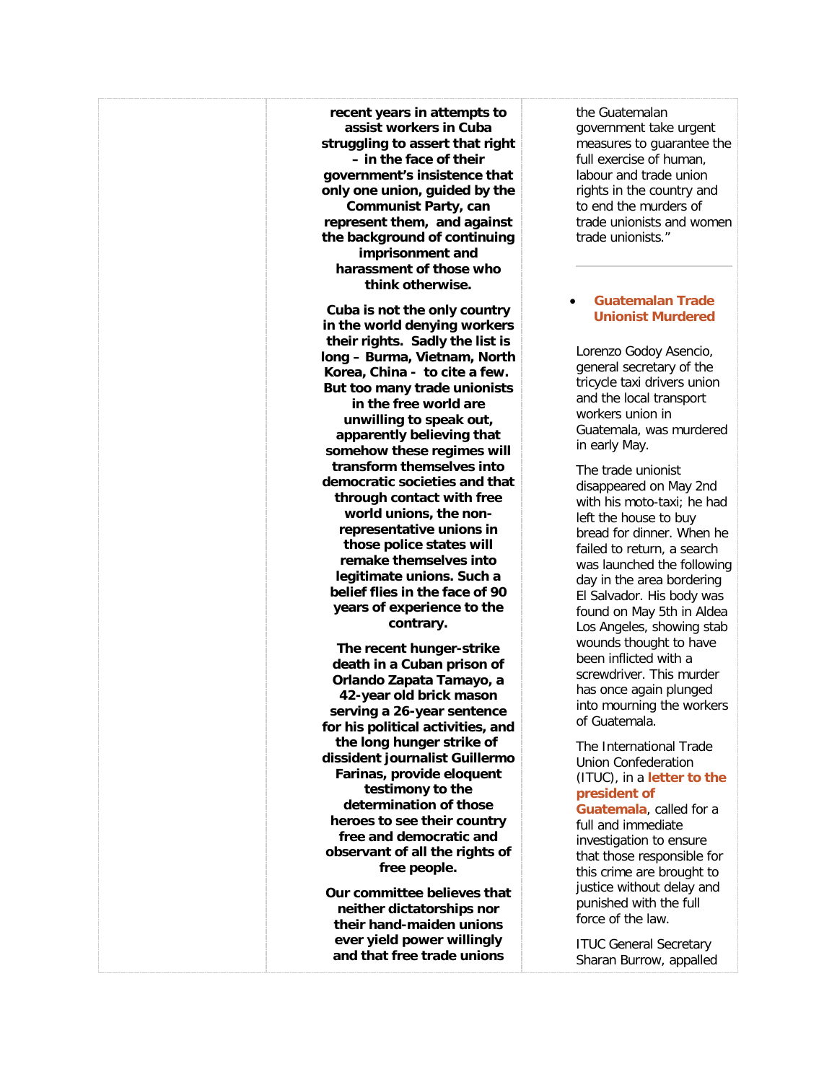**recent years in attempts to assist workers in Cuba struggling to assert that right – in the face of their government's insistence that only one union, guided by the Communist Party, can represent them, and against the background of continuing imprisonment and harassment of those who think otherwise.**

**Cuba is not the only country in the world denying workers their rights. Sadly the list is long – Burma, Vietnam, North Korea, China - to cite a few. But too many trade unionists in the free world are unwilling to speak out, apparently believing that somehow these regimes will transform themselves into democratic societies and that through contact with free world unions, the nonrepresentative unions in those police states will remake themselves into legitimate unions. Such a belief flies in the face of 90 years of experience to the contrary.**

**The recent hunger-strike death in a Cuban prison of Orlando Zapata Tamayo, a 42-year old brick mason serving a 26-year sentence for his political activities, and the long hunger strike of dissident journalist Guillermo Farinas, provide eloquent testimony to the determination of those heroes to see their country free and democratic and observant of all the rights of free people.**

**Our committee believes that neither dictatorships nor their hand-maiden unions ever yield power willingly and that free trade unions** 

the Guatemalan government take urgent measures to guarantee the full exercise of human, labour and trade union rights in the country and to end the murders of trade unionists and women trade unionists."

### • **[Guatemalan Trade](http://freetradeunionism.org/2011/05/guatemalan-trade-unionist-murdered/)  [Unionist Murdered](http://freetradeunionism.org/2011/05/guatemalan-trade-unionist-murdered/)**

Lorenzo Godoy Asencio, general secretary of the tricycle taxi drivers union and the local transport workers union in Guatemala, was murdered in early May.

The trade unionist disappeared on May 2nd with his moto-taxi; he had left the house to buy bread for dinner. When he failed to return, a search was launched the following day in the area bordering El Salvador. His body was found on May 5th in Aldea Los Angeles, showing stab wounds thought to have been inflicted with a screwdriver. This murder has once again plunged into mourning the workers of Guatemala.

The International Trade Union Confederation (ITUC), in a **[letter to the](http://www.ituc-csi.org/IMG/pdf/Protesta_asesinato_de_Lorenzo_Godoy_mayo.pdf)  [president](http://www.ituc-csi.org/IMG/pdf/Protesta_asesinato_de_Lorenzo_Godoy_mayo.pdf) of** 

**[Guatemala](http://www.ituc-csi.org/IMG/pdf/Protesta_asesinato_de_Lorenzo_Godoy_mayo.pdf)**, called for a full and immediate investigation to ensure that those responsible for this crime are brought to justice without delay and punished with the full force of the law.

ITUC General Secretary Sharan Burrow, appalled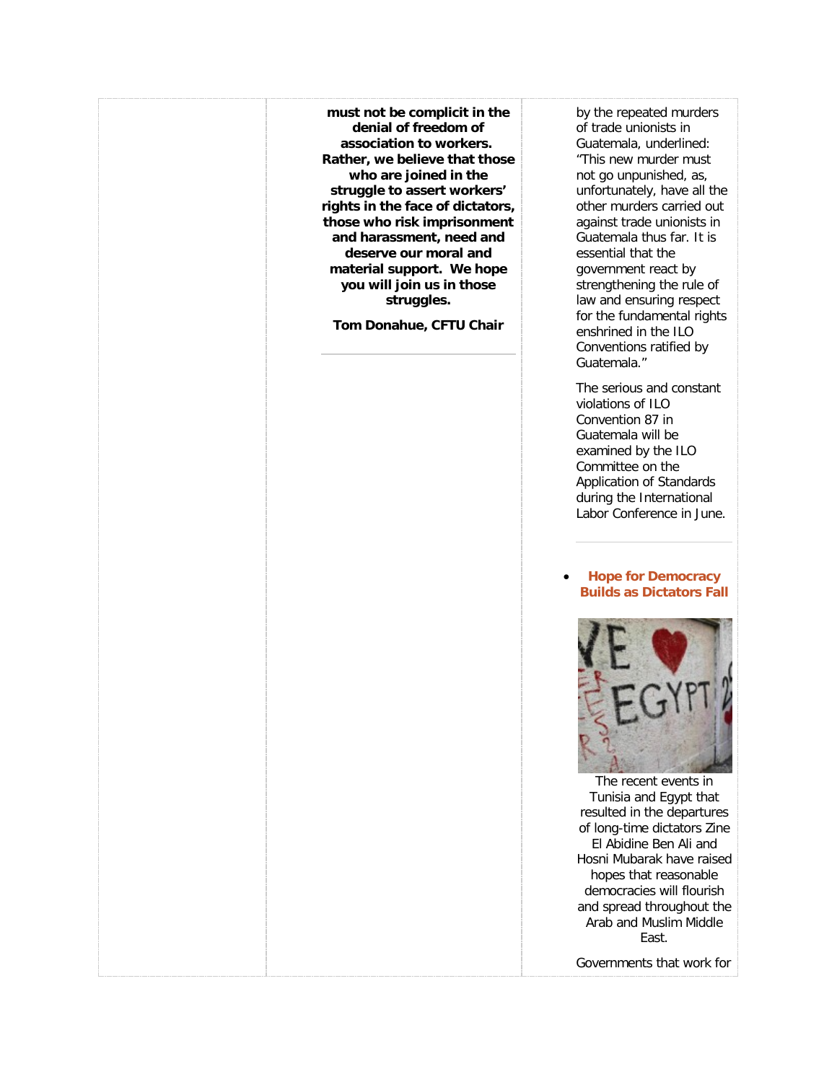**must not be complicit in the denial of freedom of association to workers. Rather, we believe that those who are joined in the struggle to assert workers' rights in the face of dictators, those who risk imprisonment and harassment, need and deserve our moral and material support. We hope you will join us in those struggles.**

**Tom Donahue, CFTU Chair**

by the repeated murders of trade unionists in Guatemala, underlined: "This new murder must not go unpunished, as, unfortunately, have all the other murders carried out against trade unionists in Guatemala thus far. It is essential that the government react by strengthening the rule of law and ensuring respect for the fundamental rights enshrined in the ILO Conventions ratified by Guatemala."

The serious and constant violations of ILO Convention 87 in Guatemala will be examined by the ILO Committee on the Application of Standards during the International Labor Conference in June.

### • **[Hope for Democracy](http://freetradeunionism.org/2011/02/hope-for-democracy-builds-as-dictators-fall/)  [Builds as Dictators Fall](http://freetradeunionism.org/2011/02/hope-for-democracy-builds-as-dictators-fall/)**

![](_page_37_Picture_5.jpeg)

The recent events in Tunisia and Egypt that resulted in the departures of long-time dictators Zine El Abidine Ben Ali and Hosni Mubarak have raised hopes that reasonable democracies will flourish and spread throughout the Arab and Muslim Middle East.

Governments that work for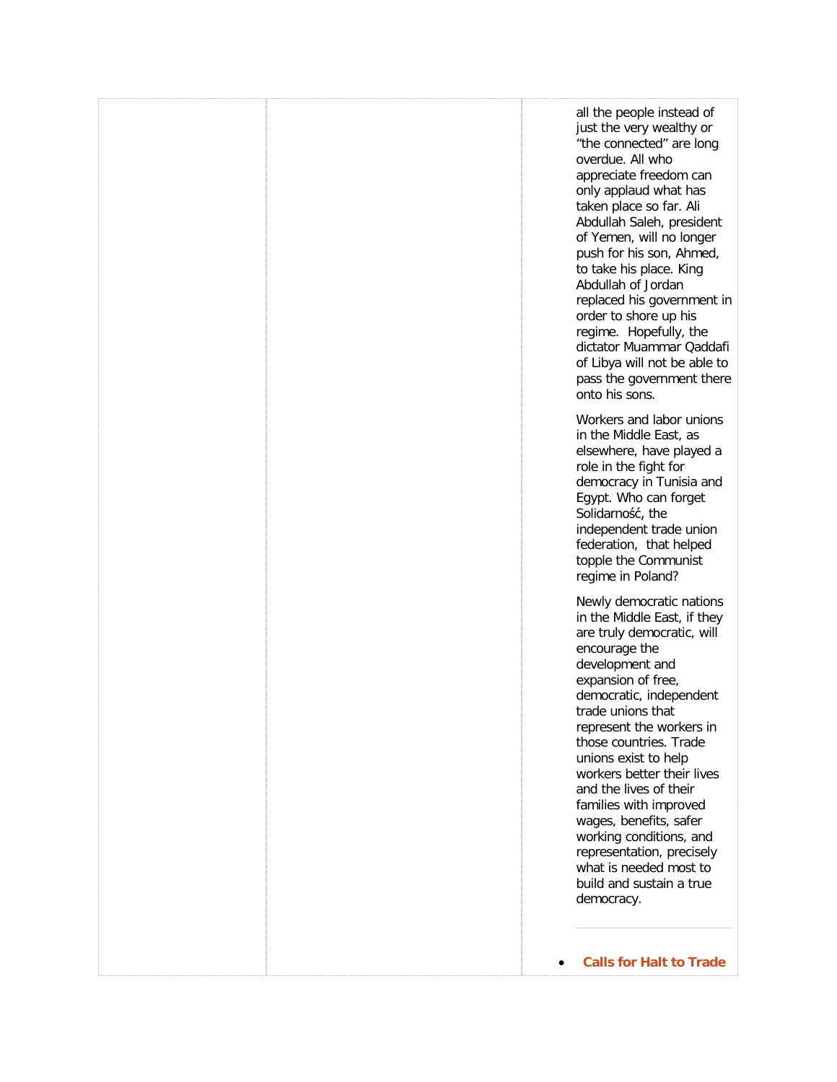|  | all the people instead of<br>just the very wealthy or<br>"the connected" are long<br>overdue. All who<br>appreciate freedom can<br>only applaud what has<br>taken place so far. Ali<br>Abdullah Saleh, president<br>of Yemen, will no longer<br>push for his son, Ahmed,<br>to take his place. King<br>Abdullah of Jordan<br>replaced his government in<br>order to shore up his<br>regime. Hopefully, the<br>dictator Muammar Qaddafi<br>of Libya will not be able to<br>pass the government there<br>onto his sons. |
|--|-----------------------------------------------------------------------------------------------------------------------------------------------------------------------------------------------------------------------------------------------------------------------------------------------------------------------------------------------------------------------------------------------------------------------------------------------------------------------------------------------------------------------|
|  | Workers and labor unions<br>in the Middle East, as<br>elsewhere, have played a<br>role in the fight for<br>democracy in Tunisia and<br>Egypt. Who can forget<br>Solidarność, the<br>independent trade union<br>federation, that helped<br>topple the Communist<br>regime in Poland?                                                                                                                                                                                                                                   |
|  | Newly democratic nations<br>in the Middle East, if they<br>are truly democratic, will<br>encourage the<br>development and<br>expansion of free,<br>democratic, independent<br>trade unions that<br>represent the workers in<br>those countries. Trade<br>unions exist to help<br>workers better their lives<br>and the lives of their<br>families with improved<br>wages, benefits, safer<br>working conditions, and<br>representation, precisely<br>what is needed most to<br>build and sustain a true<br>democracy. |
|  | <b>Calls for Halt to Trade</b>                                                                                                                                                                                                                                                                                                                                                                                                                                                                                        |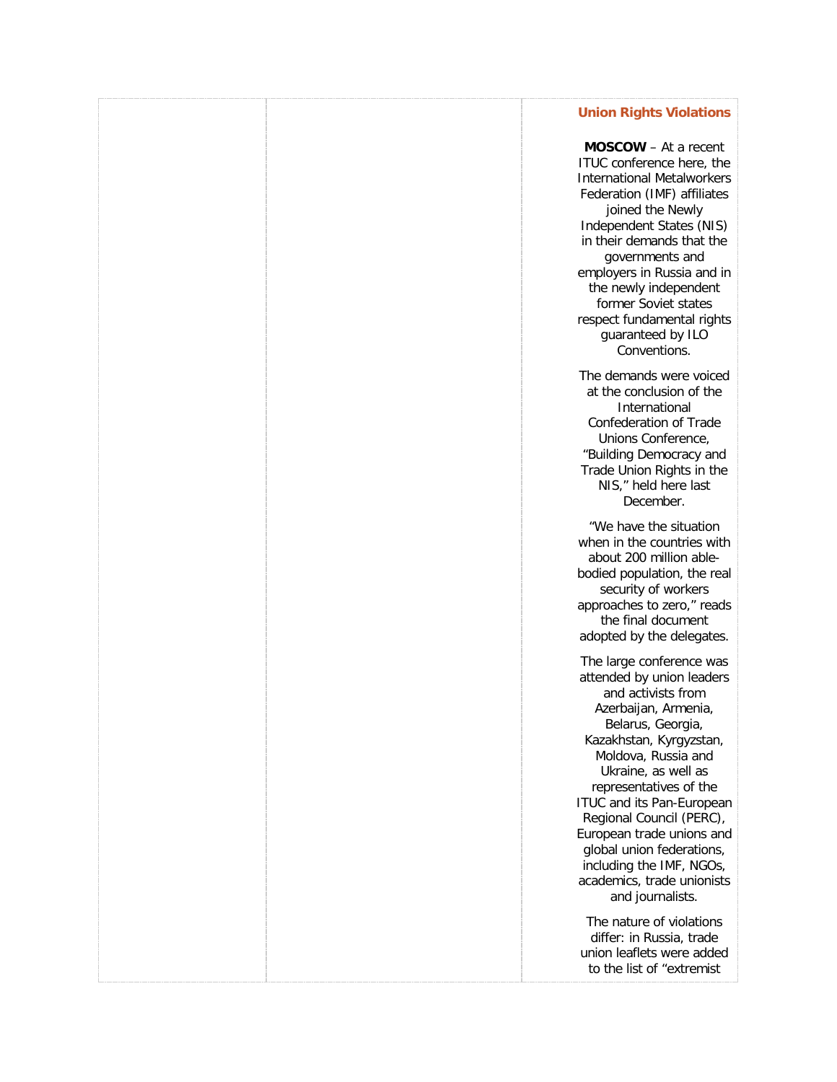### **[Union Rights Violations](http://freetradeunionism.org/2011/02/calls-for-halt-to-trade-union-rights-violations/)**

**MOSCOW** – At a recent ITUC conference here, the International Metalworkers Federation (IMF) affiliates joined the Newly Independent States (NIS) in their demands that the governments and employers in Russia and in the newly independent former Soviet states respect fundamental rights guaranteed by ILO Conventions.

The demands were voiced at the conclusion of the International Confederation of Trade Unions Conference, "Building Democracy and Trade Union Rights in the NIS," held here last December.

"We have the situation when in the countries with about 200 million ablebodied population, the real security of workers approaches to zero," reads the final document adopted by the delegates.

The large conference was attended by union leaders and activists from Azerbaijan, Armenia, Belarus, Georgia, Kazakhstan, Kyrgyzstan, Moldova, Russia and Ukraine, as well as representatives of the ITUC and its Pan-European Regional Council (PERC), European trade unions and global union federations, including the IMF, NGOs, academics, trade unionists and journalists.

The nature of violations differ: in Russia, trade union leaflets were added to the list of "extremist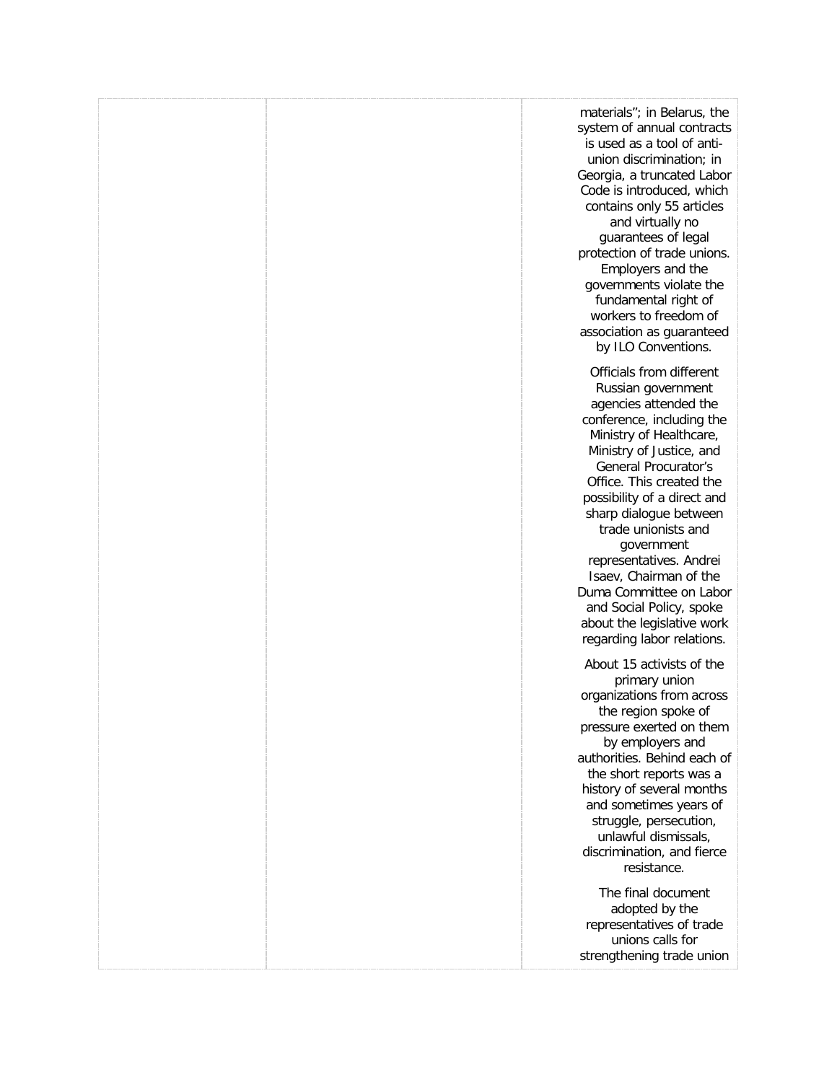materials"; in Belarus, the system of annual contracts is used as a tool of antiunion discrimination; in Georgia, a truncated Labor Code is introduced, which contains only 55 articles and virtually no guarantees of legal protection of trade unions. Employers and the governments violate the fundamental right of workers to freedom of association as guaranteed by ILO Conventions. Officials from different Russian government agencies attended the conference, including the Ministry of Healthcare, Ministry of Justice, and General Procurator's Office. This created the possibility of a direct and sharp dialogue between trade unionists and government representatives. Andrei Isaev, Chairman of the Duma Committee on Labor and Social Policy, spoke about the legislative work regarding labor relations. About 15 activists of the primary union organizations from across the region spoke of pressure exerted on them by employers and authorities. Behind each of the short reports was a history of several months and sometimes years of struggle, persecution, unlawful dismissals, discrimination, and fierce resistance. The final document adopted by the representatives of trade unions calls for

strengthening trade union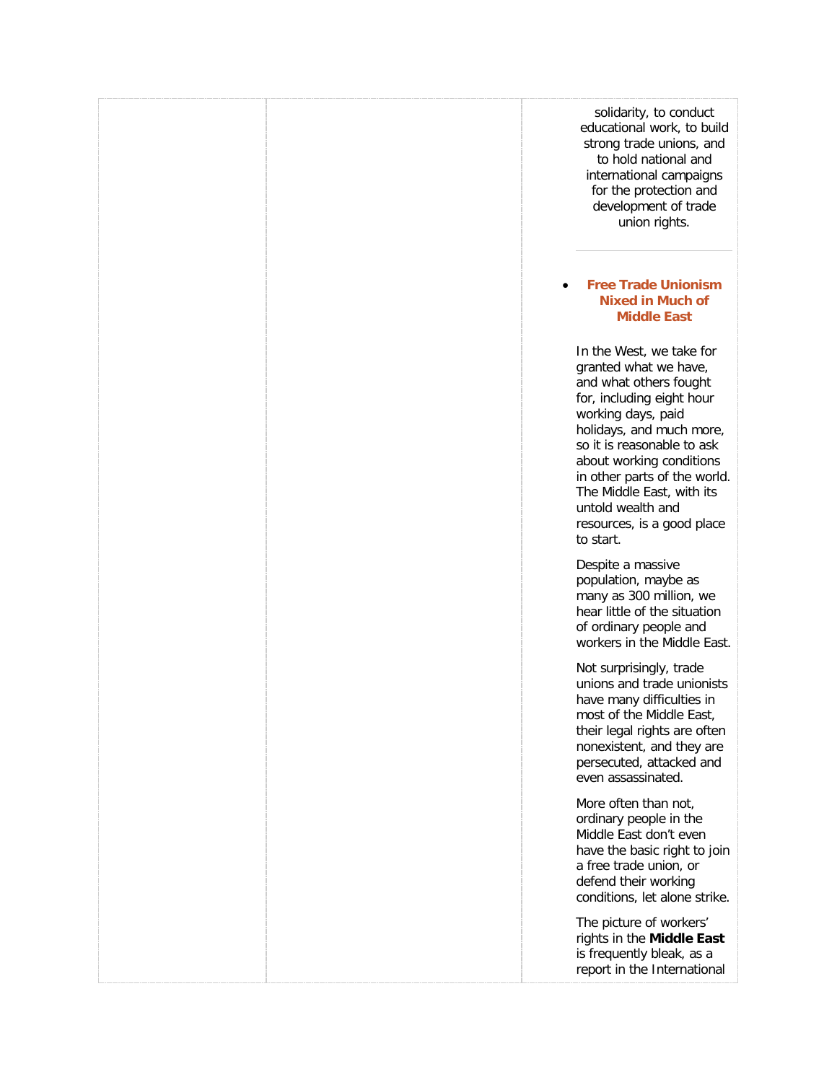|                                                                                                                            | solidarity, to conduct<br>educational work, to build<br>strong trade unions, and<br>to hold national and<br>international campaigns<br>for the protection and<br>development of trade<br>union rights.                                                                                    |
|----------------------------------------------------------------------------------------------------------------------------|-------------------------------------------------------------------------------------------------------------------------------------------------------------------------------------------------------------------------------------------------------------------------------------------|
|                                                                                                                            | <b>Free Trade Unionism</b><br><b>Nixed in Much of</b><br><b>Middle East</b>                                                                                                                                                                                                               |
| working days, paid<br>untold wealth and<br>to start.                                                                       | In the West, we take for<br>granted what we have,<br>and what others fought<br>for, including eight hour<br>holidays, and much more,<br>so it is reasonable to ask<br>about working conditions<br>in other parts of the world.<br>The Middle East, with its<br>resources, is a good place |
| Despite a massive<br>population, maybe as<br>of ordinary people and                                                        | many as 300 million, we<br>hear little of the situation<br>workers in the Middle East.                                                                                                                                                                                                    |
| Not surprisingly, trade<br>even assassinated.                                                                              | unions and trade unionists<br>have many difficulties in<br>most of the Middle East,<br>their legal rights are often<br>nonexistent, and they are<br>persecuted, attacked and                                                                                                              |
| More often than not,<br>ordinary people in the<br>Middle East don't even<br>a free trade union, or<br>defend their working | have the basic right to join<br>conditions, let alone strike.                                                                                                                                                                                                                             |
|                                                                                                                            | The picture of workers'<br>rights in the Middle East<br>is frequently bleak, as a<br>report in the International                                                                                                                                                                          |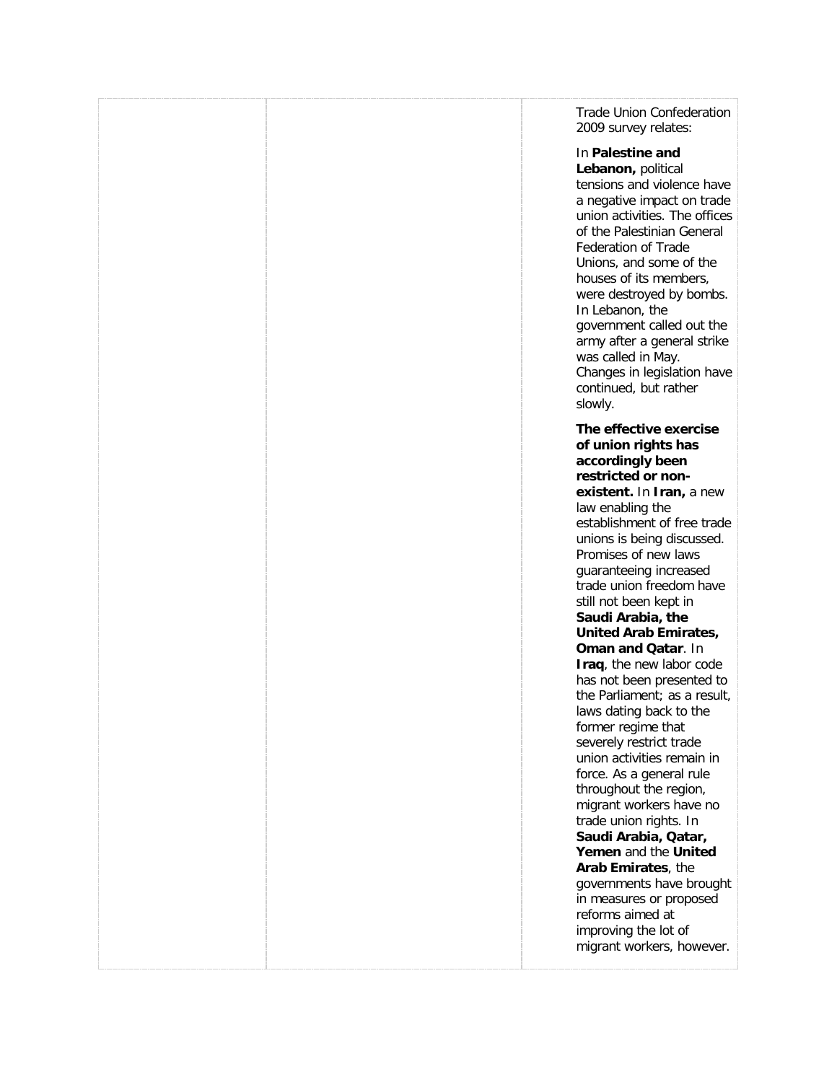Trade Union Confederation 2009 survey relates:

### In **Palestine and Lebanon,** political

tensions and violence have a negative impact on trade union activities. The offices of the Palestinian General Federation of Trade Unions, and some of the houses of its members, were destroyed by bombs. In Lebanon, the government called out the army after a general strike was called in May. Changes in legislation have continued, but rather slowly.

**The effective exercise of union rights has accordingly been restricted or nonexistent.** In **Iran,** a new law enabling the establishment of free trade unions is being discussed. Promises of new laws guaranteeing increased trade union freedom have still not been kept in **Saudi Arabia, the United Arab Emirates, Oman and Qatar**. In **Iraq**, the new labor code has not been presented to the Parliament; as a result, laws dating back to the former regime that severely restrict trade union activities remain in force. As a general rule throughout the region, migrant workers have no trade union rights. In **Saudi Arabia, Qatar, Yemen** and the **United** 

**Arab Emirates**, the governments have brought in measures or proposed reforms aimed at improving the lot of migrant workers, however.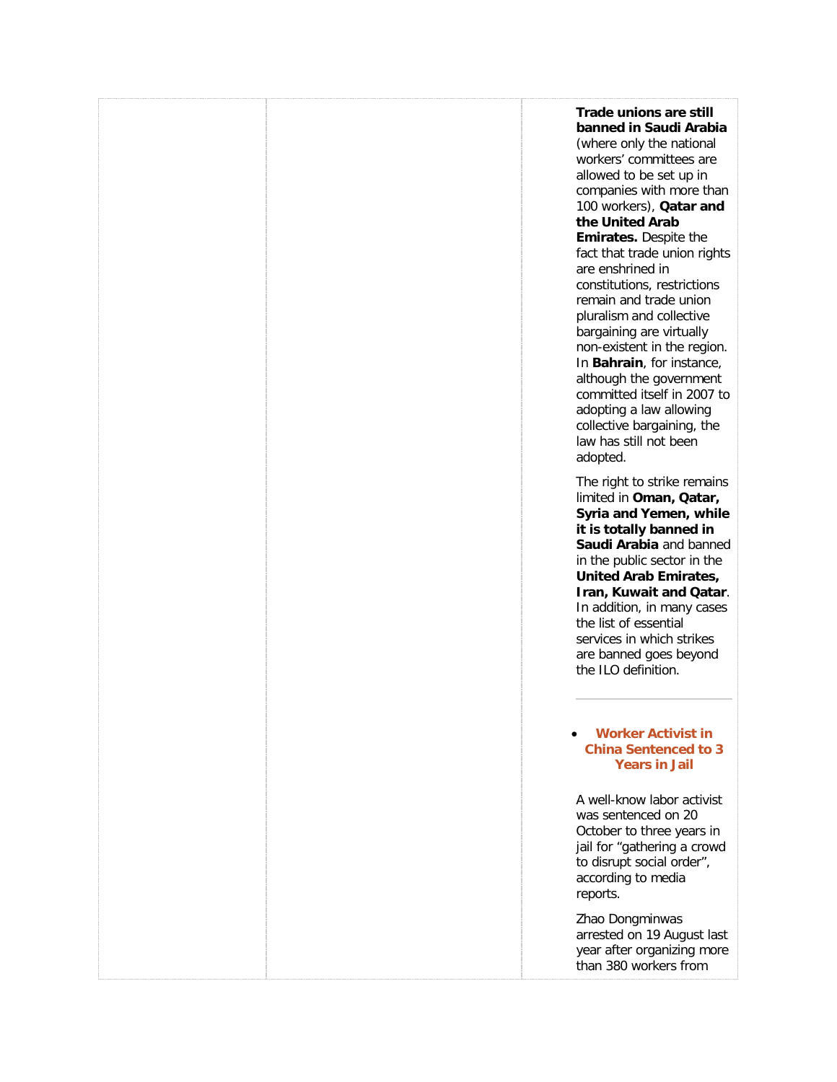| Trade unions are still<br>banned in Saudi Arabia<br>(where only the national<br>workers' committees are<br>allowed to be set up in<br>companies with more than<br>100 workers), <b>Qatar and</b><br>the United Arab<br>Emirates. Despite the<br>fact that trade union rights<br>are enshrined in<br>constitutions, restrictions<br>remain and trade union<br>pluralism and collective<br>bargaining are virtually<br>non-existent in the region.<br>In Bahrain, for instance,<br>although the government<br>committed itself in 2007 to<br>adopting a law allowing<br>collective bargaining, the<br>law has still not been<br>adopted. |  |
|----------------------------------------------------------------------------------------------------------------------------------------------------------------------------------------------------------------------------------------------------------------------------------------------------------------------------------------------------------------------------------------------------------------------------------------------------------------------------------------------------------------------------------------------------------------------------------------------------------------------------------------|--|
| The right to strike remains<br>limited in Oman, Qatar,<br>Syria and Yemen, while<br>it is totally banned in<br>Saudi Arabia and banned<br>in the public sector in the<br>United Arab Emirates,<br>Iran, Kuwait and Qatar.<br>In addition, in many cases<br>the list of essential<br>services in which strikes<br>are banned goes beyond<br>the ILO definition.                                                                                                                                                                                                                                                                         |  |
| <b>Worker Activist in</b><br><b>China Sentenced to 3</b><br><b>Years in Jail</b>                                                                                                                                                                                                                                                                                                                                                                                                                                                                                                                                                       |  |
| A well-know labor activist<br>was sentenced on 20<br>October to three years in<br>jail for "gathering a crowd<br>to disrupt social order",<br>according to media<br>reports.                                                                                                                                                                                                                                                                                                                                                                                                                                                           |  |
| Zhao Dongminwas<br>arrested on 19 August last<br>year after organizing more<br>than 380 workers from                                                                                                                                                                                                                                                                                                                                                                                                                                                                                                                                   |  |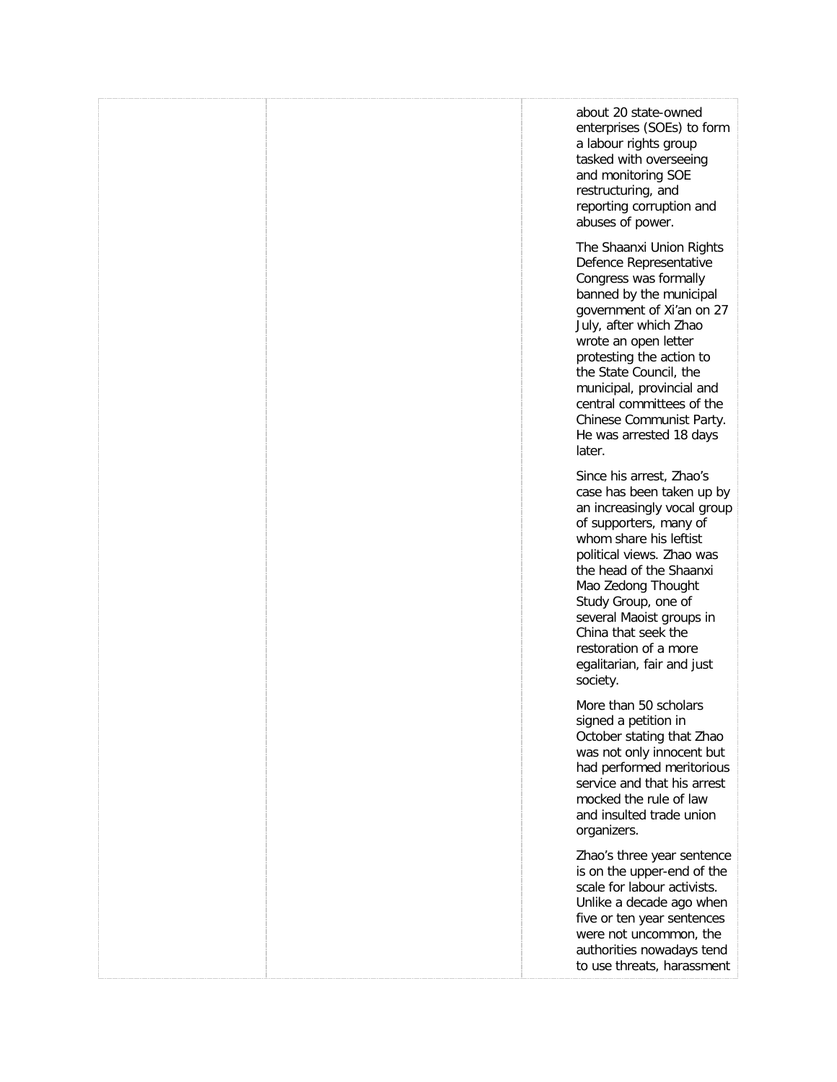|  | about 20 state-owned<br>enterprises (SOEs) to form<br>a labour rights group<br>tasked with overseeing<br>and monitoring SOE<br>restructuring, and<br>reporting corruption and<br>abuses of power.<br>The Shaanxi Union Rights<br>Defence Representative<br>Congress was formally<br>banned by the municipal<br>government of Xi'an on 27<br>July, after which Zhao<br>wrote an open letter<br>protesting the action to<br>the State Council, the<br>municipal, provincial and<br>central committees of the<br>Chinese Communist Party.<br>He was arrested 18 days |
|--|-------------------------------------------------------------------------------------------------------------------------------------------------------------------------------------------------------------------------------------------------------------------------------------------------------------------------------------------------------------------------------------------------------------------------------------------------------------------------------------------------------------------------------------------------------------------|
|  | later.<br>Since his arrest, Zhao's<br>case has been taken up by<br>an increasingly vocal group<br>of supporters, many of<br>whom share his leftist<br>political views. Zhao was<br>the head of the Shaanxi<br>Mao Zedong Thought<br>Study Group, one of<br>several Maoist groups in<br>China that seek the<br>restoration of a more<br>egalitarian, fair and just<br>society.                                                                                                                                                                                     |
|  | More than 50 scholars<br>signed a petition in<br>October stating that Zhao<br>was not only innocent but<br>had performed meritorious<br>service and that his arrest<br>mocked the rule of law<br>and insulted trade union<br>organizers.                                                                                                                                                                                                                                                                                                                          |
|  | Zhao's three year sentence<br>is on the upper-end of the<br>scale for labour activists.<br>Unlike a decade ago when<br>five or ten year sentences<br>were not uncommon, the<br>authorities nowadays tend<br>to use threats, harassment                                                                                                                                                                                                                                                                                                                            |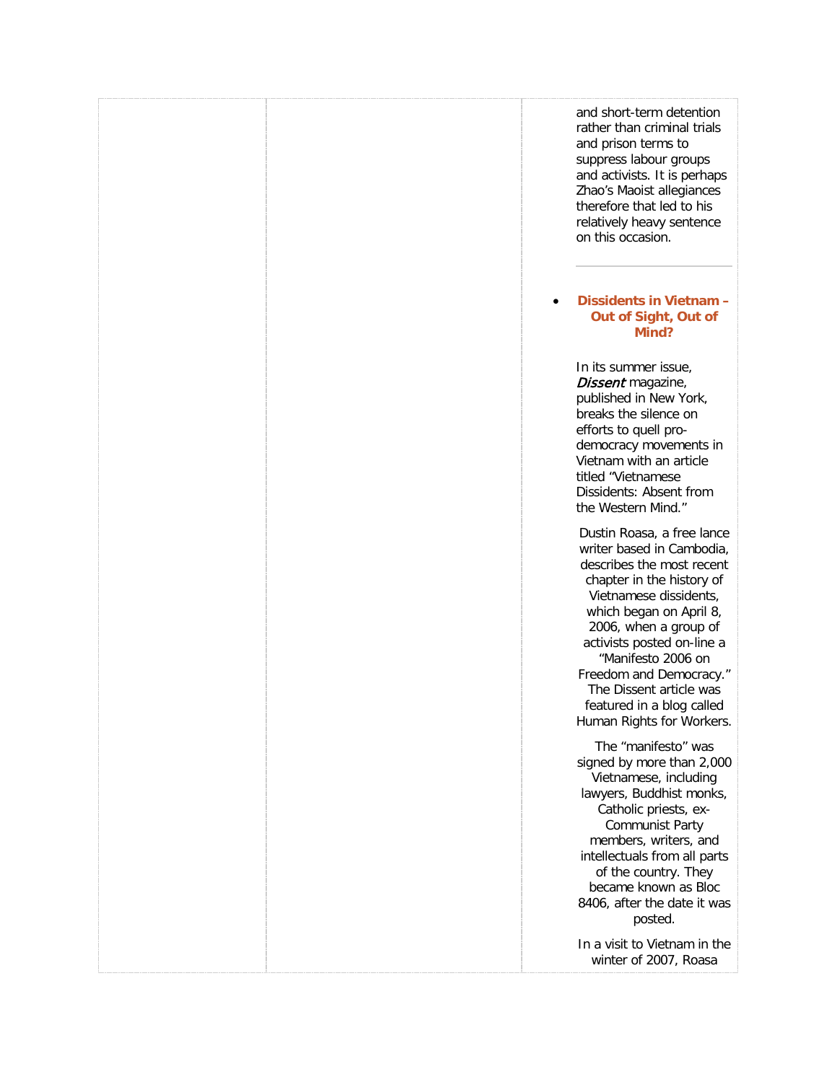|  | and short-term detention<br>rather than criminal trials<br>and prison terms to<br>suppress labour groups<br>and activists. It is perhaps<br>Zhao's Maoist allegiances<br>therefore that led to his<br>relatively heavy sentence<br>on this occasion.                                                                                                                |
|--|---------------------------------------------------------------------------------------------------------------------------------------------------------------------------------------------------------------------------------------------------------------------------------------------------------------------------------------------------------------------|
|  | Dissidents in Vietnam -<br>Out of Sight, Out of<br>Mind?                                                                                                                                                                                                                                                                                                            |
|  | In its summer issue,<br>Dissent magazine,<br>published in New York,<br>breaks the silence on<br>efforts to quell pro-<br>democracy movements in<br>Vietnam with an article<br>titled "Vietnamese<br>Dissidents: Absent from<br>the Western Mind."                                                                                                                   |
|  | Dustin Roasa, a free lance<br>writer based in Cambodia,<br>describes the most recent<br>chapter in the history of<br>Vietnamese dissidents,<br>which began on April 8,<br>2006, when a group of<br>activists posted on-line a<br>"Manifesto 2006 on<br>Freedom and Democracy."<br>The Dissent article was<br>featured in a blog called<br>Human Rights for Workers. |
|  | The "manifesto" was<br>signed by more than 2,000<br>Vietnamese, including<br>lawyers, Buddhist monks,<br>Catholic priests, ex-<br><b>Communist Party</b><br>members, writers, and<br>intellectuals from all parts<br>of the country. They<br>became known as Bloc<br>8406, after the date it was<br>posted.                                                         |
|  | In a visit to Vietnam in the<br>winter of 2007, Roasa                                                                                                                                                                                                                                                                                                               |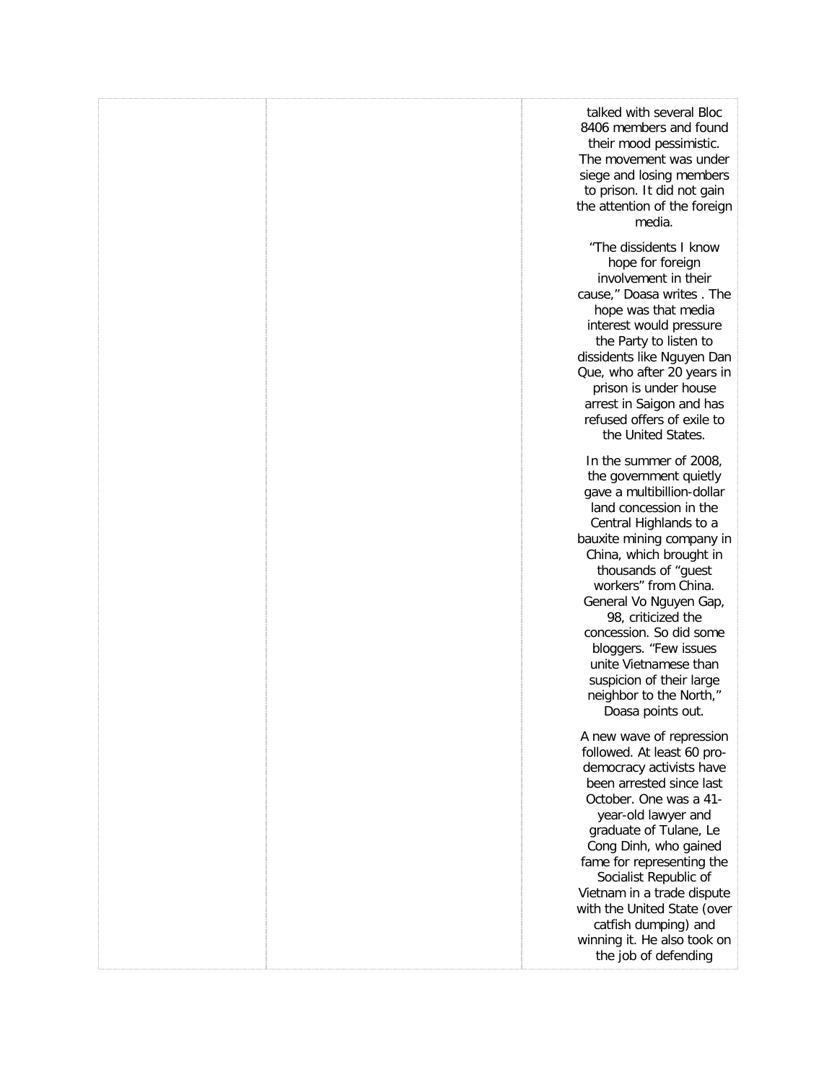|  | talked with several Bloc<br>8406 members and found<br>their mood pessimistic.<br>The movement was under<br>siege and losing members<br>to prison. It did not gain<br>the attention of the foreign<br>media.                                                                                                                                                                                                                                        |
|--|----------------------------------------------------------------------------------------------------------------------------------------------------------------------------------------------------------------------------------------------------------------------------------------------------------------------------------------------------------------------------------------------------------------------------------------------------|
|  | "The dissidents I know<br>hope for foreign<br>involvement in their<br>cause," Doasa writes. The<br>hope was that media<br>interest would pressure<br>the Party to listen to<br>dissidents like Nguyen Dan<br>Que, who after 20 years in<br>prison is under house<br>arrest in Saigon and has<br>refused offers of exile to<br>the United States.                                                                                                   |
|  | In the summer of 2008,<br>the government quietly<br>gave a multibillion-dollar<br>land concession in the<br>Central Highlands to a<br>bauxite mining company in<br>China, which brought in<br>thousands of "guest<br>workers" from China.<br>General Vo Nguyen Gap,<br>98, criticized the<br>concession. So did some<br>bloggers. "Few issues<br>unite Vietnamese than<br>suspicion of their large<br>neighbor to the North,"<br>Doasa points out. |
|  | A new wave of repression<br>followed. At least 60 pro-<br>democracy activists have<br>been arrested since last<br>October. One was a 41-<br>year-old lawyer and<br>graduate of Tulane, Le<br>Cong Dinh, who gained<br>fame for representing the<br>Socialist Republic of<br>Vietnam in a trade dispute<br>with the United State (over<br>catfish dumping) and<br>winning it. He also took on<br>the job of defending                               |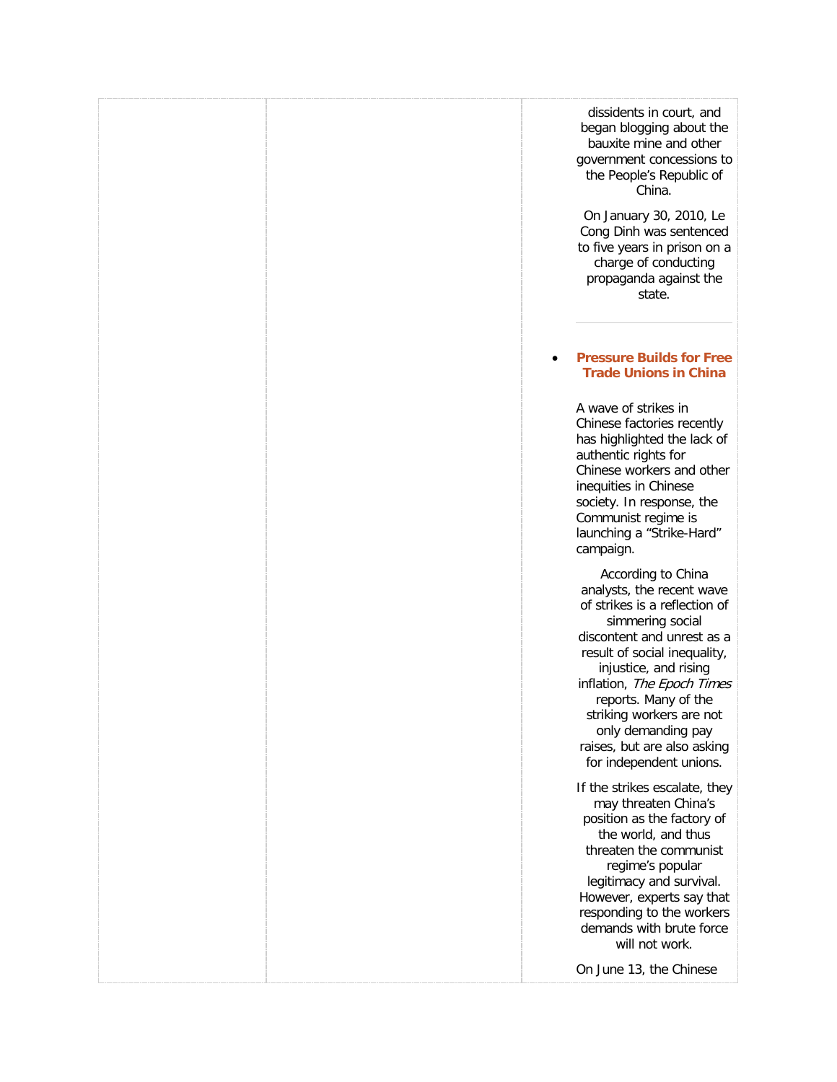| dissidents in court, and<br>began blogging about the<br>bauxite mine and other<br>government concessions to<br>the People's Republic of<br>China.                                                                                                                                                                                                             |
|---------------------------------------------------------------------------------------------------------------------------------------------------------------------------------------------------------------------------------------------------------------------------------------------------------------------------------------------------------------|
| On January 30, 2010, Le<br>Cong Dinh was sentenced<br>to five years in prison on a<br>charge of conducting<br>propaganda against the<br>state.                                                                                                                                                                                                                |
| <b>Pressure Builds for Free</b><br><b>Trade Unions in China</b>                                                                                                                                                                                                                                                                                               |
| A wave of strikes in<br>Chinese factories recently<br>has highlighted the lack of<br>authentic rights for<br>Chinese workers and other<br>inequities in Chinese<br>society. In response, the<br>Communist regime is<br>launching a "Strike-Hard"<br>campaign.                                                                                                 |
| According to China<br>analysts, the recent wave<br>of strikes is a reflection of<br>simmering social<br>discontent and unrest as a<br>result of social inequality,<br>injustice, and rising<br>inflation, The Epoch Times<br>reports. Many of the<br>striking workers are not<br>only demanding pay<br>raises, but are also asking<br>for independent unions. |
| If the strikes escalate, they<br>may threaten China's<br>position as the factory of<br>the world, and thus<br>threaten the communist<br>regime's popular<br>legitimacy and survival.<br>However, experts say that<br>responding to the workers<br>demands with brute force                                                                                    |
| will not work.                                                                                                                                                                                                                                                                                                                                                |
| On June 13, the Chinese                                                                                                                                                                                                                                                                                                                                       |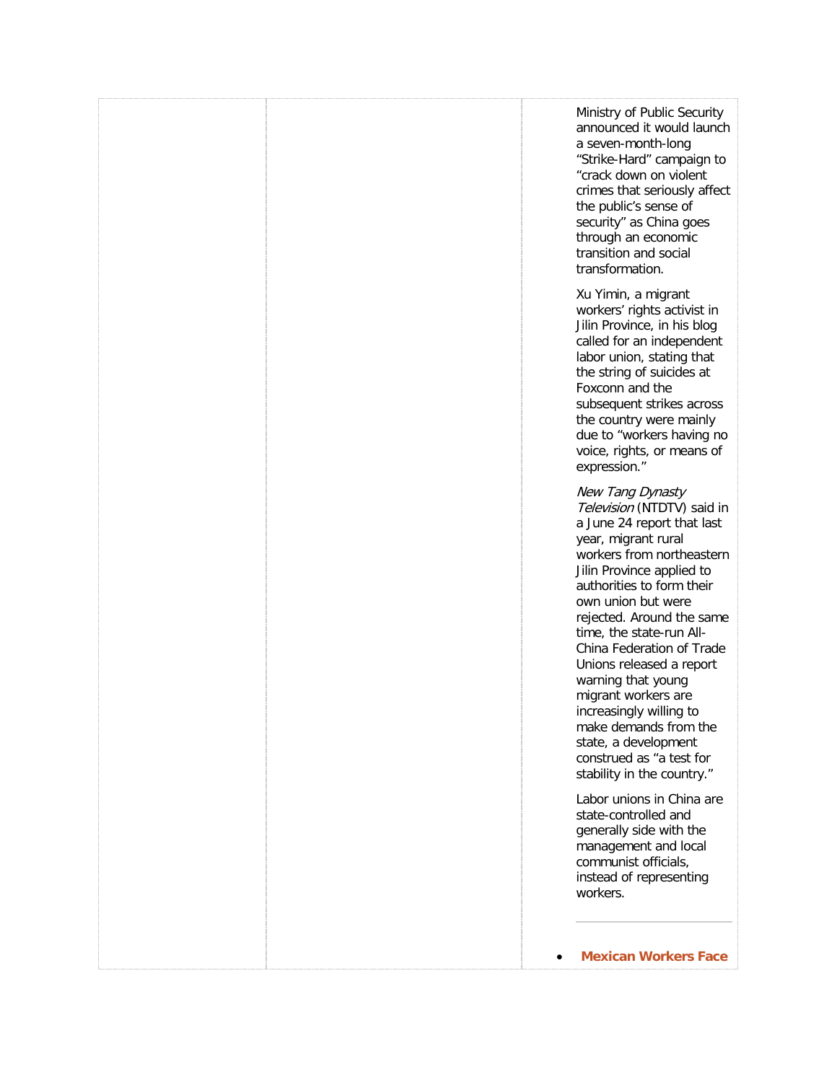| Ministry of Public Security<br>announced it would launch<br>a seven-month-long<br>"Strike-Hard" campaign to<br>"crack down on violent<br>crimes that seriously affect<br>the public's sense of<br>security" as China goes<br>through an economic<br>transition and social<br>transformation.                                                                                                                                                                                                                          |
|-----------------------------------------------------------------------------------------------------------------------------------------------------------------------------------------------------------------------------------------------------------------------------------------------------------------------------------------------------------------------------------------------------------------------------------------------------------------------------------------------------------------------|
| Xu Yimin, a migrant<br>workers' rights activist in<br>Jilin Province, in his blog<br>called for an independent<br>labor union, stating that<br>the string of suicides at<br>Foxconn and the<br>subsequent strikes across<br>the country were mainly<br>due to "workers having no<br>voice, rights, or means of<br>expression."                                                                                                                                                                                        |
| New Tang Dynasty<br>Television (NTDTV) said in<br>a June 24 report that last<br>year, migrant rural<br>workers from northeastern<br>Jilin Province applied to<br>authorities to form their<br>own union but were<br>rejected. Around the same<br>time, the state-run All-<br>China Federation of Trade<br>Unions released a report<br>warning that young<br>migrant workers are<br>increasingly willing to<br>make demands from the<br>state, a development<br>construed as "a test for<br>stability in the country." |
| Labor unions in China are<br>state-controlled and<br>generally side with the<br>management and local<br>communist officials,<br>instead of representing<br>workers.                                                                                                                                                                                                                                                                                                                                                   |
| <b>Mexican Workers Face</b>                                                                                                                                                                                                                                                                                                                                                                                                                                                                                           |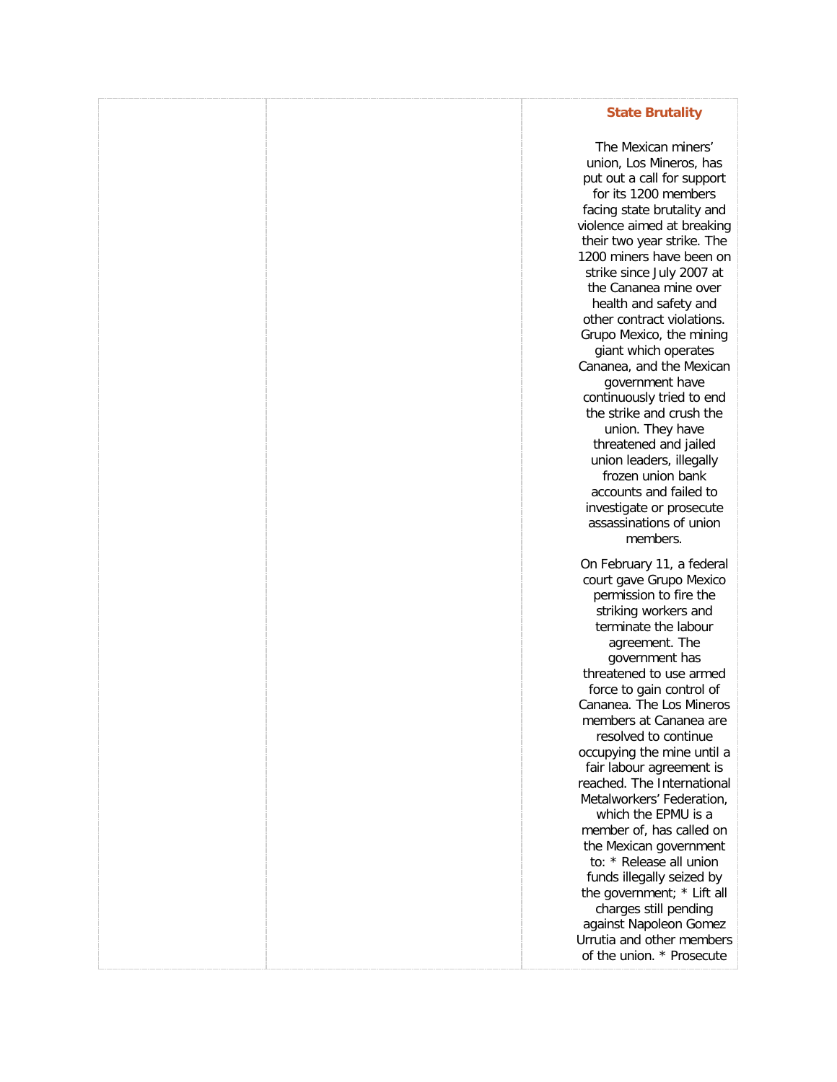### **[State Brutality](http://freetradeunionism.org/2010/04/mexican-workers-face-state-brutality/)**

The Mexican miners' union, Los Mineros, has put out a call for support for its 1200 members facing state brutality and violence aimed at breaking their two year strike. The 1200 miners have been on strike since July 2007 at the Cananea mine over health and safety and other contract violations. Grupo Mexico, the mining giant which operates Cananea, and the Mexican government have continuously tried to end the strike and crush the union. They have threatened and jailed union leaders, illegally frozen union bank accounts and failed to investigate or prosecute assassinations of union members. On February 11, a federal court gave Grupo Mexico permission to fire the striking workers and terminate the labour agreement. The government has threatened to use armed force to gain control of Cananea. The Los Mineros members at Cananea are resolved to continue occupying the mine until a fair labour agreement is reached. The International Metalworkers' Federation, which the EPMU is a member of, has called on the Mexican government to: \* Release all union funds illegally seized by the government; \* Lift all charges still pending against Napoleon Gomez Urrutia and other members of the union. \* Prosecute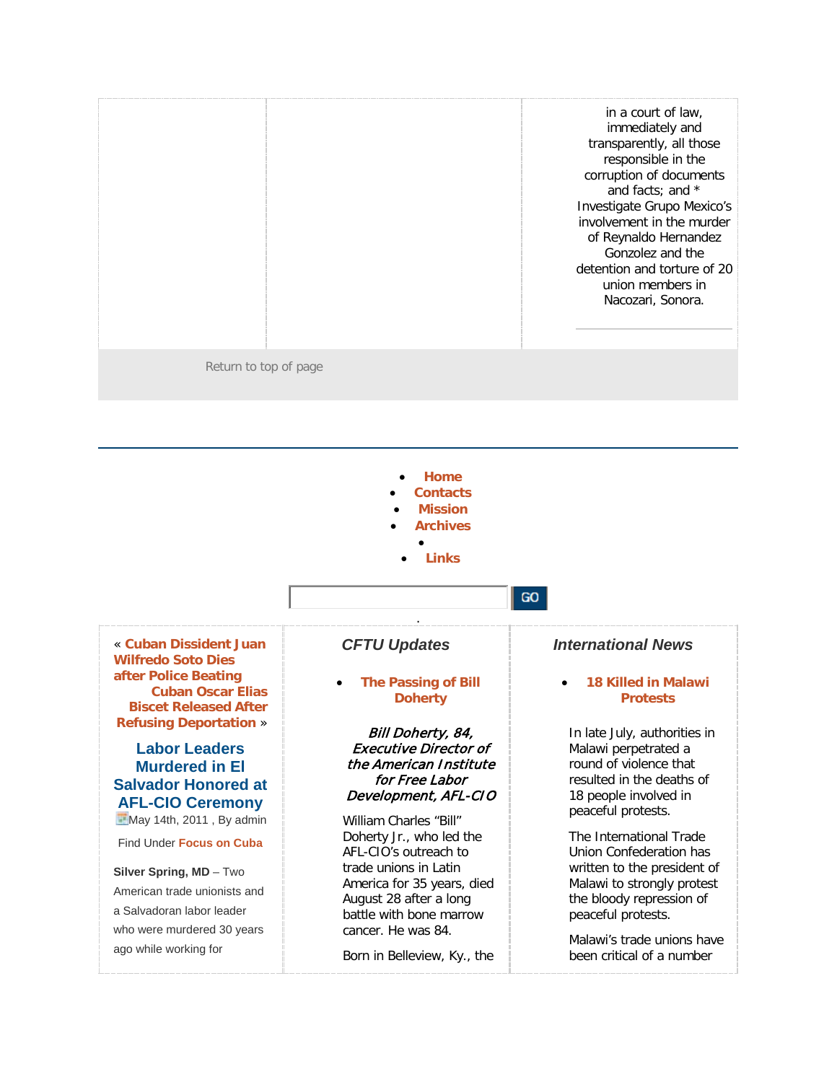|                       | in a court of law,<br>immediately and<br>transparently, all those<br>responsible in the<br>corruption of documents<br>and facts; and *<br>Investigate Grupo Mexico's<br>involvement in the murder<br>of Reynaldo Hernandez<br>Gonzolez and the<br>detention and torture of 20<br>union members in<br>Nacozari, Sonora. |
|-----------------------|------------------------------------------------------------------------------------------------------------------------------------------------------------------------------------------------------------------------------------------------------------------------------------------------------------------------|
| Return to top of page |                                                                                                                                                                                                                                                                                                                        |

- **[Home](http://freetradeunionism.org/)**
- **[Contacts](http://freetradeunionism.org/contact-us/)**
- **[Mission](http://freetradeunionism.org/our-mission/)**
- **[Archives](http://freetradeunionism.org/archives/)** •
	- **[Links](http://freetradeunionism.org/links/)**

« **[Cuban Dissident Juan](http://freetradeunionism.org/2011/05/cuban-dissident-juan-wilfredo-soto-dies-after-police-beating/)  [Wilfredo Soto Dies](http://freetradeunionism.org/2011/05/cuban-dissident-juan-wilfredo-soto-dies-after-police-beating/)  [after Police Beating](http://freetradeunionism.org/2011/05/cuban-dissident-juan-wilfredo-soto-dies-after-police-beating/) [Cuban Oscar Elias](http://freetradeunionism.org/2011/03/cuban-oscar-elias-biscet-released-after-refusing-deportation-to-spain/)  [Biscet Released After](http://freetradeunionism.org/2011/03/cuban-oscar-elias-biscet-released-after-refusing-deportation-to-spain/)  [Refusing Deportation](http://freetradeunionism.org/2011/03/cuban-oscar-elias-biscet-released-after-refusing-deportation-to-spain/)** »

### **Labor Leaders Murdered in El Salvador Honored at AFL-CIO Ceremony** May 14th, 2011, By admin

Find Under **[Focus on Cuba](http://freetradeunionism.org/category/focus-on-cuba/)**

### **Silver Spring, MD** – Two

American trade unionists and a Salvadoran labor leader who were murdered 30 years ago while working for

### *CFTU Updates*

### • **[The Passing of Bill](http://freetradeunionism.org/2011/09/the-passing-of-bill-doherty/)  [Doherty](http://freetradeunionism.org/2011/09/the-passing-of-bill-doherty/)**

.

### Bill Doherty, 84, Executive Director of the American Institute for Free Labor Development, AFL-CIO

William Charles "Bill" Doherty Jr., who led the AFL-CIO's outreach to trade unions in Latin America for 35 years, died August 28 after a long battle with bone marrow cancer. He was 84.

Born in Belleview, Ky., the

### *International News*

GO

### • **[18 Killed in Malawi](http://freetradeunionism.org/2011/09/18-killed-in-malawi-protests/)  [Protests](http://freetradeunionism.org/2011/09/18-killed-in-malawi-protests/)**

In late July, authorities in Malawi perpetrated a round of violence that resulted in the deaths of 18 people involved in peaceful protests.

The International Trade Union Confederation has written to the president of Malawi to strongly protest the bloody repression of peaceful protests.

Malawi's trade unions have been critical of a number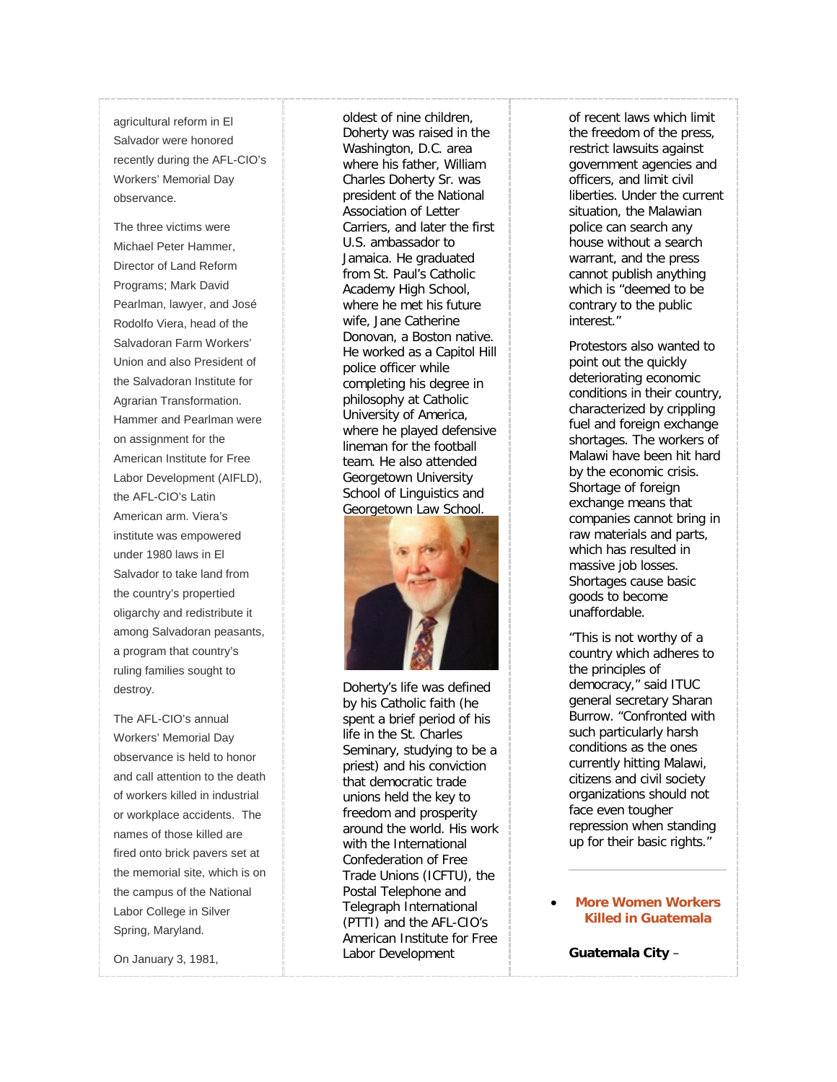agricultural reform in El Salvador were honored recently during the AFL -CIO's Workers' Memorial Day observance.

The three victims were Michael Peter Hammer, Director of Land Reform Programs; Mark David Pearlman, lawyer, and José Rodolfo Viera, head of the Salvadoran Farm Workers' Union and also President of the Salvadoran Institute for Agrarian Transformation. Hammer and Pearlman were on assignment for the American Institute for Free Labor Development (AIFLD), the AFL -CIO's Latin American arm. Viera's institute was empowered under 1980 laws in El Salvador to take land from the country's propertied oligarchy and redistribute it among Salvadoran peasants, a program that country's ruling families sought to destroy.

The AFL -CIO's annual Workers' Memorial Day observance is held to honor and call attention to the death of workers killed in industrial or workplace accidents. The names of those killed are fired onto brick pavers set at the memorial site, which is on the campus of the National Labor College in Silver Spring, Maryland.

On January 3, 1981,

oldest of nine children, Doherty was raised in the Washington, D.C. area where his father, William Charles Doherty Sr. was president of the National Association of Letter Carriers, and later the first U.S. ambassador to Jamaica. He graduated from St. Paul's Catholic Academy High School, where he met his future wife, Jane Catherine Donovan, a Boston native. He worked as a Capitol Hill police officer while completing his degree in philosophy at Catholic University of America, where he played defensive lineman for the football team. He also attended Georgetown University School of Linguistics and Georgetown Law School.

![](_page_51_Picture_5.jpeg)

Doherty's life was defined by his Catholic faith (he spent a brief period of his life in the St. Charles Seminary, studying to be a priest) and his conviction that democratic trade unions held the key to freedom and prosperity around the world. His work with the International Confederation of Free Trade Unions (ICFTU), the Postal Telephone and Telegraph International (PTTI) and the AFL -CIO's American Institute for Free Labor Development

of recent laws which limit the freedom of the press, restrict lawsuits against government agencies and officers, and limit civil liberties. Under the current situation, the Malawian police can search any house without a search warrant, and the press cannot publish anything which is "deemed to be contrary to the public interest."

Protestors also wanted to point out the quickly deteriorating economic conditions in their country, characterized by crippling fuel and foreign exchange shortages. The workers of Malawi have been hit hard by the economic crisis. Shortage of foreign exchange means that companies cannot bring in raw materials and parts, which has resulted in massive job losses. Shortages cause basic goods to become unaffordable.

"This is not worthy of a country which adheres to the principles of democracy," said ITUC general secretary Sharan Burrow. "Confronted with such particularly harsh conditions as the ones currently hitting Malawi, citizens and civil society organizations should not face even tougher repression when standing up for their basic rights."

### • **[More Women Workers](http://freetradeunionism.org/2011/09/more-women-workers-killed-in-guatemala/)  [Killed in Guatemala](http://freetradeunionism.org/2011/09/more-women-workers-killed-in-guatemala/)**

**Guatemala City** –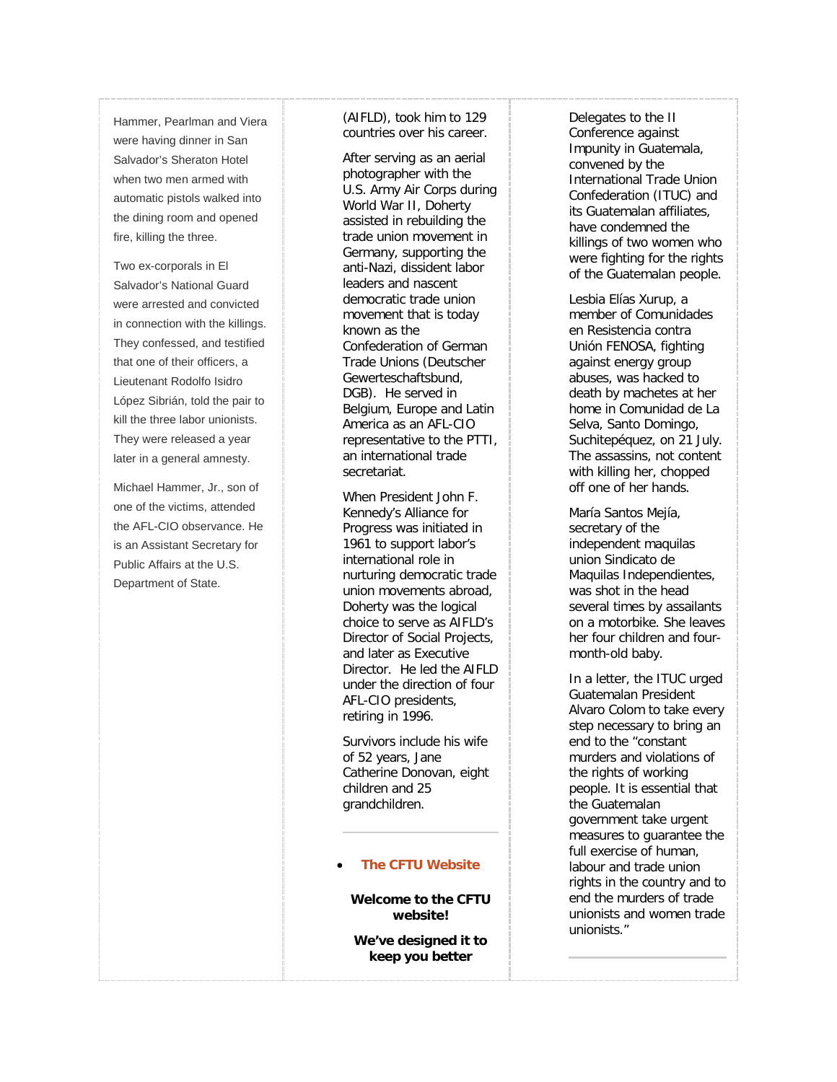Hammer, Pearlman and Viera were having dinner in San Salvador's Sheraton Hotel when two men armed with automatic pistols walked into the dining room and opened fire, killing the three.

Two ex -corporals in El Salvador's National Guard were arrested and convicted in connection with the killings. They confessed, and testified that one of their officers, a Lieutenant Rodolfo Isidro López Sibrián, told the pair to kill the three labor unionists. They were released a year later in a general amnesty.

Michael Hammer, Jr., son of one of the victims, attended the AFL -CIO observance. He is an Assistant Secretary for Public Affairs at the U.S. Department of State.

(AIFLD), took him to 129 countries over his career.

After serving as an aerial photographer with the U.S. Army Air Corps during World War II, Doherty assisted in rebuilding the trade union movement in Germany, supporting the anti -Nazi, dissident labor leaders and nascent democratic trade union movement that is today known as the Confederation of German Trade Unions (Deutscher Gewerteschaftsbund, DGB). He served in Belgium, Europe and Latin America as an AFL -CIO representative to the PTTI, an international trade secretariat.

When President John F. Kennedy's Alliance for Progress was initiated in 1961 to support labor's international role in nurturing democratic trade union movements abroad, Doherty was the logical choice to serve as AIFLD's Director of Social Projects, and later as Executive Director. He led the AIFLD under the direction of four AFL -CIO presidents, retiring in 1996.

Survivors include his wife of 52 years, Jane Catherine Donovan, eight children and 25 grandchildren.

### • **[The CFTU Website](http://freetradeunionism.org/2010/04/the-new-cftu-website/)**

**Welcome to the CFTU website!**

**We've designed it to keep you better** 

Delegates to the II Conference against Impunity in Guatemala, convened by the International Trade Union Confederation (ITUC) and its Guatemalan affiliates, have condemned the killings of two women who were fighting for the rights of the Guatemalan people.

Lesbia Elías Xurup, a member of Comunidades en Resistencia contra Unión FENOSA, fighting against energy group abuses, was hacked to death by machetes at her home in Comunidad de La Selva, Santo Domingo, Suchitepéquez, on 21 July. The assassins, not content with killing her, chopped off one of her hands.

María Santos Mejía, secretary of the independent maquilas union Sindicato de Maquilas Independientes, was shot in the head several times by assailants on a motorbike. She leaves her four children and four month -old baby.

In a letter, the ITUC urged Guatemalan President Alvaro Colom to take every step necessary to bring an end to the "constant murders and violations of the rights of working people. It is essential that the Guatemalan government take urgent measures to guarantee the full exercise of human, labour and trade union rights in the country and to end the murders of trade unionists and women trade unionists."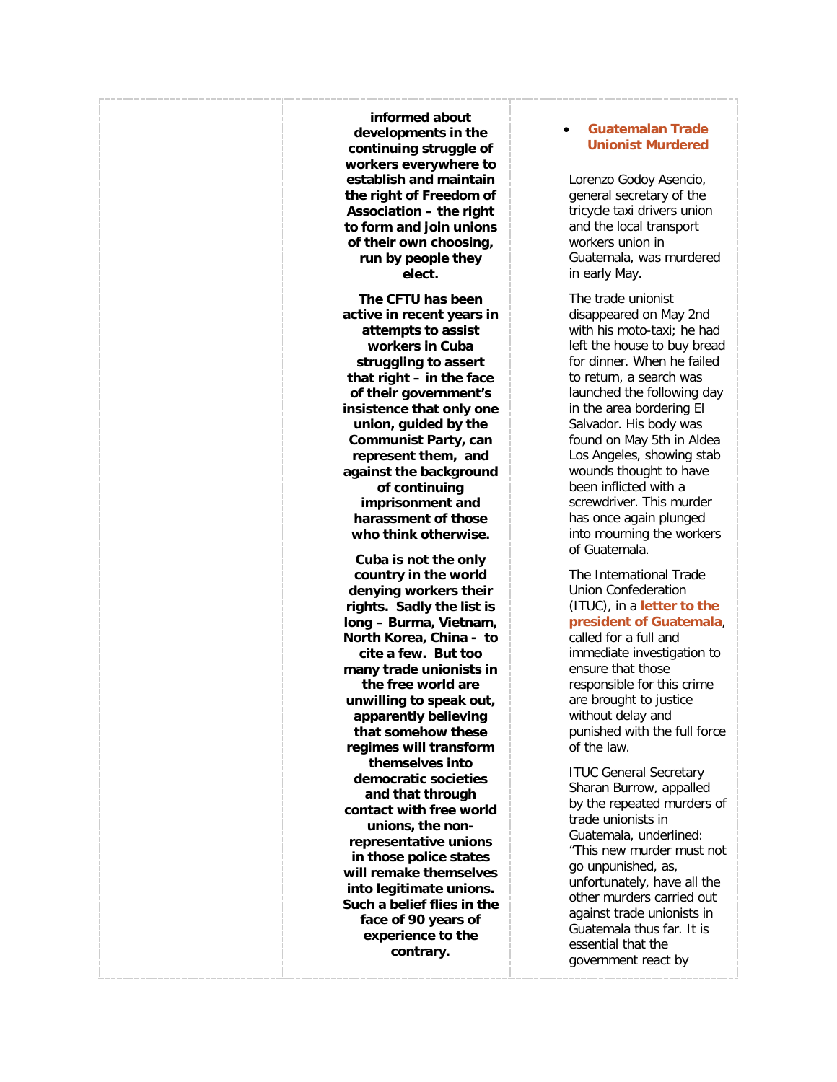**informed about developments in the continuing struggle of workers everywhere to establish and maintain the right of Freedom of Association – the right to form and join unions of their own choosing, run by people they elect.**

**The CFTU has been active in recent years in attempts to assist workers in Cuba struggling to assert that right – in the face of their government's insistence that only one union, guided by the Communist Party, can represent them, and against the background of continuing imprisonment and harassment of those who think otherwise.**

**Cuba is not the only country in the world denying workers their rights. Sadly the list is long – Burma, Vietnam, North Korea, China - to cite a few. But too many trade unionists in the free world are unwilling to speak out, apparently believing that somehow these regimes will transform themselves into democratic societies and that through contact with free world unions, the nonrepresentative unions in those police states will remake themselves into legitimate unions. Such a belief flies in the face of 90 years of experience to the contrary.**

### • **[Guatemalan Trade](http://freetradeunionism.org/2011/05/guatemalan-trade-unionist-murdered/)  [Unionist Murdered](http://freetradeunionism.org/2011/05/guatemalan-trade-unionist-murdered/)**

Lorenzo Godoy Asencio, general secretary of the tricycle taxi drivers union and the local transport workers union in Guatemala, was murdered in early May.

The trade unionist disappeared on May 2nd with his moto-taxi; he had left the house to buy bread for dinner. When he failed to return, a search was launched the following day in the area bordering El Salvador. His body was found on May 5th in Aldea Los Angeles, showing stab wounds thought to have been inflicted with a screwdriver. This murder has once again plunged into mourning the workers of Guatemala.

The International Trade Union Confederation (ITUC), in a **[letter to the](http://www.ituc-csi.org/IMG/pdf/Protesta_asesinato_de_Lorenzo_Godoy_mayo.pdf)  [president of Guatemala](http://www.ituc-csi.org/IMG/pdf/Protesta_asesinato_de_Lorenzo_Godoy_mayo.pdf)**,

called for a full and immediate investigation to ensure that those responsible for this crime are brought to justice without delay and punished with the full force of the law.

ITUC General Secretary Sharan Burrow, appalled by the repeated murders of trade unionists in Guatemala, underlined: "This new murder must not go unpunished, as, unfortunately, have all the other murders carried out against trade unionists in Guatemala thus far. It is essential that the government react by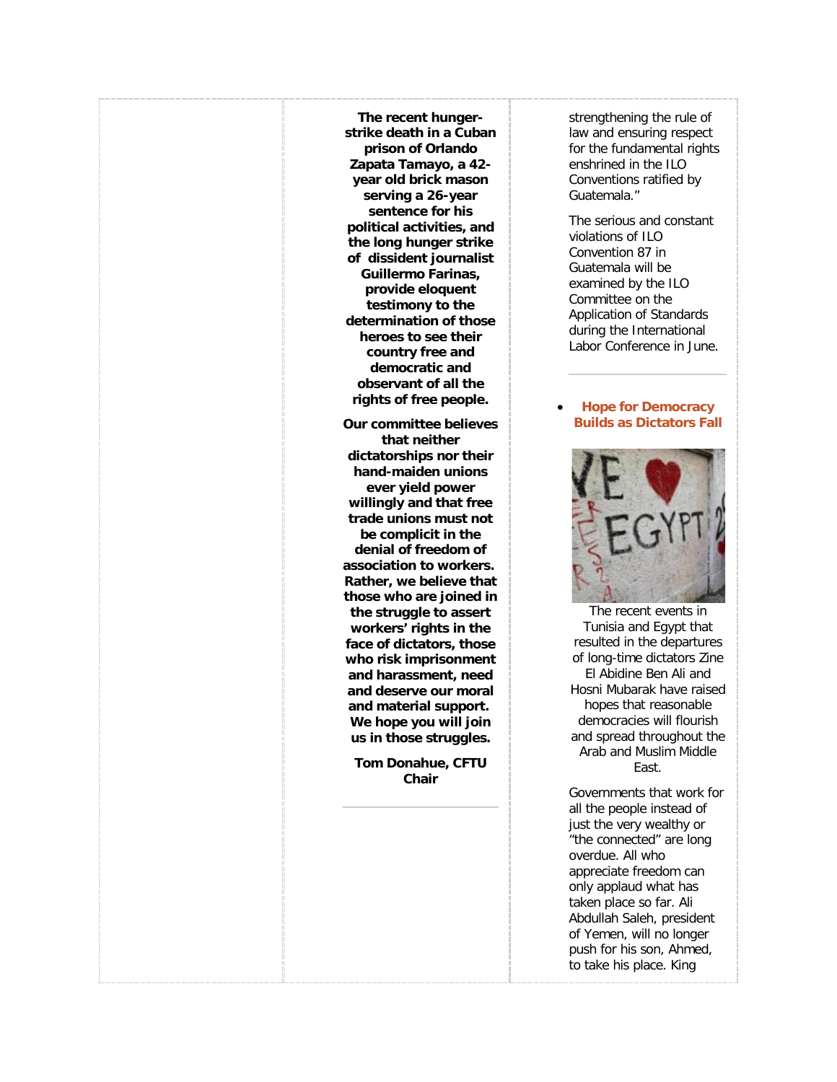**The recent hungerstrike death in a Cuban prison of Orlando Zapata Tamayo, a 42 year old brick mason serving a 26-year sentence for his political activities, and the long hunger strike of dissident journalist Guillermo Farinas, provide eloquent testimony to the determination of those heroes to see their country free and democratic and observant of all the rights of free people.**

**Our committee believes that neither dictatorships nor their hand-maiden unions ever yield power willingly and that free trade unions must not be complicit in the denial of freedom of association to workers. Rather, we believe that those who are joined in the struggle to assert workers' rights in the face of dictators, those who risk imprisonment and harassment, need and deserve our moral and material support. We hope you will join us in those struggles.**

**Tom Donahue, CFTU Chair**

strengthening the rule of law and ensuring respect for the fundamental rights enshrined in the ILO Conventions ratified by Guatemala."

The serious and constant violations of ILO Convention 87 in Guatemala will be examined by the ILO Committee on the Application of Standards during the International Labor Conference in June.

### • **[Hope for Democracy](http://freetradeunionism.org/2011/02/hope-for-democracy-builds-as-dictators-fall/)  [Builds as Dictators Fall](http://freetradeunionism.org/2011/02/hope-for-democracy-builds-as-dictators-fall/)**

![](_page_54_Picture_6.jpeg)

The recent events in Tunisia and Egypt that resulted in the departures of long-time dictators Zine El Abidine Ben Ali and Hosni Mubarak have raised hopes that reasonable democracies will flourish and spread throughout the Arab and Muslim Middle East.

Governments that work for all the people instead of just the very wealthy or "the connected" are long overdue. All who appreciate freedom can only applaud what has taken place so far. Ali Abdullah Saleh, president of Yemen, will no longer push for his son, Ahmed, to take his place. King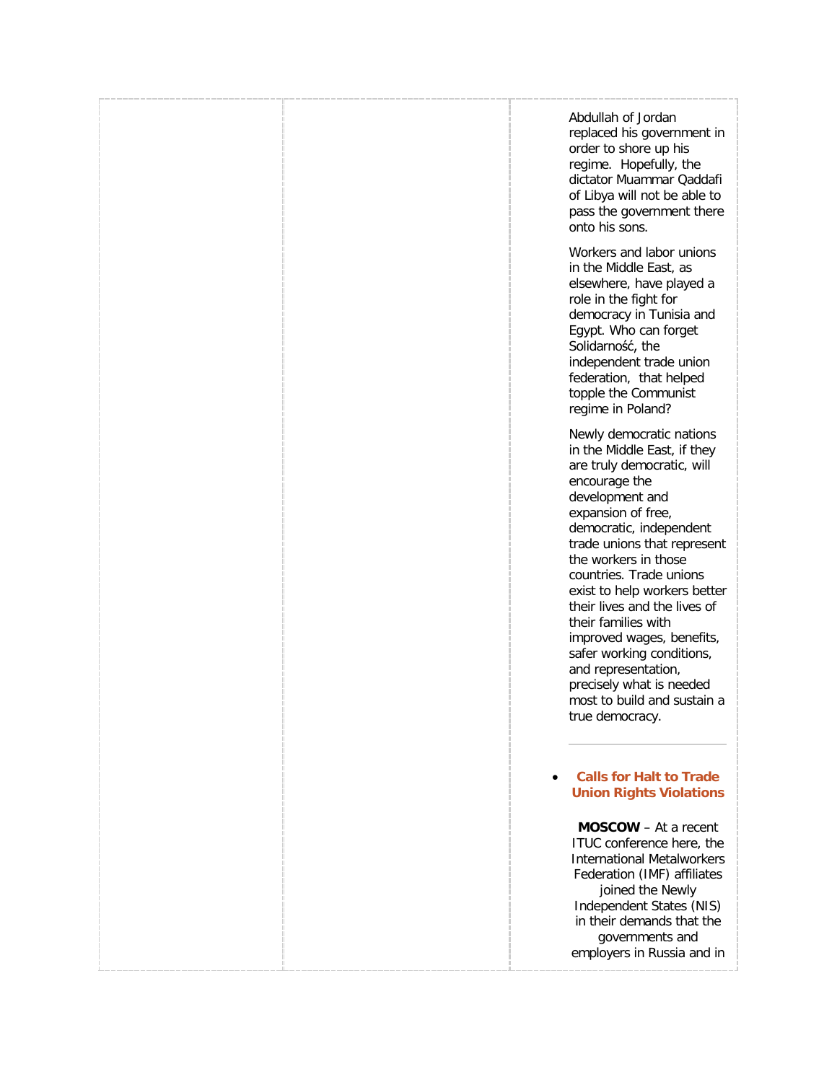Abdullah of Jordan replaced his government in order to shore up his regime. Hopefully, the dictator Muammar Qaddafi of Libya will not be able to pass the government there onto his sons.

Workers and labor unions in the Middle East, as elsewhere, have played a role in the fight for democracy in Tunisia and Egypt. Who can forget Solidarność, the independent trade union federation, that helped topple the Communist regime in Poland?

Newly democratic nations in the Middle East, if they are truly democratic, will encourage the development and expansion of free, democratic, independent trade unions that represent the workers in those countries. Trade unions exist to help workers better their lives and the lives of their families with improved wages, benefits, safer working conditions, and representation, precisely what is needed most to build and sustain a true democracy.

### • **[Calls for Halt to Trade](http://freetradeunionism.org/2011/02/calls-for-halt-to-trade-union-rights-violations/)  [Union Rights Violations](http://freetradeunionism.org/2011/02/calls-for-halt-to-trade-union-rights-violations/)**

**MOSCOW** – At a recent ITUC conference here, the International Metalworkers Federation (IMF) affiliates joined the Newly Independent States (NIS) in their demands that the governments and employers in Russia and in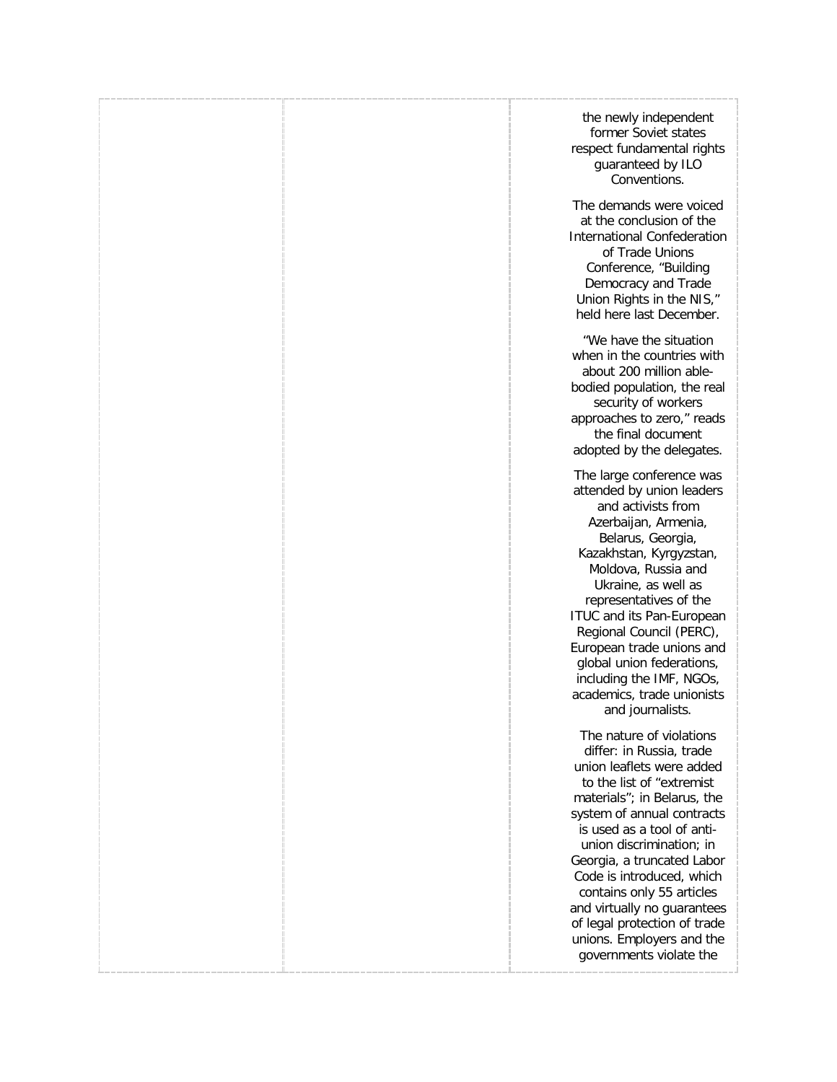the newly independent former Soviet states respect fundamental rights guaranteed by ILO Conventions.

The demands were voiced at the conclusion of the International Confederation of Trade Unions Conference, "Building Democracy and Trade Union Rights in the NIS," held here last December.

"We have the situation when in the countries with about 200 million ablebodied population, the real security of workers approaches to zero," reads the final document adopted by the delegates.

The large conference was attended by union leaders and activists from Azerbaijan, Armenia, Belarus, Georgia, Kazakhstan, Kyrgyzstan, Moldova, Russia and Ukraine, as well as representatives of the ITUC and its Pan-European Regional Council (PERC), European trade unions and global union federations, including the IMF, NGOs, academics, trade unionists and journalists.

The nature of violations differ: in Russia, trade union leaflets were added to the list of "extremist materials"; in Belarus, the system of annual contracts is used as a tool of antiunion discrimination; in Georgia, a truncated Labor Code is introduced, which contains only 55 articles and virtually no guarantees of legal protection of trade unions. Employers and the governments violate the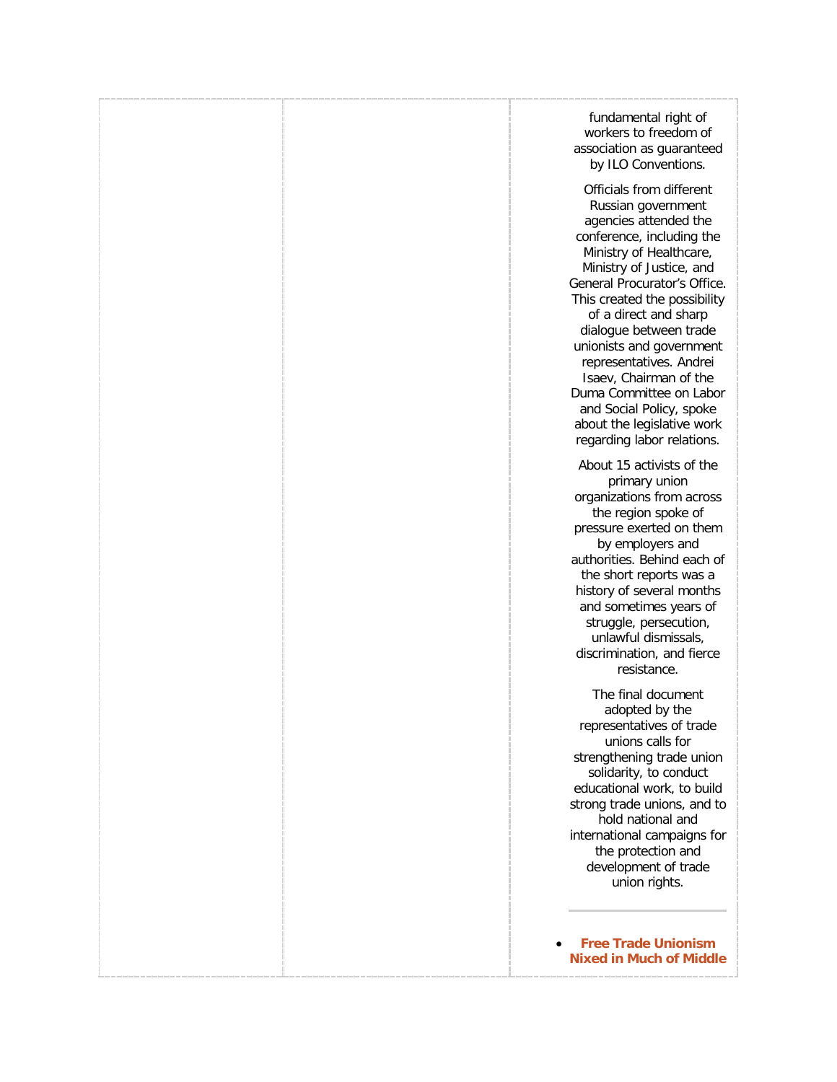fundamental right of workers to freedom of association as guaranteed by ILO Conventions.

Officials from different Russian government agencies attended the conference, including the Ministry of Healthcare, Ministry of Justice, and General Procurator's Office. This created the possibility of a direct and sharp dialogue between trade unionists and government representatives. Andrei Isaev, Chairman of the Duma Committee on Labor and Social Policy, spoke about the legislative work regarding labor relations.

About 15 activists of the primary union organizations from across the region spoke of pressure exerted on them by employers and authorities. Behind each of the short reports was a history of several months and sometimes years of struggle, persecution, unlawful dismissals, discrimination, and fierce resistance.

The final document adopted by the representatives of trade unions calls for strengthening trade union solidarity, to conduct educational work, to build strong trade unions, and to hold national and international campaigns for the protection and development of trade union rights.

• **[Free Trade Unionism](http://freetradeunionism.org/2010/12/free-trade-unionism-nixed-in-much-of-middle-east/)  [Nixed in Much of Middle](http://freetradeunionism.org/2010/12/free-trade-unionism-nixed-in-much-of-middle-east/)**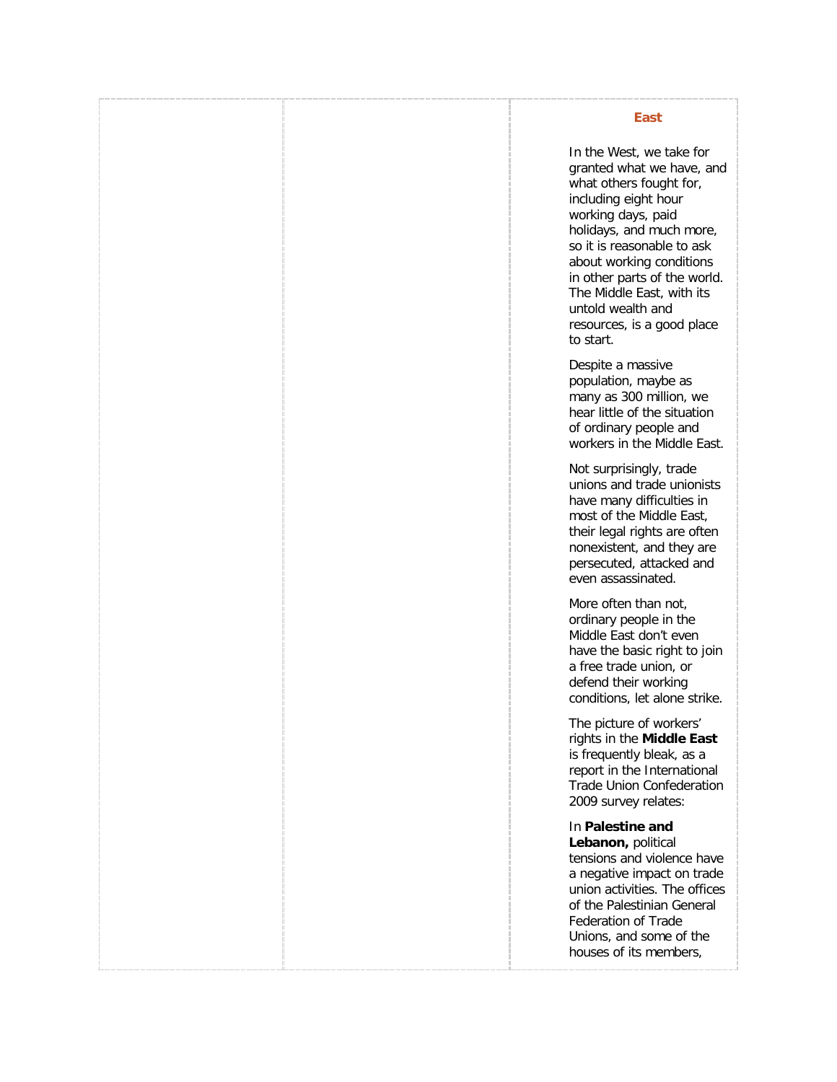### **[East](http://freetradeunionism.org/2010/12/free-trade-unionism-nixed-in-much-of-middle-east/)**

In the West, we take for granted what we have, and what others fought for, including eight hour working days, paid holidays, and much more, so it is reasonable to ask about working conditions in other parts of the world. The Middle East, with its untold wealth and resources, is a good place to start.

Despite a massive population, maybe as many as 300 million, we hear little of the situation of ordinary people and workers in the Middle East.

Not surprisingly, trade unions and trade unionists have many difficulties in most of the Middle East, their legal rights are often nonexistent, and they are persecuted, attacked and even assassinated.

More often than not, ordinary people in the Middle East don't even have the basic right to join a free trade union, or defend their working conditions, let alone strike.

The picture of workers' rights in the **Middle East** is frequently bleak, as a report in the International Trade Union Confederation 2009 survey relates:

In **Palestine and** 

**Lebanon,** political tensions and violence have a negative impact on trade union activities. The offices of the Palestinian General Federation of Trade Unions, and some of the houses of its members,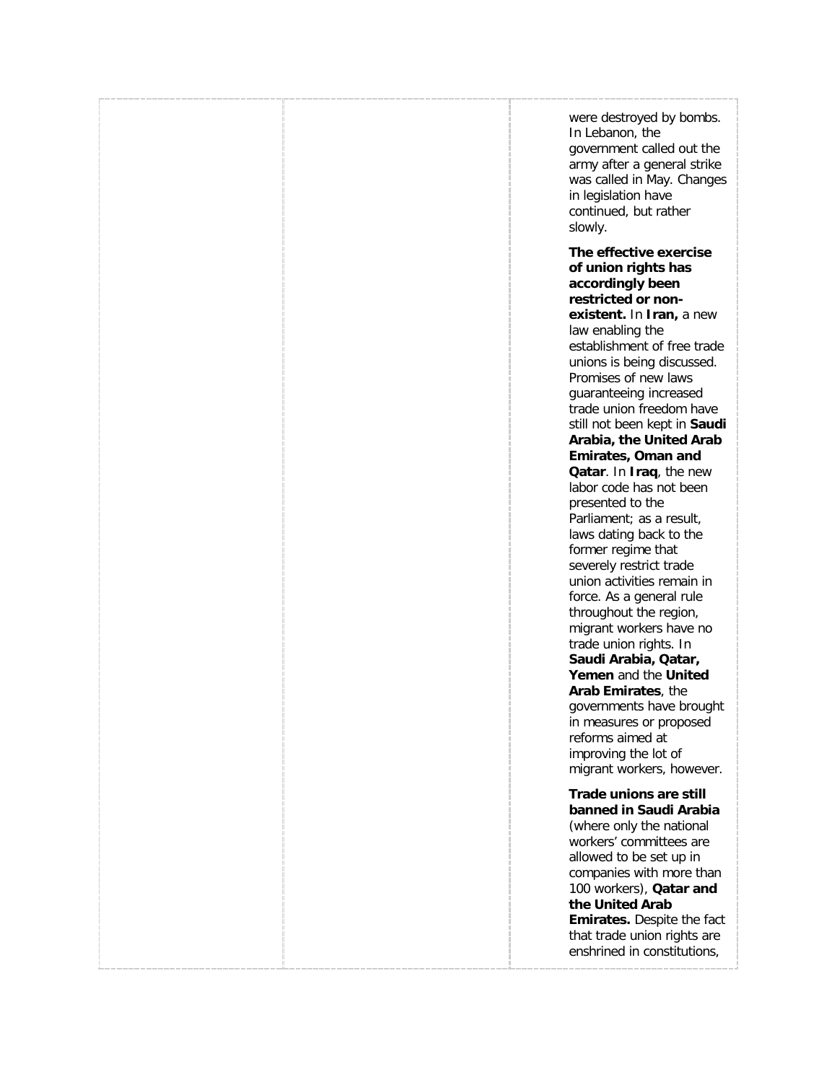were destroyed by bombs. In Lebanon, the government called out the army after a general strike was called in May. Changes in legislation have continued, but rather slowly.

**The effective exercise of union rights has accordingly been restricted or nonexistent.** In **Iran,** a new law enabling the establishment of free trade unions is being discussed. Promises of new laws guaranteeing increased trade union freedom have still not been kept in **Saudi Arabia, the United Arab Emirates, Oman and Qatar**. In **Iraq**, the new labor code has not been presented to the Parliament; as a result, laws dating back to the former regime that severely restrict trade union activities remain in force. As a general rule throughout the region, migrant workers have no trade union rights. In **Saudi Arabia, Qatar, Yemen** and the **United Arab Emirates**, the governments have brought in measures or proposed reforms aimed at improving the lot of migrant workers, however.

**Trade unions are still banned in Saudi Arabia** (where only the national workers' committees are allowed to be set up in companies with more than 100 workers), **Qatar and the United Arab Emirates.** Despite the fact that trade union rights are enshrined in constitutions,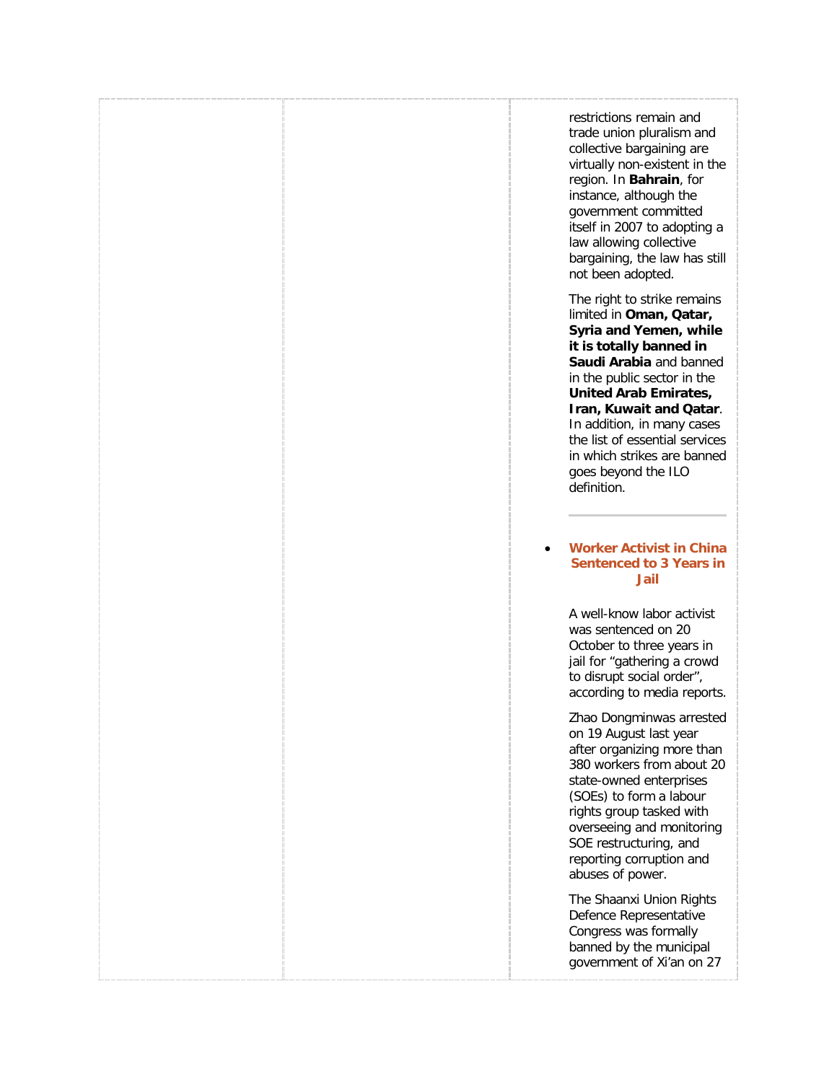restrictions remain and trade union pluralism and collective bargaining are virtually non-existent in the region. In **Bahrain**, for instance, although the government committed itself in 2007 to adopting a law allowing collective bargaining, the law has still not been adopted.

The right to strike remains limited in **Oman, Qatar, Syria and Yemen, while it is totally banned in Saudi Arabia** and banned in the public sector in the **United Arab Emirates, Iran, Kuwait and Qatar**. In addition, in many cases the list of essential services in which strikes are banned goes beyond the ILO definition.

### • **[Worker Activist in China](http://freetradeunionism.org/2010/10/worker-activist-in-china-sentenced-to-3-years-in-jail/)  [Sentenced to 3 Years in](http://freetradeunionism.org/2010/10/worker-activist-in-china-sentenced-to-3-years-in-jail/)  [Jail](http://freetradeunionism.org/2010/10/worker-activist-in-china-sentenced-to-3-years-in-jail/)**

A well-know labor activist was sentenced on 20 October to three years in jail for "gathering a crowd to disrupt social order", according to media reports.

Zhao Dongminwas arrested on 19 August last year after organizing more than 380 workers from about 20 state-owned enterprises (SOEs) to form a labour rights group tasked with overseeing and monitoring SOE restructuring, and reporting corruption and abuses of power.

The Shaanxi Union Rights Defence Representative Congress was [f](http://www.clb.org.hk/en/node/100560)ormally banned by the municipal government of Xi'an on 27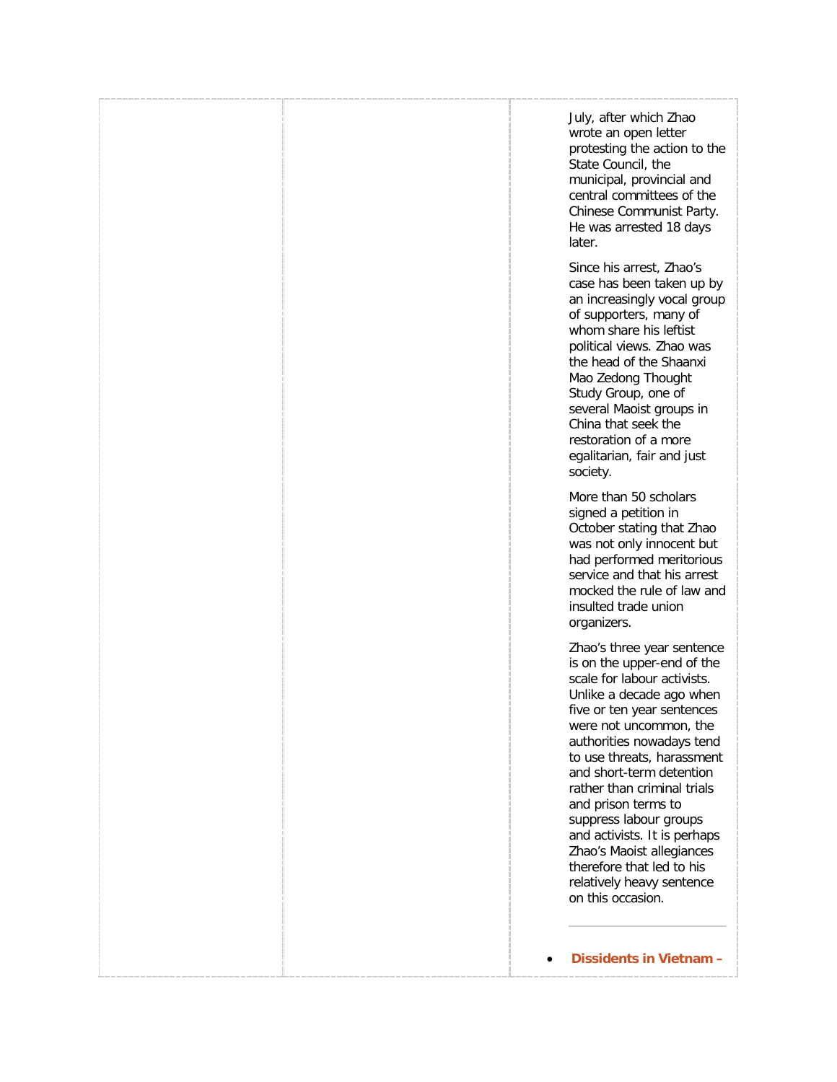July, after which Zhao wrote an open letter protesting the action to the State Council, the municipal, provincial and central committees of the Chinese Communist Party. He was arrested 18 days later.

Since his arrest, Zhao's case has been taken up by an increasingly vocal group of supporters, many of whom share his leftist political views. Zhao was the head of the Shaanxi Mao Zedong Thought Study Group, one of several Maoist groups in China that seek the restoration of a more egalitarian, fair and just society.

More than 50 scholars signed a petition in October stating that Zhao was not only innocent but had performed meritorious service and that his arrest mocked the rule of law and insulted trade union organizers.

Zhao's three year sentence is on the upper-end of the scale for labour activists. Unlike a decade ago when five or ten year sentences were not uncommon, the authorities nowadays tend to use threats, harassment and short-term detention rather than criminal trials and prison terms to suppress labour groups and activists. It is perhaps Zhao's Maoist allegiances therefore that led to his relatively heavy sentence on this occasion.

• **[Dissidents in Vietnam –](http://freetradeunionism.org/2010/07/dissidents-in-vietnam-out-of-sight-out-of-mind/)**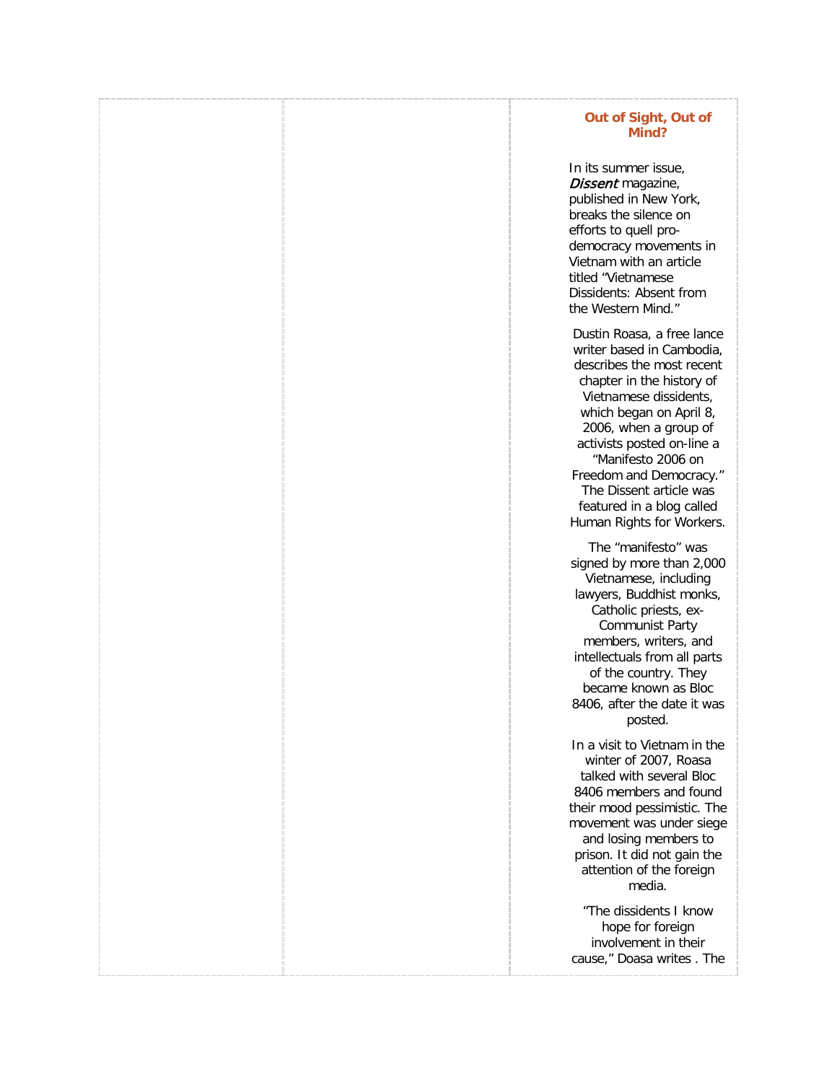### **[Out of Sight, Out of](http://freetradeunionism.org/2010/07/dissidents-in-vietnam-out-of-sight-out-of-mind/)  [Mind?](http://freetradeunionism.org/2010/07/dissidents-in-vietnam-out-of-sight-out-of-mind/)**

In its summer issue, Dissent magazine, published in New York, breaks the silence on efforts to quell prodemocracy movements in Vietnam with an article titled "Vietnamese Dissidents: Absent from the Western Mind."

Dustin Roasa, a free lance writer based in Cambodia, describes the most recent chapter in the history of Vietnamese dissidents, which began on April 8, 2006, when a group of activists posted on-line a "Manifesto 2006 on Freedom and Democracy." The Dissent article was featured in a blog called Human Rights for Workers.

The "manifesto" was signed by more than 2,000 Vietnamese, including lawyers, Buddhist monks, Catholic priests, ex-Communist Party members, writers, and intellectuals from all parts of the country. They became known as Bloc 8406, after the date it was posted.

In a visit to Vietnam in the winter of 2007, Roasa talked with several Bloc 8406 members and found their mood pessimistic. The movement was under siege and losing members to prison. It did not gain the attention of the foreign media.

"The dissidents I know hope for foreign involvement in their cause," Doasa writes . The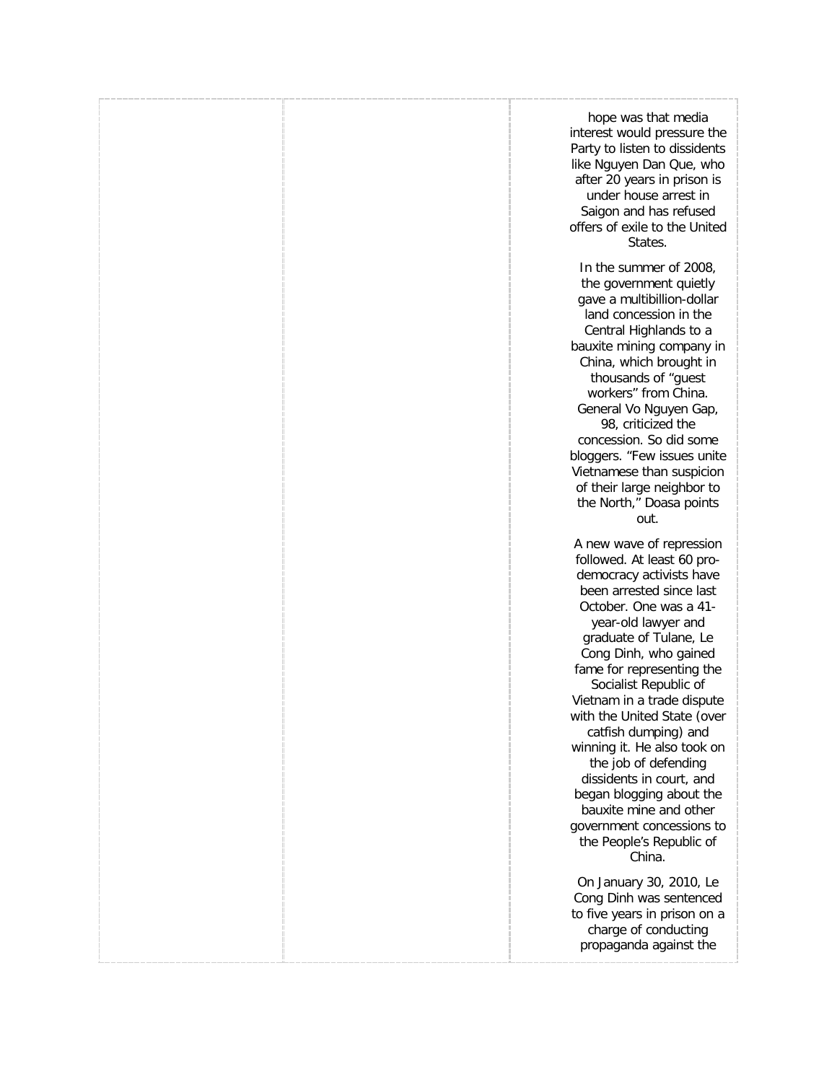hope was that media interest would pressure the Party to listen to dissidents like Nguyen Dan Que, who after 20 years in prison is under house arrest in Saigon and has refused offers of exile to the United States.

In the summer of 2008, the government quietly gave a multibillion-dollar land concession in the Central Highlands to a bauxite mining company in China, which brought in thousands of "guest workers" from China. General Vo Nguyen Gap, 98, criticized the concession. So did some bloggers. "Few issues unite Vietnamese than suspicion of their large neighbor to the North," Doasa points out.

A new wave of repression followed. At least 60 prodemocracy activists have been arrested since last October. One was a 41 year-old lawyer and graduate of Tulane, Le Cong Dinh, who gained fame for representing the Socialist Republic of Vietnam in a trade dispute with the United State (over catfish dumping) and winning it. He also took on the job of defending dissidents in court, and began blogging about the bauxite mine and other government concessions to the People's Republic of China.

On January 30, 2010, Le Cong Dinh was sentenced to five years in prison on a charge of conducting propaganda against the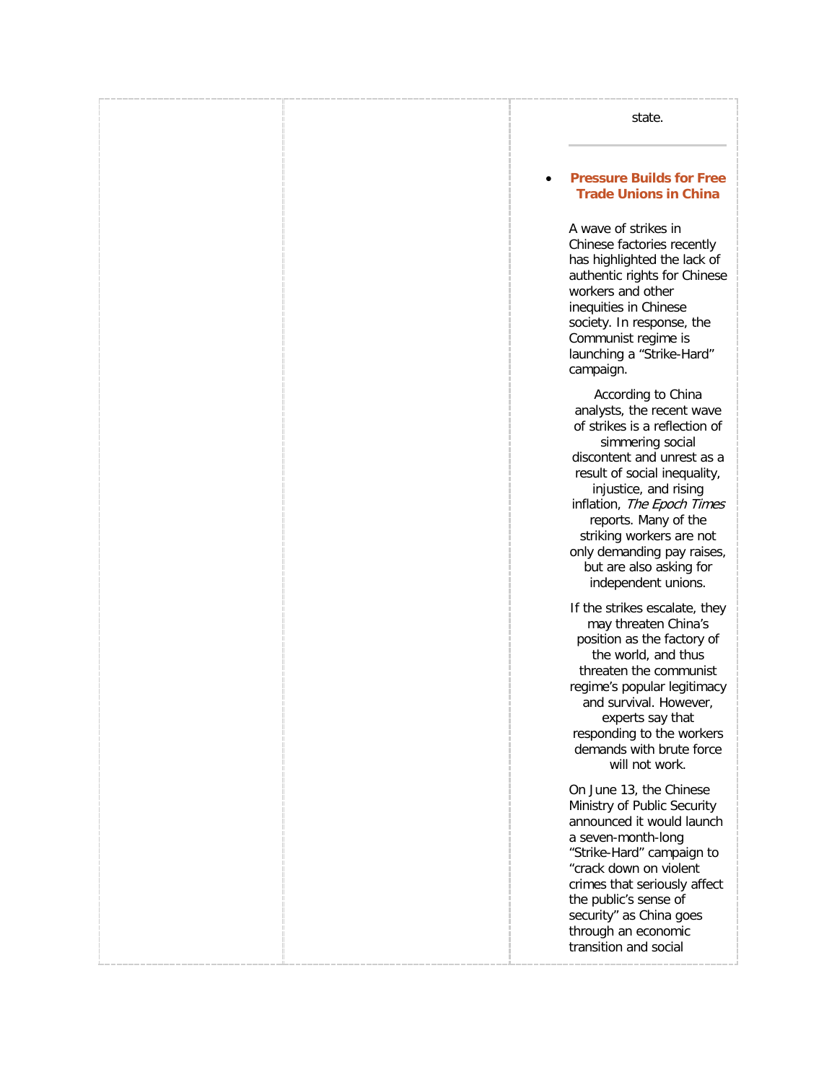state.

### • **[Pressure Builds for Free](http://freetradeunionism.org/2010/06/pressure-builds-for-free-trade-unions-in-china/)  [Trade Unions in China](http://freetradeunionism.org/2010/06/pressure-builds-for-free-trade-unions-in-china/)**

A wave of strikes in Chinese factories recently has highlighted the lack of authentic rights for Chinese workers and other inequities in Chinese society. In response, the Communist regime is launching a "Strike-Hard" campaign.

According to China analysts, the recent wave of strikes is a reflection of simmering social discontent and unrest as a result of social inequality, injustice, and rising inflation, The Epoch Times reports. Many of the striking workers are not only demanding pay raises, but are also asking for independent unions.

If the strikes escalate, they may threaten China's position as the factory of the world, and thus threaten the communist regime's popular legitimacy and survival. However, experts say that responding to the workers demands with brute force will not work.

On June 13, the Chinese Ministry of Public Security announced it would launch a seven-month-long "Strike-Hard" campaign to "crack down on violent crimes that seriously affect the public's sense of security" as China goes through an economic transition and social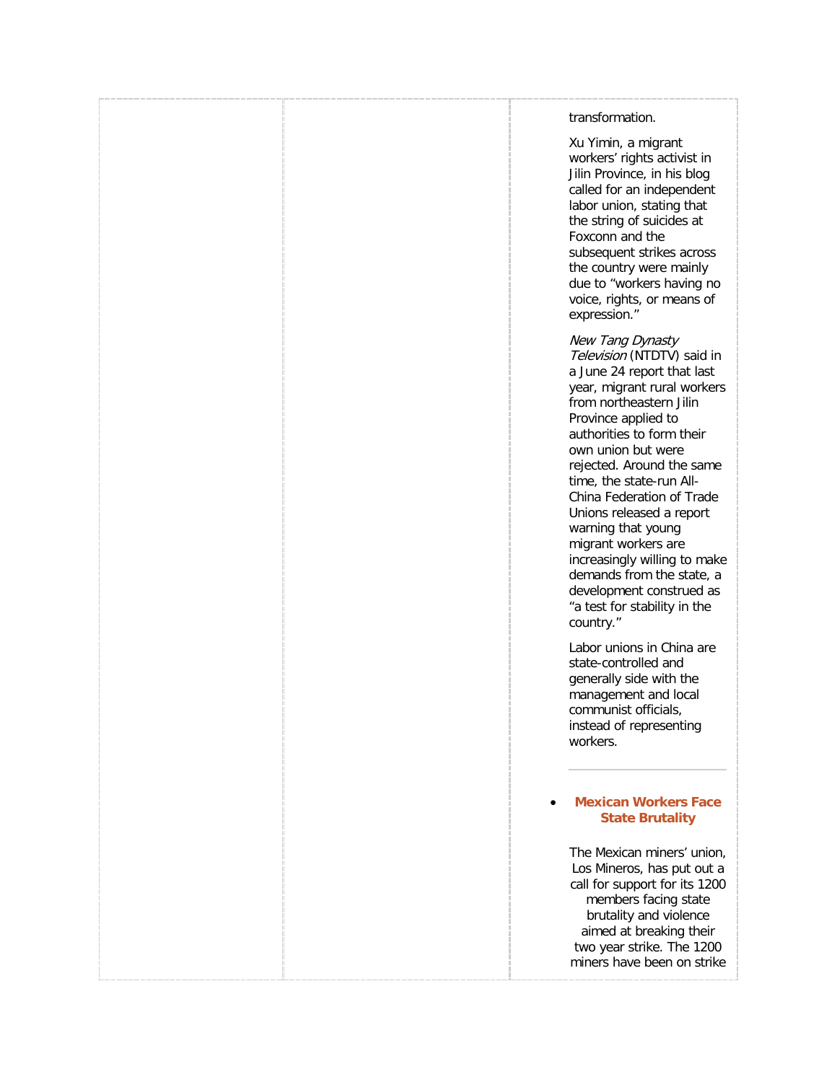### transformation.

Xu Yimin, a migrant workers' rights activist in Jilin Province, in his blog called for an independent labor union, stating that the string of suicides at Foxconn and the subsequent strikes across the country were mainly due to "workers having no voice, rights, or means of expression."

New Tang Dynasty Television (NTDTV) said in a June 24 report that last year, migrant rural workers from northeastern Jilin Province applied to authorities to form their own union but were rejected. Around the same time, the state-run All-China Federation of Trade Unions released a report warning that young migrant workers are increasingly willing to make demands from the state, a development construed as "a test for stability in the country."

Labor unions in China are state-controlled and generally side with the management and local communist officials, instead of representing workers.

### • **[Mexican Workers Face](http://freetradeunionism.org/2010/04/mexican-workers-face-state-brutality/)  [State Brutality](http://freetradeunionism.org/2010/04/mexican-workers-face-state-brutality/)**

The Mexican miners' union, Los Mineros, has put out a call for support for its 1200 members facing state brutality and violence aimed at breaking their two year strike. The 1200 miners have been on strike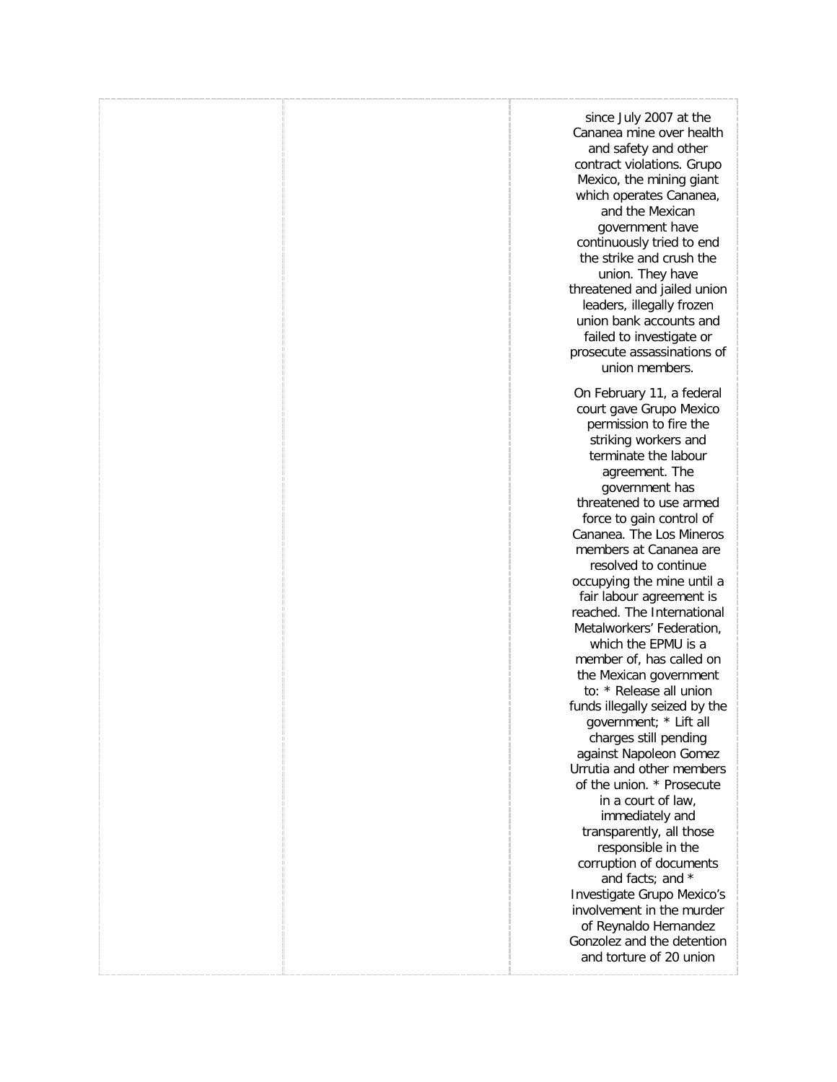since July 2007 at the Cananea mine over health and safety and other contract violations. Grupo Mexico, the mining giant which operates Cananea, and the Mexican government have continuously tried to end the strike and crush the union. They have threatened and jailed union leaders, illegally frozen union bank accounts and failed to investigate or prosecute assassinations of union members.

On February 11, a federal court gave Grupo Mexico permission to fire the striking workers and terminate the labour agreement. The government has threatened to use armed force to gain control of Cananea. The Los Mineros members at Cananea are resolved to continue occupying the mine until a fair labour agreement is reached. The International Metalworkers' Federation, which the EPMU is a member of, has called on the Mexican government to: \* Release all union funds illegally seized by the government; \* Lift all charges still pending against Napoleon Gomez Urrutia and other members of the union. \* Prosecute in a court of law, immediately and transparently, all those responsible in the corruption of documents and facts; and \* Investigate Grupo Mexico's involvement in the murder of Reynaldo Hernandez Gonzolez and the detention and torture of 20 union